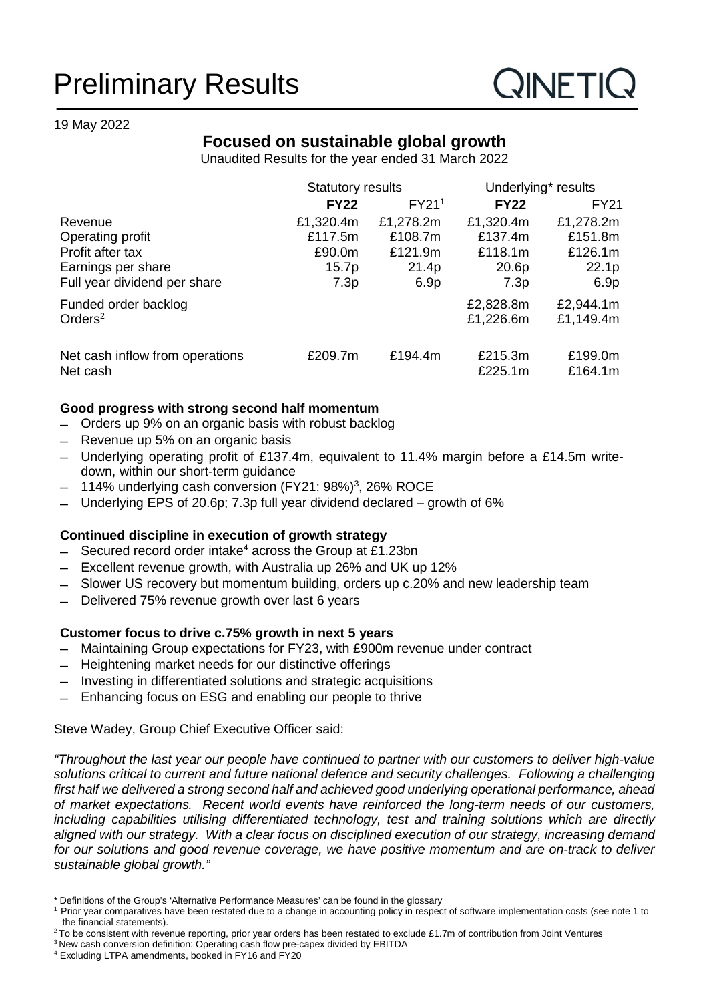# Preliminary Results

### 19 May 2022

### **Focused on sustainable global growth**

Unaudited Results for the year ended 31 March 2022

|                                 | <b>Statutory results</b> |                   | Underlying* results |             |
|---------------------------------|--------------------------|-------------------|---------------------|-------------|
|                                 | <b>FY22</b>              | FY21 <sup>1</sup> | <b>FY22</b>         | <b>FY21</b> |
| Revenue                         | £1,320.4m                | £1,278.2m         | £1,320.4m           | £1,278.2m   |
| Operating profit                | £117.5m                  | £108.7m           | £137.4m             | £151.8m     |
| Profit after tax                | £90.0m                   | £121.9m           | £118.1m             | £126.1m     |
| Earnings per share              | 15.7p                    | 21.4p             | 20.6p               | 22.1p       |
| Full year dividend per share    | 7.3p                     | 6.9 <sub>p</sub>  | 7.3p                | 6.9p        |
| Funded order backlog            |                          |                   | £2,828.8m           | £2,944.1m   |
| Orders <sup>2</sup>             |                          |                   | £1,226.6m           | £1,149.4m   |
| Net cash inflow from operations | £209.7m                  | £194.4m           | £215.3m             | £199.0m     |
| Net cash                        |                          |                   | £225.1m             | £164.1m     |

### **Good progress with strong second half momentum**

- Orders up 9% on an organic basis with robust backlog
- Revenue up 5% on an organic basis
- Underlying operating profit of £137.4m, equivalent to 11.4% margin before a £14.5m writedown, within our short-term guidance
- 114% underlying cash conversion (FY21: 98%)<sup>3</sup>, 26% ROCE
- Underlying EPS of 20.6p; 7.3p full year dividend declared growth of 6%

### **Continued discipline in execution of growth strategy**

- Secured record order intake<sup>4</sup> across the Group at £1.23bn
- Excellent revenue growth, with Australia up 26% and UK up 12%
- Slower US recovery but momentum building, orders up c.20% and new leadership team
- Delivered 75% revenue growth over last 6 years

### **Customer focus to drive c.75% growth in next 5 years**

- Maintaining Group expectations for FY23, with £900m revenue under contract
- Heightening market needs for our distinctive offerings
- Investing in differentiated solutions and strategic acquisitions
- Enhancing focus on ESG and enabling our people to thrive

### Steve Wadey, Group Chief Executive Officer said:

*"Throughout the last year our people have continued to partner with our customers to deliver high-value solutions critical to current and future national defence and security challenges. Following a challenging first half we delivered a strong second half and achieved good underlying operational performance, ahead of market expectations. Recent world events have reinforced the long-term needs of our customers, including capabilities utilising differentiated technology, test and training solutions which are directly aligned with our strategy. With a clear focus on disciplined execution of our strategy, increasing demand*  for our solutions and good revenue coverage, we have positive momentum and are on-track to deliver *sustainable global growth."*

 $2$ To be consistent with revenue reporting, prior year orders has been restated to exclude £1.7m of contribution from Joint Ventures

<sup>\*</sup> Definitions of the Group's 'Alternative Performance Measures' can be found in the glossary

<sup>1</sup> Prior year comparatives have been restated due to a change in accounting policy in respect of software implementation costs (see note 1 to the financial statements).

<sup>&</sup>lt;sup>3</sup> New cash conversion definition: Operating cash flow pre-capex divided by EBITDA

<sup>4</sup> Excluding LTPA amendments, booked in FY16 and FY20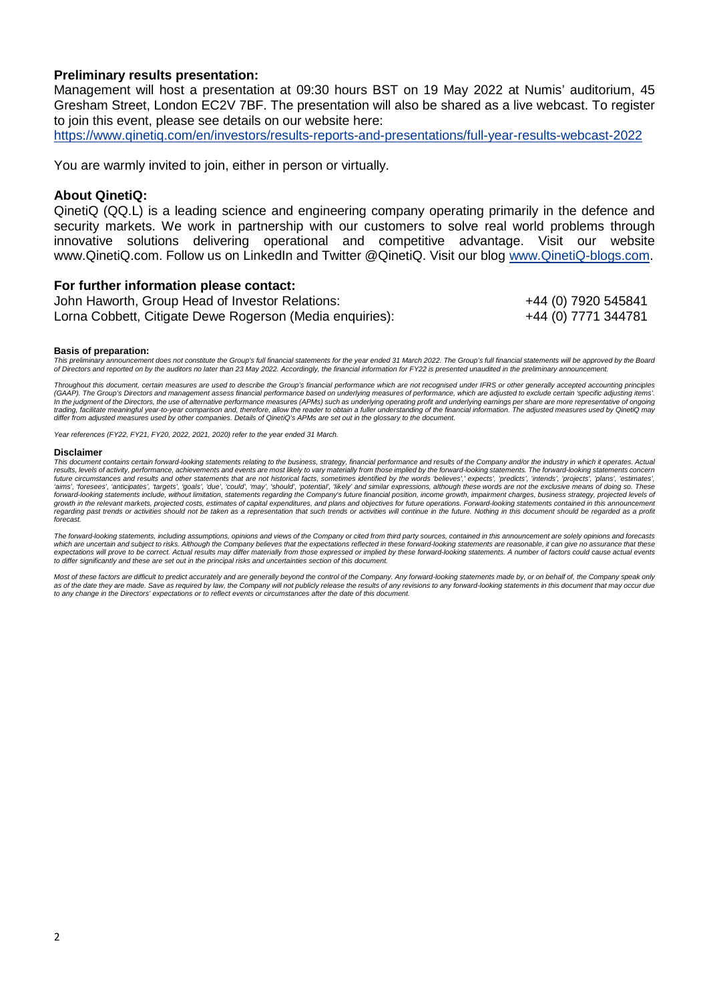### **Preliminary results presentation:**

Management will host a presentation at 09:30 hours BST on 19 May 2022 at Numis' auditorium, 45 Gresham Street, London EC2V 7BF. The presentation will also be shared as a live webcast. To register to join this event, please see details on our website here:

<https://www.qinetiq.com/en/investors/results-reports-and-presentations/full-year-results-webcast-2022>

You are warmly invited to join, either in person or virtually.

#### **About QinetiQ:**

QinetiQ (QQ.L) is a leading science and engineering company operating primarily in the defence and security markets. We work in partnership with our customers to solve real world problems through innovative solutions delivering operational and competitive advantage. Visit our website www.QinetiQ.com. Follow us on LinkedIn and Twitter @QinetiQ. Visit our blog [www.QinetiQ-blogs.com.](http://www.qinetiq-blogs.com/)

#### **For further information please contact:**

John Haworth, Group Head of Investor Relations:  $+44$  (0) 7920 545841 Lorna Cobbett, Citigate Dewe Rogerson (Media enquiries): +44 (0) 7771 344781

#### **Basis of preparation:**

*This preliminary announcement does not constitute the Group's full financial statements for the year ended 31 March 2022. The Group's full financial statements will be approved by the Board of Directors and reported on by the auditors no later than 23 May 2022. Accordingly, the financial information for FY22 is presented unaudited in the preliminary announcement.* 

*Throughout this document, certain measures are used to describe the Group's financial performance which are not recognised under IFRS or other generally accepted accounting principles (GAAP). The Group's Directors and management assess financial performance based on underlying measures of performance, which are adjusted to exclude certain 'specific adjusting items'.*  In the judgment of the Directors, the use of alternative performance measures (APMs) such as underlying operating profit and underlying earnings per share are more representative of ongoing<br>trading, facilitate meaningful y

*Year references (FY22, FY21, FY20, 2022, 2021, 2020) refer to the year ended 31 March.* 

#### **Disclaimer**

*This document contains certain forward-looking statements relating to the business, strategy, financial performance and results of the Company and/or the industry in which it operates. Actual results, levels of activity, performance, achievements and events are most likely to vary materially from those implied by the forward-looking statements. The forward-looking statements concern*  future circumstances and results and other statements that are not historical facts, sometimes identified by the words 'believes',' expects', 'predicts', 'intends', 'projects', 'plans', 'estimates' 'aims', 'foresees', 'anticipates', 'targets', 'goals', 'due', 'could', 'may', 'should', 'potential', 'likely' and similar expressions, although these words are not the exclusive means of doing so. These<br>forward-looking sta growth in the relevant markets, projected costs, estimates of capital expenditures, and plans and objectives for future operations. Forward-looking statements contained in this announcement<br>regarding past trends or activit *forecast.* 

The forward-looking statements, including assumptions, opinions and views of the Company or cited from third party sources, contained in this announcement are solely opinions and forecasts<br>which are uncertain and subject t to differ significantly and these are set out in the principal risks and uncertainties section of this document.

Most of these factors are difficult to predict accurately and are generally beyond the control of the Company. Any forward-looking statements made by, or on behalf of, the Company speak only<br>as of the date they are made. S *to any change in the Directors' expectations or to reflect events or circumstances after the date of this document.*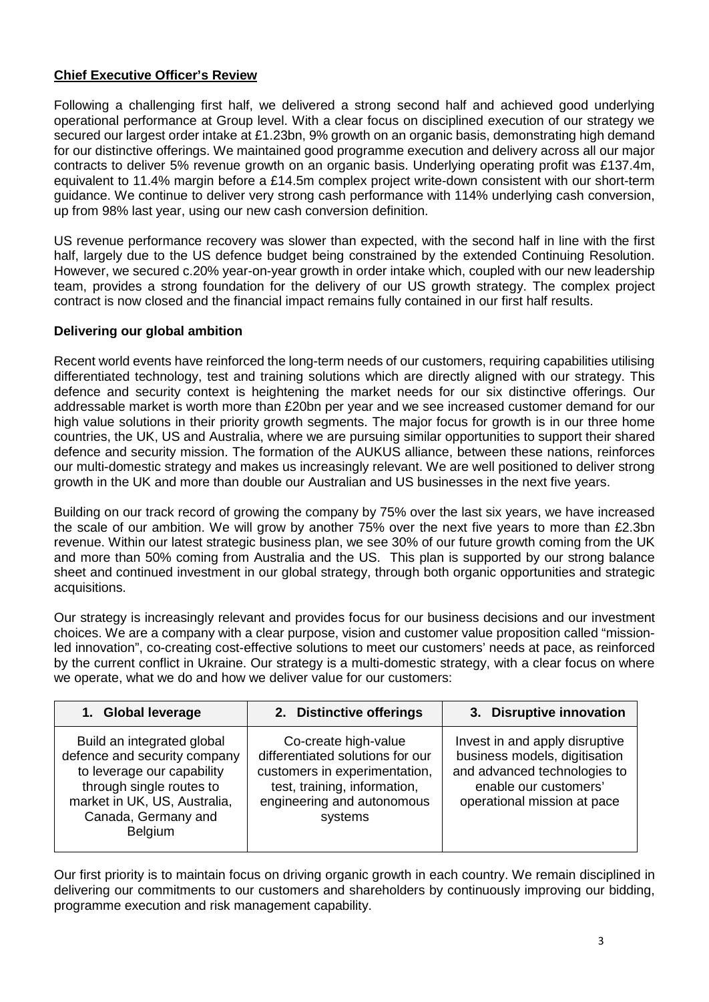### **Chief Executive Officer's Review**

Following a challenging first half, we delivered a strong second half and achieved good underlying operational performance at Group level. With a clear focus on disciplined execution of our strategy we secured our largest order intake at £1.23bn, 9% growth on an organic basis, demonstrating high demand for our distinctive offerings. We maintained good programme execution and delivery across all our major contracts to deliver 5% revenue growth on an organic basis. Underlying operating profit was £137.4m, equivalent to 11.4% margin before a £14.5m complex project write-down consistent with our short-term guidance. We continue to deliver very strong cash performance with 114% underlying cash conversion, up from 98% last year, using our new cash conversion definition.

US revenue performance recovery was slower than expected, with the second half in line with the first half, largely due to the US defence budget being constrained by the extended Continuing Resolution. However, we secured c.20% year-on-year growth in order intake which, coupled with our new leadership team, provides a strong foundation for the delivery of our US growth strategy. The complex project contract is now closed and the financial impact remains fully contained in our first half results.

### **Delivering our global ambition**

Recent world events have reinforced the long-term needs of our customers, requiring capabilities utilising differentiated technology, test and training solutions which are directly aligned with our strategy. This defence and security context is heightening the market needs for our six distinctive offerings. Our addressable market is worth more than £20bn per year and we see increased customer demand for our high value solutions in their priority growth segments. The major focus for growth is in our three home countries, the UK, US and Australia, where we are pursuing similar opportunities to support their shared defence and security mission. The formation of the AUKUS alliance, between these nations, reinforces our multi-domestic strategy and makes us increasingly relevant. We are well positioned to deliver strong growth in the UK and more than double our Australian and US businesses in the next five years.

Building on our track record of growing the company by 75% over the last six years, we have increased the scale of our ambition. We will grow by another 75% over the next five years to more than £2.3bn revenue. Within our latest strategic business plan, we see 30% of our future growth coming from the UK and more than 50% coming from Australia and the US. This plan is supported by our strong balance sheet and continued investment in our global strategy, through both organic opportunities and strategic acquisitions.

Our strategy is increasingly relevant and provides focus for our business decisions and our investment choices. We are a company with a clear purpose, vision and customer value proposition called "missionled innovation", co-creating cost-effective solutions to meet our customers' needs at pace, as reinforced by the current conflict in Ukraine. Our strategy is a multi-domestic strategy, with a clear focus on where we operate, what we do and how we deliver value for our customers:

| 1. Global leverage                                                                                                                                                                            | 2. Distinctive offerings                                                                                                                                           | 3. Disruptive innovation                                                                                                                                |
|-----------------------------------------------------------------------------------------------------------------------------------------------------------------------------------------------|--------------------------------------------------------------------------------------------------------------------------------------------------------------------|---------------------------------------------------------------------------------------------------------------------------------------------------------|
| Build an integrated global<br>defence and security company<br>to leverage our capability<br>through single routes to<br>market in UK, US, Australia,<br>Canada, Germany and<br><b>Belgium</b> | Co-create high-value<br>differentiated solutions for our<br>customers in experimentation,<br>test, training, information,<br>engineering and autonomous<br>systems | Invest in and apply disruptive<br>business models, digitisation<br>and advanced technologies to<br>enable our customers'<br>operational mission at pace |

Our first priority is to maintain focus on driving organic growth in each country. We remain disciplined in delivering our commitments to our customers and shareholders by continuously improving our bidding, programme execution and risk management capability.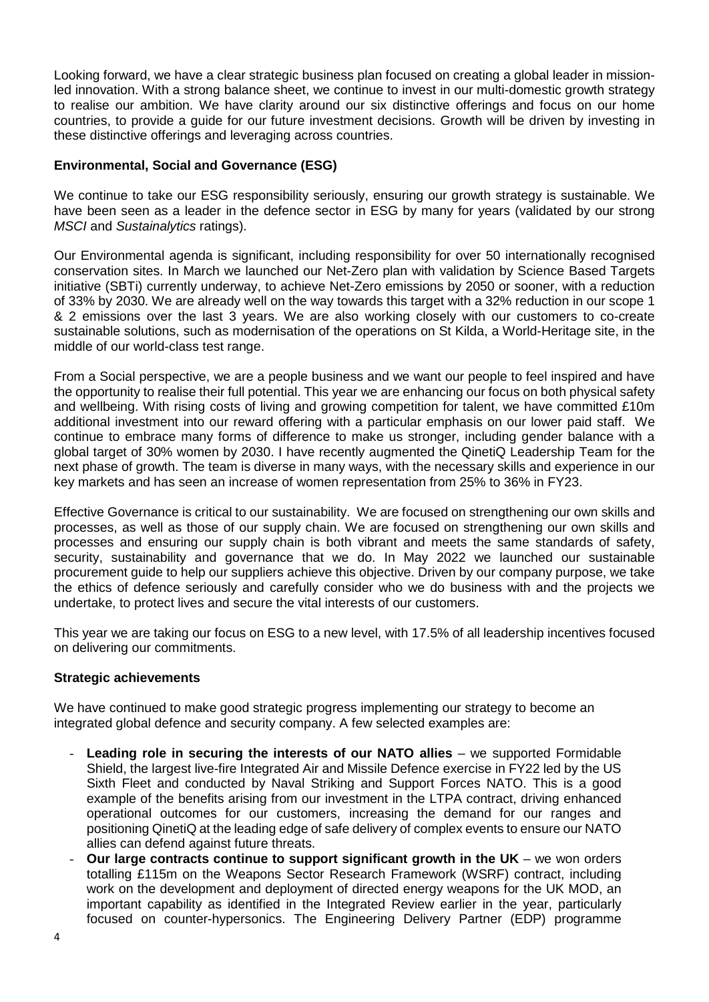Looking forward, we have a clear strategic business plan focused on creating a global leader in missionled innovation. With a strong balance sheet, we continue to invest in our multi-domestic growth strategy to realise our ambition. We have clarity around our six distinctive offerings and focus on our home countries, to provide a guide for our future investment decisions. Growth will be driven by investing in these distinctive offerings and leveraging across countries.

### **Environmental, Social and Governance (ESG)**

We continue to take our ESG responsibility seriously, ensuring our growth strategy is sustainable. We have been seen as a leader in the defence sector in ESG by many for years (validated by our strong *MSCI* and *Sustainalytics* ratings).

Our Environmental agenda is significant, including responsibility for over 50 internationally recognised conservation sites. In March we launched our Net-Zero plan with validation by Science Based Targets initiative (SBTi) currently underway, to achieve Net-Zero emissions by 2050 or sooner, with a reduction of 33% by 2030. We are already well on the way towards this target with a 32% reduction in our scope 1 & 2 emissions over the last 3 years. We are also working closely with our customers to co-create sustainable solutions, such as modernisation of the operations on St Kilda, a World-Heritage site, in the middle of our world-class test range.

From a Social perspective, we are a people business and we want our people to feel inspired and have the opportunity to realise their full potential. This year we are enhancing our focus on both physical safety and wellbeing. With rising costs of living and growing competition for talent, we have committed £10m additional investment into our reward offering with a particular emphasis on our lower paid staff. We continue to embrace many forms of difference to make us stronger, including gender balance with a global target of 30% women by 2030. I have recently augmented the QinetiQ Leadership Team for the next phase of growth. The team is diverse in many ways, with the necessary skills and experience in our key markets and has seen an increase of women representation from 25% to 36% in FY23.

Effective Governance is critical to our sustainability. We are focused on strengthening our own skills and processes, as well as those of our supply chain. We are focused on strengthening our own skills and processes and ensuring our supply chain is both vibrant and meets the same standards of safety, security, sustainability and governance that we do. In May 2022 we launched our sustainable procurement guide to help our suppliers achieve this objective. Driven by our company purpose, we take the ethics of defence seriously and carefully consider who we do business with and the projects we undertake, to protect lives and secure the vital interests of our customers.

This year we are taking our focus on ESG to a new level, with 17.5% of all leadership incentives focused on delivering our commitments.

### **Strategic achievements**

We have continued to make good strategic progress implementing our strategy to become an integrated global defence and security company. A few selected examples are:

- **Leading role in securing the interests of our NATO allies** we supported Formidable Shield, the largest live-fire Integrated Air and Missile Defence exercise in FY22 led by the US Sixth Fleet and conducted by Naval Striking and Support Forces NATO. This is a good example of the benefits arising from our investment in the LTPA contract, driving enhanced operational outcomes for our customers, increasing the demand for our ranges and positioning QinetiQ at the leading edge of safe delivery of complex events to ensure our NATO allies can defend against future threats.
- **Our large contracts continue to support significant growth in the UK we won orders** totalling £115m on the Weapons Sector Research Framework (WSRF) contract, including work on the development and deployment of directed energy weapons for the UK MOD, an important capability as identified in the Integrated Review earlier in the year, particularly focused on counter-hypersonics. The Engineering Delivery Partner (EDP) programme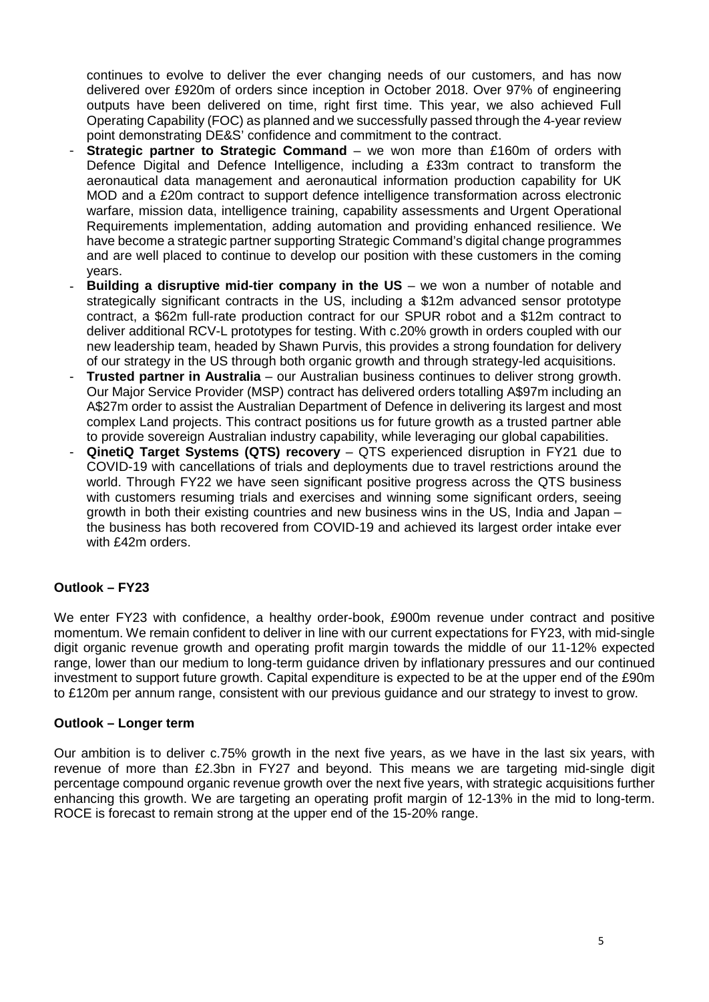continues to evolve to deliver the ever changing needs of our customers, and has now delivered over £920m of orders since inception in October 2018. Over 97% of engineering outputs have been delivered on time, right first time. This year, we also achieved Full Operating Capability (FOC) as planned and we successfully passed through the 4-year review point demonstrating DE&S' confidence and commitment to the contract.

- **Strategic partner to Strategic Command** we won more than £160m of orders with Defence Digital and Defence Intelligence, including a £33m contract to transform the aeronautical data management and aeronautical information production capability for UK MOD and a £20m contract to support defence intelligence transformation across electronic warfare, mission data, intelligence training, capability assessments and Urgent Operational Requirements implementation, adding automation and providing enhanced resilience. We have become a strategic partner supporting Strategic Command's digital change programmes and are well placed to continue to develop our position with these customers in the coming years.
- **Building a disruptive mid-tier company in the US** we won a number of notable and strategically significant contracts in the US, including a \$12m advanced sensor prototype contract, a \$62m full-rate production contract for our SPUR robot and a \$12m contract to deliver additional RCV-L prototypes for testing. With c.20% growth in orders coupled with our new leadership team, headed by Shawn Purvis, this provides a strong foundation for delivery of our strategy in the US through both organic growth and through strategy-led acquisitions.
- **Trusted partner in Australia** our Australian business continues to deliver strong growth. Our Major Service Provider (MSP) contract has delivered orders totalling A\$97m including an A\$27m order to assist the Australian Department of Defence in delivering its largest and most complex Land projects. This contract positions us for future growth as a trusted partner able to provide sovereign Australian industry capability, while leveraging our global capabilities.
- QinetiQ Target Systems (QTS) recovery QTS experienced disruption in FY21 due to COVID-19 with cancellations of trials and deployments due to travel restrictions around the world. Through FY22 we have seen significant positive progress across the QTS business with customers resuming trials and exercises and winning some significant orders, seeing growth in both their existing countries and new business wins in the US, India and Japan – the business has both recovered from COVID-19 and achieved its largest order intake ever with £42m orders.

### **Outlook – FY23**

We enter FY23 with confidence, a healthy order-book, £900m revenue under contract and positive momentum. We remain confident to deliver in line with our current expectations for FY23, with mid-single digit organic revenue growth and operating profit margin towards the middle of our 11-12% expected range, lower than our medium to long-term guidance driven by inflationary pressures and our continued investment to support future growth. Capital expenditure is expected to be at the upper end of the £90m to £120m per annum range, consistent with our previous guidance and our strategy to invest to grow.

### **Outlook – Longer term**

Our ambition is to deliver c.75% growth in the next five years, as we have in the last six years, with revenue of more than £2.3bn in FY27 and beyond. This means we are targeting mid-single digit percentage compound organic revenue growth over the next five years, with strategic acquisitions further enhancing this growth. We are targeting an operating profit margin of 12-13% in the mid to long-term. ROCE is forecast to remain strong at the upper end of the 15-20% range.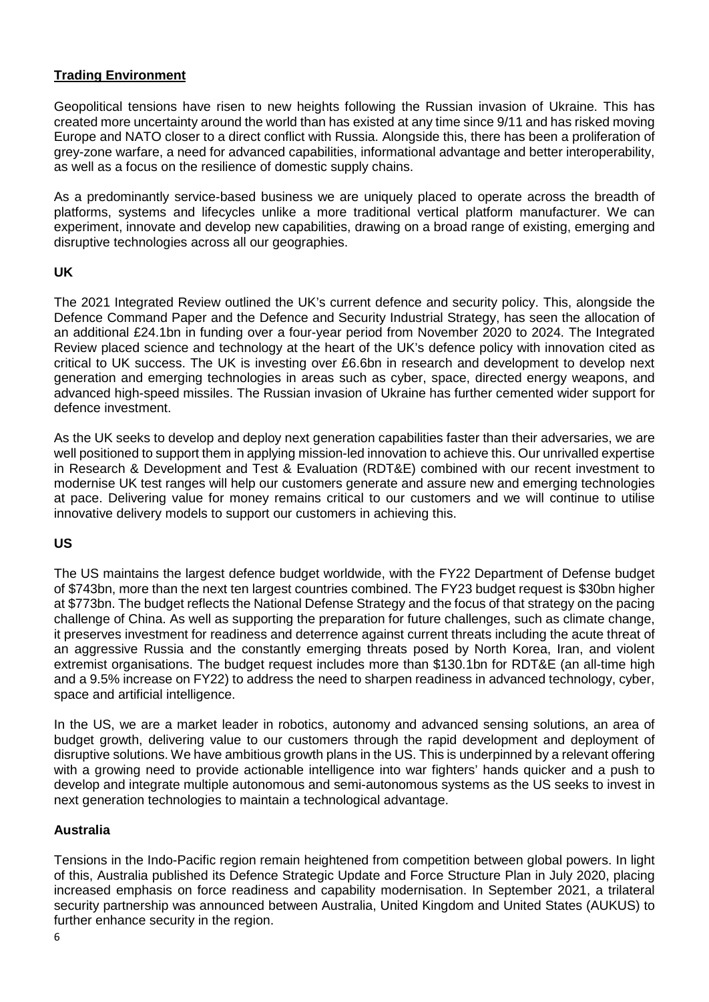### **Trading Environment**

Geopolitical tensions have risen to new heights following the Russian invasion of Ukraine. This has created more uncertainty around the world than has existed at any time since 9/11 and has risked moving Europe and NATO closer to a direct conflict with Russia. Alongside this, there has been a proliferation of grey-zone warfare, a need for advanced capabilities, informational advantage and better interoperability, as well as a focus on the resilience of domestic supply chains.

As a predominantly service-based business we are uniquely placed to operate across the breadth of platforms, systems and lifecycles unlike a more traditional vertical platform manufacturer. We can experiment, innovate and develop new capabilities, drawing on a broad range of existing, emerging and disruptive technologies across all our geographies.

### **UK**

The 2021 Integrated Review outlined the UK's current defence and security policy. This, alongside the Defence Command Paper and the Defence and Security Industrial Strategy, has seen the allocation of an additional £24.1bn in funding over a four-year period from November 2020 to 2024. The Integrated Review placed science and technology at the heart of the UK's defence policy with innovation cited as critical to UK success. The UK is investing over £6.6bn in research and development to develop next generation and emerging technologies in areas such as cyber, space, directed energy weapons, and advanced high-speed missiles. The Russian invasion of Ukraine has further cemented wider support for defence investment.

As the UK seeks to develop and deploy next generation capabilities faster than their adversaries, we are well positioned to support them in applying mission-led innovation to achieve this. Our unrivalled expertise in Research & Development and Test & Evaluation (RDT&E) combined with our recent investment to modernise UK test ranges will help our customers generate and assure new and emerging technologies at pace. Delivering value for money remains critical to our customers and we will continue to utilise innovative delivery models to support our customers in achieving this.

### **US**

The US maintains the largest defence budget worldwide, with the FY22 Department of Defense budget of \$743bn, more than the next ten largest countries combined. The FY23 budget request is \$30bn higher at \$773bn. The budget reflects the National Defense Strategy and the focus of that strategy on the pacing challenge of China. As well as supporting the preparation for future challenges, such as climate change, it preserves investment for readiness and deterrence against current threats including the acute threat of an aggressive Russia and the constantly emerging threats posed by North Korea, Iran, and violent extremist organisations. The budget request includes more than \$130.1bn for RDT&E (an all-time high and a 9.5% increase on FY22) to address the need to sharpen readiness in advanced technology, cyber, space and artificial intelligence.

In the US, we are a market leader in robotics, autonomy and advanced sensing solutions, an area of budget growth, delivering value to our customers through the rapid development and deployment of disruptive solutions. We have ambitious growth plans in the US. This is underpinned by a relevant offering with a growing need to provide actionable intelligence into war fighters' hands quicker and a push to develop and integrate multiple autonomous and semi-autonomous systems as the US seeks to invest in next generation technologies to maintain a technological advantage.

### **Australia**

Tensions in the Indo-Pacific region remain heightened from competition between global powers. In light of this, Australia published its Defence Strategic Update and Force Structure Plan in July 2020, placing increased emphasis on force readiness and capability modernisation. In September 2021, a trilateral security partnership was announced between Australia, United Kingdom and United States (AUKUS) to further enhance security in the region.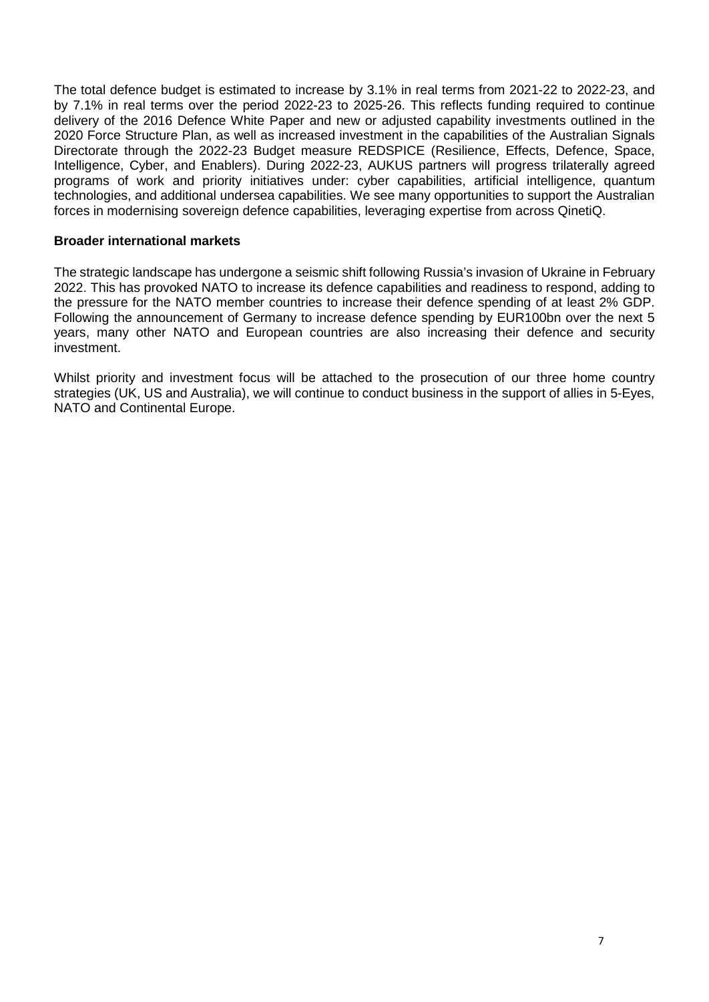The total defence budget is estimated to increase by 3.1% in real terms from 2021-22 to 2022-23, and by 7.1% in real terms over the period 2022-23 to 2025-26. This reflects funding required to continue delivery of the 2016 Defence White Paper and new or adjusted capability investments outlined in the 2020 Force Structure Plan, as well as increased investment in the capabilities of the Australian Signals Directorate through the 2022-23 Budget measure REDSPICE (Resilience, Effects, Defence, Space, Intelligence, Cyber, and Enablers). During 2022-23, AUKUS partners will progress trilaterally agreed programs of work and priority initiatives under: cyber capabilities, artificial intelligence, quantum technologies, and additional undersea capabilities. We see many opportunities to support the Australian forces in modernising sovereign defence capabilities, leveraging expertise from across QinetiQ.

### **Broader international markets**

The strategic landscape has undergone a seismic shift following Russia's invasion of Ukraine in February 2022. This has provoked NATO to increase its defence capabilities and readiness to respond, adding to the pressure for the NATO member countries to increase their defence spending of at least 2% GDP. Following the announcement of Germany to increase defence spending by EUR100bn over the next 5 years, many other NATO and European countries are also increasing their defence and security investment.

Whilst priority and investment focus will be attached to the prosecution of our three home country strategies (UK, US and Australia), we will continue to conduct business in the support of allies in 5-Eyes, NATO and Continental Europe.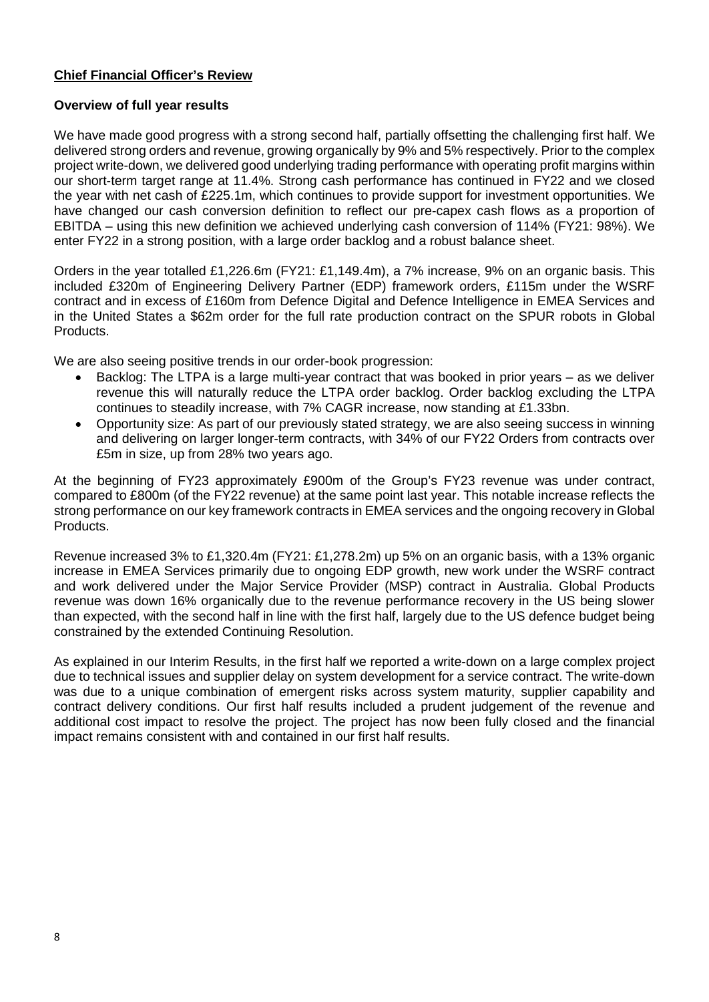### **Chief Financial Officer's Review**

### **Overview of full year results**

We have made good progress with a strong second half, partially offsetting the challenging first half. We delivered strong orders and revenue, growing organically by 9% and 5% respectively. Prior to the complex project write-down, we delivered good underlying trading performance with operating profit margins within our short-term target range at 11.4%. Strong cash performance has continued in FY22 and we closed the year with net cash of £225.1m, which continues to provide support for investment opportunities. We have changed our cash conversion definition to reflect our pre-capex cash flows as a proportion of EBITDA – using this new definition we achieved underlying cash conversion of 114% (FY21: 98%). We enter FY22 in a strong position, with a large order backlog and a robust balance sheet.

Orders in the year totalled £1,226.6m (FY21: £1,149.4m), a 7% increase, 9% on an organic basis. This included £320m of Engineering Delivery Partner (EDP) framework orders, £115m under the WSRF contract and in excess of £160m from Defence Digital and Defence Intelligence in EMEA Services and in the United States a \$62m order for the full rate production contract on the SPUR robots in Global Products.

We are also seeing positive trends in our order-book progression:

- Backlog: The LTPA is a large multi-year contract that was booked in prior years as we deliver revenue this will naturally reduce the LTPA order backlog. Order backlog excluding the LTPA continues to steadily increase, with 7% CAGR increase, now standing at £1.33bn.
- Opportunity size: As part of our previously stated strategy, we are also seeing success in winning and delivering on larger longer-term contracts, with 34% of our FY22 Orders from contracts over £5m in size, up from 28% two years ago.

At the beginning of FY23 approximately £900m of the Group's FY23 revenue was under contract, compared to £800m (of the FY22 revenue) at the same point last year. This notable increase reflects the strong performance on our key framework contracts in EMEA services and the ongoing recovery in Global Products.

Revenue increased 3% to £1,320.4m (FY21: £1,278.2m) up 5% on an organic basis, with a 13% organic increase in EMEA Services primarily due to ongoing EDP growth, new work under the WSRF contract and work delivered under the Major Service Provider (MSP) contract in Australia. Global Products revenue was down 16% organically due to the revenue performance recovery in the US being slower than expected, with the second half in line with the first half, largely due to the US defence budget being constrained by the extended Continuing Resolution.

As explained in our Interim Results, in the first half we reported a write-down on a large complex project due to technical issues and supplier delay on system development for a service contract. The write-down was due to a unique combination of emergent risks across system maturity, supplier capability and contract delivery conditions. Our first half results included a prudent judgement of the revenue and additional cost impact to resolve the project. The project has now been fully closed and the financial impact remains consistent with and contained in our first half results.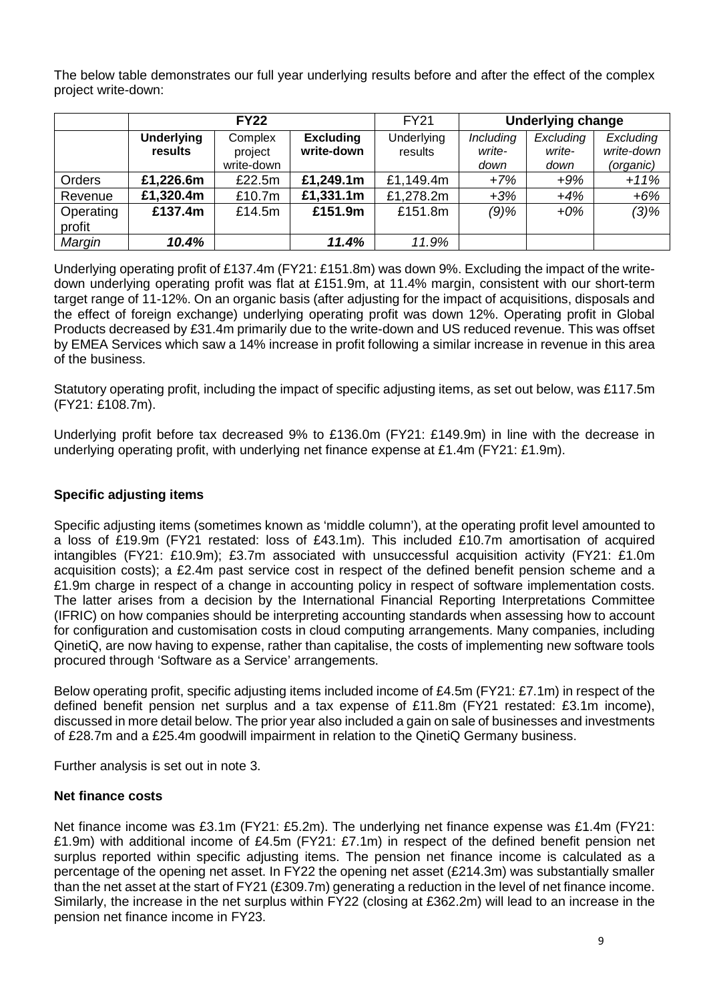The below table demonstrates our full year underlying results before and after the effect of the complex project write-down:

|               |                   | <b>FY22</b> |                  | <b>FY21</b> | <b>Underlying change</b> |           |            |
|---------------|-------------------|-------------|------------------|-------------|--------------------------|-----------|------------|
|               | <b>Underlying</b> | Complex     | <b>Excluding</b> |             | <b>Including</b>         | Excluding | Excluding  |
|               | results           | project     | write-down       | results     | write-                   | write-    | write-down |
|               |                   | write-down  |                  |             | down                     | down      | (organic)  |
| <b>Orders</b> | £1,226.6m         | £22.5m      | £1,249.1m        | £1,149.4m   | $+7%$                    | $+9%$     | $+11%$     |
| Revenue       | £1,320.4m         | £10.7m      | £1,331.1m        | £1,278.2m   | $+3%$                    | $+4%$     | $+6%$      |
| Operating     | £137.4m           | £14.5m      | £151.9m          | £151.8m     | $(9)$ %                  | $+0\%$    | $(3)\%$    |
| profit        |                   |             |                  |             |                          |           |            |
| Margin        | 10.4%             |             | 11.4%            | 11.9%       |                          |           |            |

Underlying operating profit of £137.4m (FY21: £151.8m) was down 9%. Excluding the impact of the writedown underlying operating profit was flat at £151.9m, at 11.4% margin, consistent with our short-term target range of 11-12%. On an organic basis (after adjusting for the impact of acquisitions, disposals and the effect of foreign exchange) underlying operating profit was down 12%. Operating profit in Global Products decreased by £31.4m primarily due to the write-down and US reduced revenue. This was offset by EMEA Services which saw a 14% increase in profit following a similar increase in revenue in this area of the business.

Statutory operating profit, including the impact of specific adjusting items, as set out below, was £117.5m (FY21: £108.7m).

Underlying profit before tax decreased 9% to £136.0m (FY21: £149.9m) in line with the decrease in underlying operating profit, with underlying net finance expense at £1.4m (FY21: £1.9m).

### **Specific adjusting items**

Specific adjusting items (sometimes known as 'middle column'), at the operating profit level amounted to a loss of £19.9m (FY21 restated: loss of £43.1m). This included £10.7m amortisation of acquired intangibles (FY21: £10.9m); £3.7m associated with unsuccessful acquisition activity (FY21: £1.0m acquisition costs); a £2.4m past service cost in respect of the defined benefit pension scheme and a £1.9m charge in respect of a change in accounting policy in respect of software implementation costs. The latter arises from a decision by the International Financial Reporting Interpretations Committee (IFRIC) on how companies should be interpreting accounting standards when assessing how to account for configuration and customisation costs in cloud computing arrangements. Many companies, including QinetiQ, are now having to expense, rather than capitalise, the costs of implementing new software tools procured through 'Software as a Service' arrangements.

Below operating profit, specific adjusting items included income of £4.5m (FY21: £7.1m) in respect of the defined benefit pension net surplus and a tax expense of £11.8m (FY21 restated: £3.1m income), discussed in more detail below. The prior year also included a gain on sale of businesses and investments of £28.7m and a £25.4m goodwill impairment in relation to the QinetiQ Germany business.

Further analysis is set out in note 3.

### **Net finance costs**

Net finance income was £3.1m (FY21: £5.2m). The underlying net finance expense was £1.4m (FY21: £1.9m) with additional income of £4.5m (FY21: £7.1m) in respect of the defined benefit pension net surplus reported within specific adjusting items. The pension net finance income is calculated as a percentage of the opening net asset. In FY22 the opening net asset (£214.3m) was substantially smaller than the net asset at the start of FY21 (£309.7m) generating a reduction in the level of net finance income. Similarly, the increase in the net surplus within FY22 (closing at £362.2m) will lead to an increase in the pension net finance income in FY23.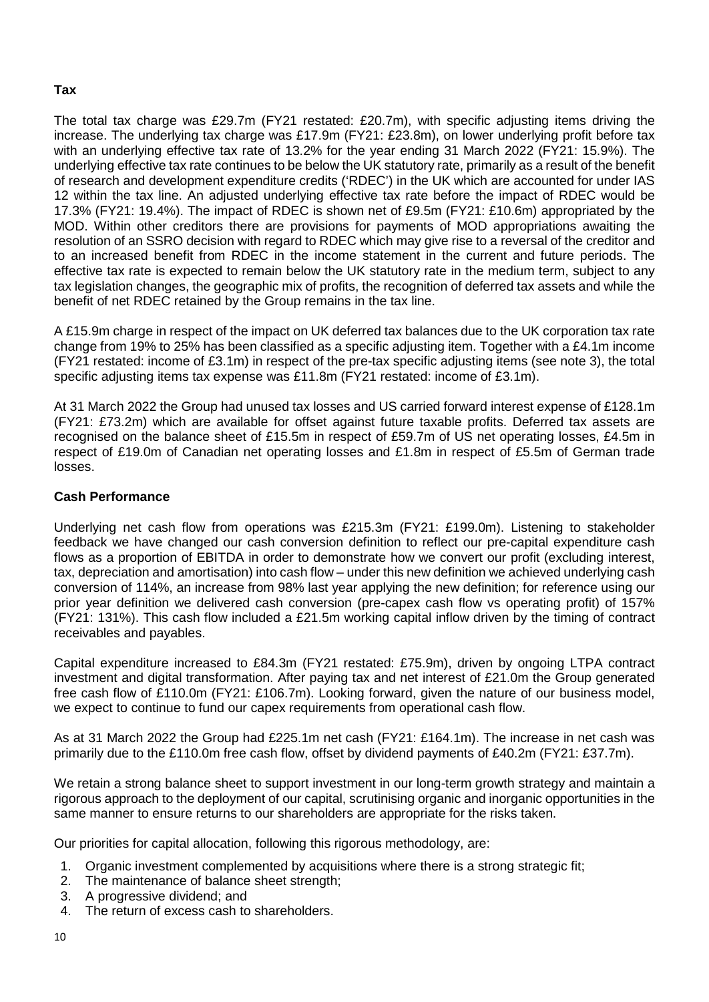### **Tax**

The total tax charge was £29.7m (FY21 restated: £20.7m), with specific adjusting items driving the increase. The underlying tax charge was £17.9m (FY21: £23.8m), on lower underlying profit before tax with an underlying effective tax rate of 13.2% for the year ending 31 March 2022 (FY21: 15.9%). The underlying effective tax rate continues to be below the UK statutory rate, primarily as a result of the benefit of research and development expenditure credits ('RDEC') in the UK which are accounted for under IAS 12 within the tax line. An adjusted underlying effective tax rate before the impact of RDEC would be 17.3% (FY21: 19.4%). The impact of RDEC is shown net of £9.5m (FY21: £10.6m) appropriated by the MOD. Within other creditors there are provisions for payments of MOD appropriations awaiting the resolution of an SSRO decision with regard to RDEC which may give rise to a reversal of the creditor and to an increased benefit from RDEC in the income statement in the current and future periods. The effective tax rate is expected to remain below the UK statutory rate in the medium term, subject to any tax legislation changes, the geographic mix of profits, the recognition of deferred tax assets and while the benefit of net RDEC retained by the Group remains in the tax line.

A £15.9m charge in respect of the impact on UK deferred tax balances due to the UK corporation tax rate change from 19% to 25% has been classified as a specific adjusting item. Together with a £4.1m income (FY21 restated: income of £3.1m) in respect of the pre-tax specific adjusting items (see note 3), the total specific adjusting items tax expense was £11.8m (FY21 restated: income of £3.1m).

At 31 March 2022 the Group had unused tax losses and US carried forward interest expense of £128.1m (FY21: £73.2m) which are available for offset against future taxable profits. Deferred tax assets are recognised on the balance sheet of £15.5m in respect of £59.7m of US net operating losses, £4.5m in respect of £19.0m of Canadian net operating losses and £1.8m in respect of £5.5m of German trade losses.

### **Cash Performance**

Underlying net cash flow from operations was £215.3m (FY21: £199.0m). Listening to stakeholder feedback we have changed our cash conversion definition to reflect our pre-capital expenditure cash flows as a proportion of EBITDA in order to demonstrate how we convert our profit (excluding interest, tax, depreciation and amortisation) into cash flow – under this new definition we achieved underlying cash conversion of 114%, an increase from 98% last year applying the new definition; for reference using our prior year definition we delivered cash conversion (pre-capex cash flow vs operating profit) of 157% (FY21: 131%). This cash flow included a £21.5m working capital inflow driven by the timing of contract receivables and payables.

Capital expenditure increased to £84.3m (FY21 restated: £75.9m), driven by ongoing LTPA contract investment and digital transformation. After paying tax and net interest of £21.0m the Group generated free cash flow of £110.0m (FY21: £106.7m). Looking forward, given the nature of our business model, we expect to continue to fund our capex requirements from operational cash flow.

As at 31 March 2022 the Group had £225.1m net cash (FY21: £164.1m). The increase in net cash was primarily due to the £110.0m free cash flow, offset by dividend payments of £40.2m (FY21: £37.7m).

We retain a strong balance sheet to support investment in our long-term growth strategy and maintain a rigorous approach to the deployment of our capital, scrutinising organic and inorganic opportunities in the same manner to ensure returns to our shareholders are appropriate for the risks taken.

Our priorities for capital allocation, following this rigorous methodology, are:

- 1. Organic investment complemented by acquisitions where there is a strong strategic fit;
- 2. The maintenance of balance sheet strength;
- 3. A progressive dividend; and
- 4. The return of excess cash to shareholders.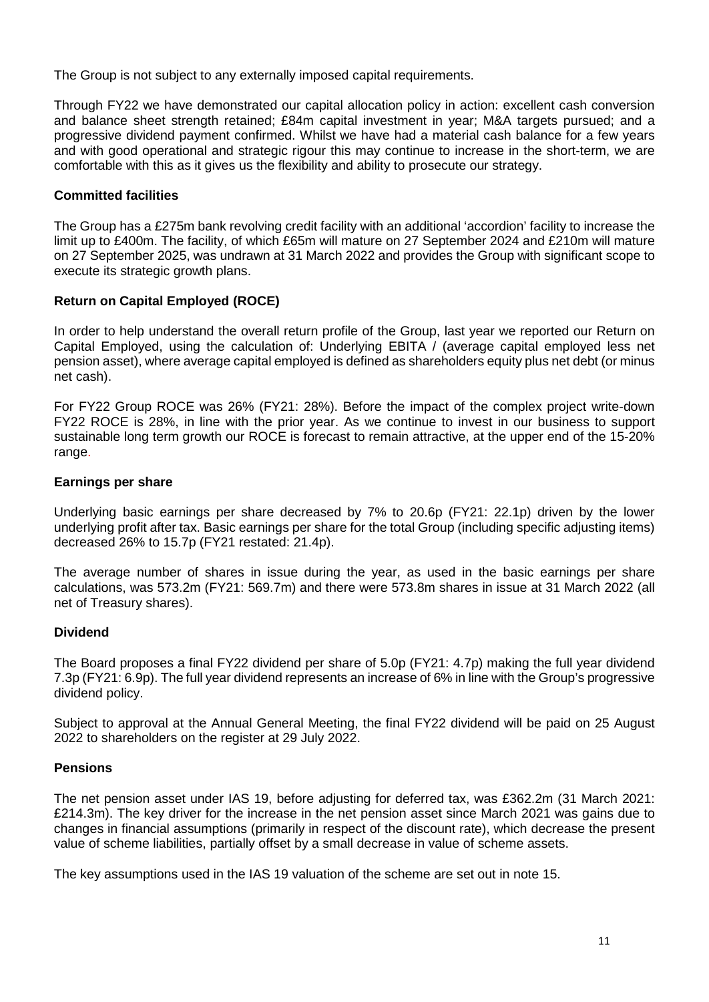The Group is not subject to any externally imposed capital requirements.

Through FY22 we have demonstrated our capital allocation policy in action: excellent cash conversion and balance sheet strength retained; £84m capital investment in year; M&A targets pursued; and a progressive dividend payment confirmed. Whilst we have had a material cash balance for a few years and with good operational and strategic rigour this may continue to increase in the short-term, we are comfortable with this as it gives us the flexibility and ability to prosecute our strategy.

### **Committed facilities**

The Group has a £275m bank revolving credit facility with an additional 'accordion' facility to increase the limit up to £400m. The facility, of which £65m will mature on 27 September 2024 and £210m will mature on 27 September 2025, was undrawn at 31 March 2022 and provides the Group with significant scope to execute its strategic growth plans.

### **Return on Capital Employed (ROCE)**

In order to help understand the overall return profile of the Group, last year we reported our Return on Capital Employed, using the calculation of: Underlying EBITA / (average capital employed less net pension asset), where average capital employed is defined as shareholders equity plus net debt (or minus net cash).

For FY22 Group ROCE was 26% (FY21: 28%). Before the impact of the complex project write-down FY22 ROCE is 28%, in line with the prior year. As we continue to invest in our business to support sustainable long term growth our ROCE is forecast to remain attractive, at the upper end of the 15-20% range.

### **Earnings per share**

Underlying basic earnings per share decreased by 7% to 20.6p (FY21: 22.1p) driven by the lower underlying profit after tax. Basic earnings per share for the total Group (including specific adjusting items) decreased 26% to 15.7p (FY21 restated: 21.4p).

The average number of shares in issue during the year, as used in the basic earnings per share calculations, was 573.2m (FY21: 569.7m) and there were 573.8m shares in issue at 31 March 2022 (all net of Treasury shares).

### **Dividend**

The Board proposes a final FY22 dividend per share of 5.0p (FY21: 4.7p) making the full year dividend 7.3p (FY21: 6.9p). The full year dividend represents an increase of 6% in line with the Group's progressive dividend policy.

Subject to approval at the Annual General Meeting, the final FY22 dividend will be paid on 25 August 2022 to shareholders on the register at 29 July 2022.

### **Pensions**

The net pension asset under IAS 19, before adjusting for deferred tax, was £362.2m (31 March 2021: £214.3m). The key driver for the increase in the net pension asset since March 2021 was gains due to changes in financial assumptions (primarily in respect of the discount rate), which decrease the present value of scheme liabilities, partially offset by a small decrease in value of scheme assets.

The key assumptions used in the IAS 19 valuation of the scheme are set out in note 15.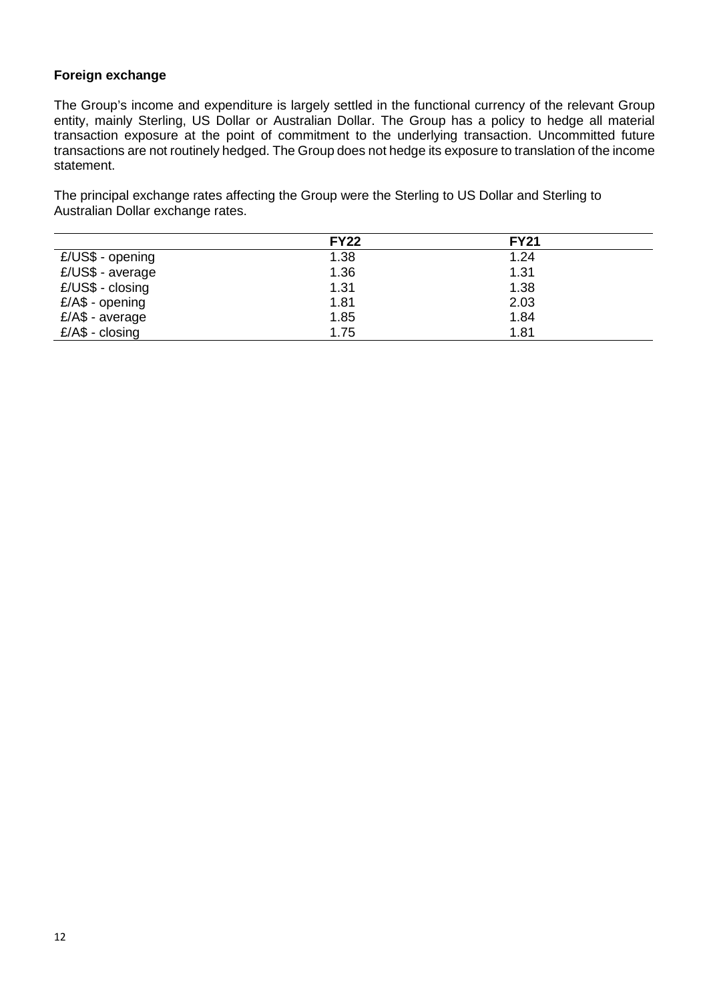### **Foreign exchange**

The Group's income and expenditure is largely settled in the functional currency of the relevant Group entity, mainly Sterling, US Dollar or Australian Dollar. The Group has a policy to hedge all material transaction exposure at the point of commitment to the underlying transaction. Uncommitted future transactions are not routinely hedged. The Group does not hedge its exposure to translation of the income statement.

The principal exchange rates affecting the Group were the Sterling to US Dollar and Sterling to Australian Dollar exchange rates.

|                   | <b>FY22</b> | <b>FY21</b> |  |
|-------------------|-------------|-------------|--|
| £/US\$ - opening  | 1.38        | 1.24        |  |
| £/US\$ - average  | 1.36        | 1.31        |  |
| $E/US$$ - closing | 1.31        | 1.38        |  |
| $E/AS$ - opening  | 1.81        | 2.03        |  |
| $E/AS$ - average  | 1.85        | 1.84        |  |
| $E/AS - closing$  | 1.75        | 1.81        |  |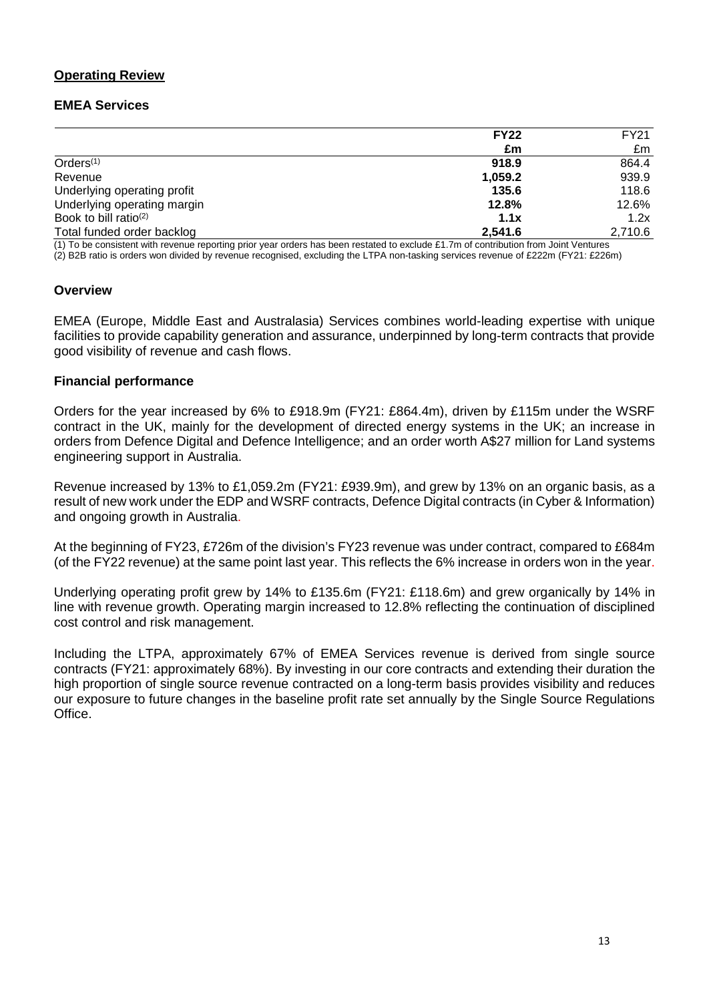### **Operating Review**

### **EMEA Services**

| <b>FY22</b> | FY21    |
|-------------|---------|
| £m          | £m      |
| 918.9       | 864.4   |
| 1,059.2     | 939.9   |
| 135.6       | 118.6   |
| 12.8%       | 12.6%   |
| 1.1x        | 1.2x    |
| 2.541.6     | 2,710.6 |
|             |         |

onsistent with revenue reporting prior year orders has been restated to exclude £1.7m of contribution from Joint (2) B2B ratio is orders won divided by revenue recognised, excluding the LTPA non-tasking services revenue of £222m (FY21: £226m)

### **Overview**

EMEA (Europe, Middle East and Australasia) Services combines world-leading expertise with unique facilities to provide capability generation and assurance, underpinned by long-term contracts that provide good visibility of revenue and cash flows.

### **Financial performance**

Orders for the year increased by 6% to £918.9m (FY21: £864.4m), driven by £115m under the WSRF contract in the UK, mainly for the development of directed energy systems in the UK; an increase in orders from Defence Digital and Defence Intelligence; and an order worth A\$27 million for Land systems engineering support in Australia.

Revenue increased by 13% to £1,059.2m (FY21: £939.9m), and grew by 13% on an organic basis, as a result of new work under the EDP and WSRF contracts, Defence Digital contracts (in Cyber & Information) and ongoing growth in Australia.

At the beginning of FY23, £726m of the division's FY23 revenue was under contract, compared to £684m (of the FY22 revenue) at the same point last year. This reflects the 6% increase in orders won in the year.

Underlying operating profit grew by 14% to £135.6m (FY21: £118.6m) and grew organically by 14% in line with revenue growth. Operating margin increased to 12.8% reflecting the continuation of disciplined cost control and risk management.

Including the LTPA, approximately 67% of EMEA Services revenue is derived from single source contracts (FY21: approximately 68%). By investing in our core contracts and extending their duration the high proportion of single source revenue contracted on a long-term basis provides visibility and reduces our exposure to future changes in the baseline profit rate set annually by the Single Source Regulations Office.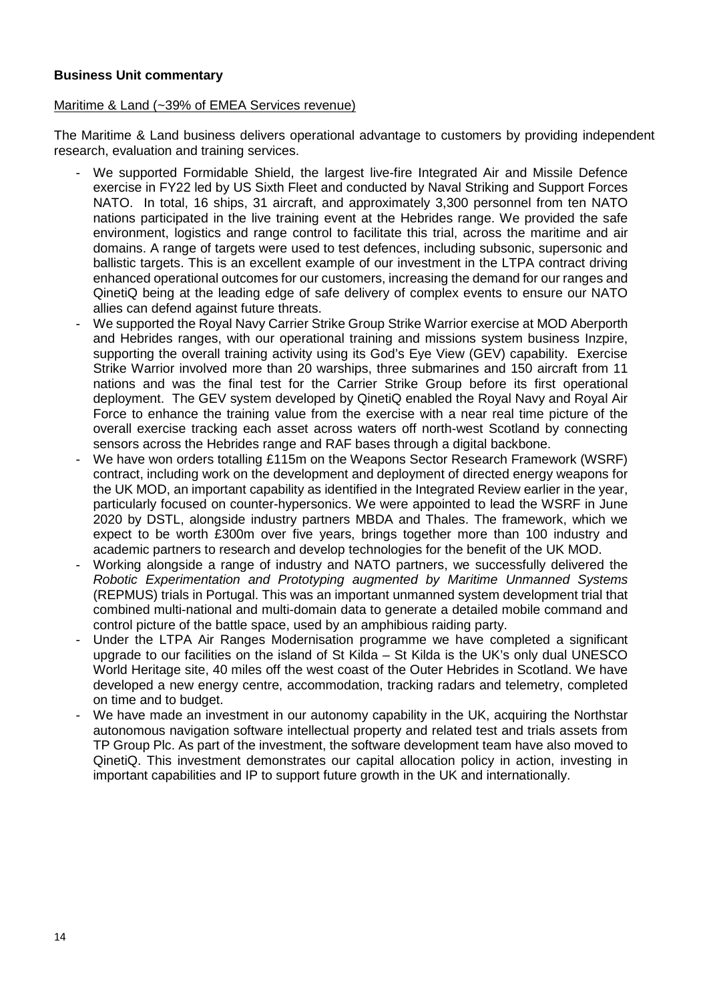### **Business Unit commentary**

### Maritime & Land (~39% of EMEA Services revenue)

The Maritime & Land business delivers operational advantage to customers by providing independent research, evaluation and training services.

- We supported Formidable Shield, the largest live-fire Integrated Air and Missile Defence exercise in FY22 led by US Sixth Fleet and conducted by Naval Striking and Support Forces NATO. In total, 16 ships, 31 aircraft, and approximately 3,300 personnel from ten NATO nations participated in the live training event at the Hebrides range. We provided the safe environment, logistics and range control to facilitate this trial, across the maritime and air domains. A range of targets were used to test defences, including subsonic, supersonic and ballistic targets. This is an excellent example of our investment in the LTPA contract driving enhanced operational outcomes for our customers, increasing the demand for our ranges and QinetiQ being at the leading edge of safe delivery of complex events to ensure our NATO allies can defend against future threats.
- We supported the Royal Navy Carrier Strike Group Strike Warrior exercise at MOD Aberporth and Hebrides ranges, with our operational training and missions system business Inzpire, supporting the overall training activity using its God's Eye View (GEV) capability. Exercise Strike Warrior involved more than 20 warships, three submarines and 150 aircraft from 11 nations and was the final test for the Carrier Strike Group before its first operational deployment. The GEV system developed by QinetiQ enabled the Royal Navy and Royal Air Force to enhance the training value from the exercise with a near real time picture of the overall exercise tracking each asset across waters off north-west Scotland by connecting sensors across the Hebrides range and RAF bases through a digital backbone.
- We have won orders totalling £115m on the Weapons Sector Research Framework (WSRF) contract, including work on the development and deployment of directed energy weapons for the UK MOD, an important capability as identified in the Integrated Review earlier in the year, particularly focused on counter-hypersonics. We were appointed to lead the WSRF in June 2020 by DSTL, alongside industry partners MBDA and Thales. The framework, which we expect to be worth £300m over five years, brings together more than 100 industry and academic partners to research and develop technologies for the benefit of the UK MOD.
- Working alongside a range of industry and NATO partners, we successfully delivered the *Robotic Experimentation and Prototyping augmented by Maritime Unmanned Systems* (REPMUS) trials in Portugal. This was an important unmanned system development trial that combined multi-national and multi-domain data to generate a detailed mobile command and control picture of the battle space, used by an amphibious raiding party.
- Under the LTPA Air Ranges Modernisation programme we have completed a significant upgrade to our facilities on the island of St Kilda – St Kilda is the UK's only dual UNESCO World Heritage site, 40 miles off the west coast of the Outer Hebrides in Scotland. We have developed a new energy centre, accommodation, tracking radars and telemetry, completed on time and to budget.
- We have made an investment in our autonomy capability in the UK, acquiring the Northstar autonomous navigation software intellectual property and related test and trials assets from TP Group Plc. As part of the investment, the software development team have also moved to QinetiQ. This investment demonstrates our capital allocation policy in action, investing in important capabilities and IP to support future growth in the UK and internationally.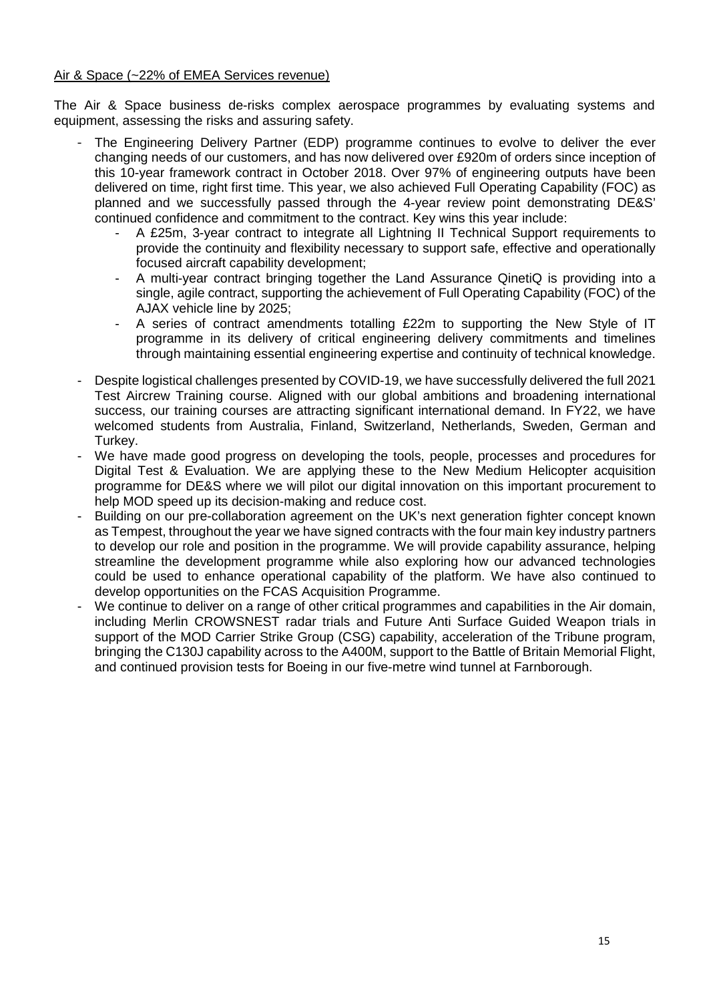### Air & Space (~22% of EMEA Services revenue)

The Air & Space business de-risks complex aerospace programmes by evaluating systems and equipment, assessing the risks and assuring safety.

- The Engineering Delivery Partner (EDP) programme continues to evolve to deliver the ever changing needs of our customers, and has now delivered over £920m of orders since inception of this 10-year framework contract in October 2018. Over 97% of engineering outputs have been delivered on time, right first time. This year, we also achieved Full Operating Capability (FOC) as planned and we successfully passed through the 4-year review point demonstrating DE&S' continued confidence and commitment to the contract. Key wins this year include:
	- A £25m, 3-year contract to integrate all Lightning II Technical Support requirements to provide the continuity and flexibility necessary to support safe, effective and operationally focused aircraft capability development;
	- A multi-year contract bringing together the Land Assurance QinetiQ is providing into a single, agile contract, supporting the achievement of Full Operating Capability (FOC) of the AJAX vehicle line by 2025;
	- A series of contract amendments totalling £22m to supporting the New Style of IT programme in its delivery of critical engineering delivery commitments and timelines through maintaining essential engineering expertise and continuity of technical knowledge.
- Despite logistical challenges presented by COVID-19, we have successfully delivered the full 2021 Test Aircrew Training course. Aligned with our global ambitions and broadening international success, our training courses are attracting significant international demand. In FY22, we have welcomed students from Australia, Finland, Switzerland, Netherlands, Sweden, German and Turkey.
- We have made good progress on developing the tools, people, processes and procedures for Digital Test & Evaluation. We are applying these to the New Medium Helicopter acquisition programme for DE&S where we will pilot our digital innovation on this important procurement to help MOD speed up its decision-making and reduce cost.
- Building on our pre-collaboration agreement on the UK's next generation fighter concept known as Tempest, throughout the year we have signed contracts with the four main key industry partners to develop our role and position in the programme. We will provide capability assurance, helping streamline the development programme while also exploring how our advanced technologies could be used to enhance operational capability of the platform. We have also continued to develop opportunities on the FCAS Acquisition Programme.
- We continue to deliver on a range of other critical programmes and capabilities in the Air domain, including Merlin CROWSNEST radar trials and Future Anti Surface Guided Weapon trials in support of the MOD Carrier Strike Group (CSG) capability, acceleration of the Tribune program, bringing the C130J capability across to the A400M, support to the Battle of Britain Memorial Flight, and continued provision tests for Boeing in our five-metre wind tunnel at Farnborough.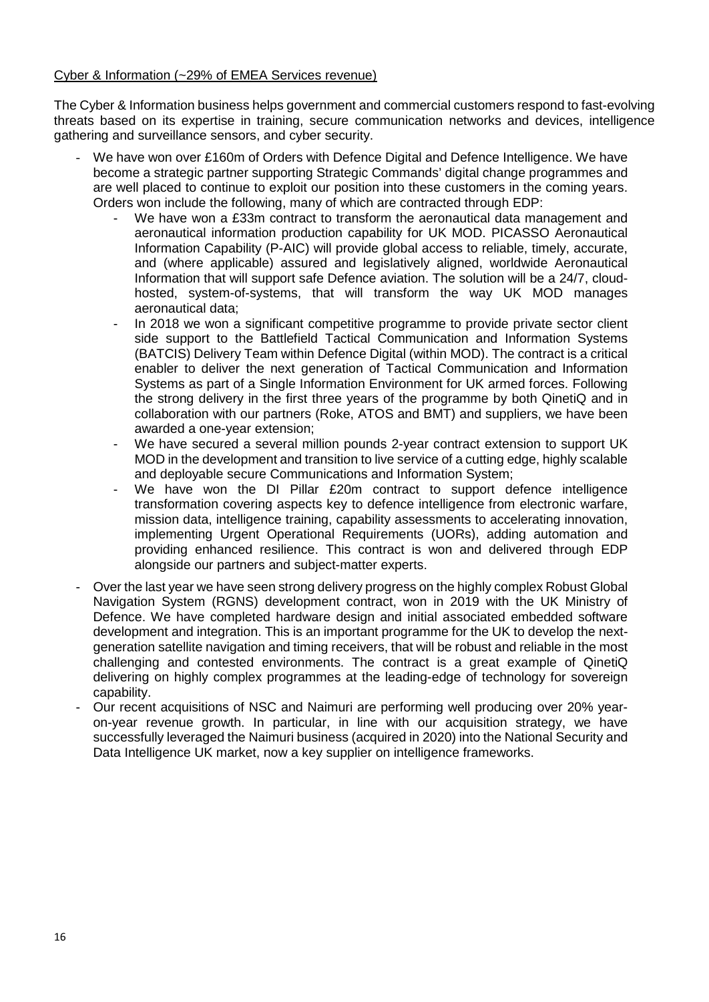### Cyber & Information (~29% of EMEA Services revenue)

The Cyber & Information business helps government and commercial customers respond to fast-evolving threats based on its expertise in training, secure communication networks and devices, intelligence gathering and surveillance sensors, and cyber security.

- We have won over £160m of Orders with Defence Digital and Defence Intelligence. We have become a strategic partner supporting Strategic Commands' digital change programmes and are well placed to continue to exploit our position into these customers in the coming years. Orders won include the following, many of which are contracted through EDP:
	- We have won a £33m contract to transform the aeronautical data management and aeronautical information production capability for UK MOD. PICASSO Aeronautical Information Capability (P-AIC) will provide global access to reliable, timely, accurate, and (where applicable) assured and legislatively aligned, worldwide Aeronautical Information that will support safe Defence aviation. The solution will be a 24/7, cloudhosted, system-of-systems, that will transform the way UK MOD manages aeronautical data;
	- In 2018 we won a significant competitive programme to provide private sector client side support to the Battlefield Tactical Communication and Information Systems (BATCIS) Delivery Team within Defence Digital (within MOD). The contract is a critical enabler to deliver the next generation of Tactical Communication and Information Systems as part of a Single Information Environment for UK armed forces. Following the strong delivery in the first three years of the programme by both QinetiQ and in collaboration with our partners (Roke, ATOS and BMT) and suppliers, we have been awarded a one-year extension;
	- We have secured a several million pounds 2-year contract extension to support UK MOD in the development and transition to live service of a cutting edge, highly scalable and deployable secure Communications and Information System;
	- We have won the DI Pillar £20m contract to support defence intelligence transformation covering aspects key to defence intelligence from electronic warfare, mission data, intelligence training, capability assessments to accelerating innovation, implementing Urgent Operational Requirements (UORs), adding automation and providing enhanced resilience. This contract is won and delivered through EDP alongside our partners and subject-matter experts.
- Over the last year we have seen strong delivery progress on the highly complex Robust Global Navigation System (RGNS) development contract, won in 2019 with the UK Ministry of Defence. We have completed hardware design and initial associated embedded software development and integration. This is an important programme for the UK to develop the nextgeneration satellite navigation and timing receivers, that will be robust and reliable in the most challenging and contested environments. The contract is a great example of QinetiQ delivering on highly complex programmes at the leading-edge of technology for sovereign capability.
- Our recent acquisitions of NSC and Naimuri are performing well producing over 20% yearon-year revenue growth. In particular, in line with our acquisition strategy, we have successfully leveraged the Naimuri business (acquired in 2020) into the National Security and Data Intelligence UK market, now a key supplier on intelligence frameworks.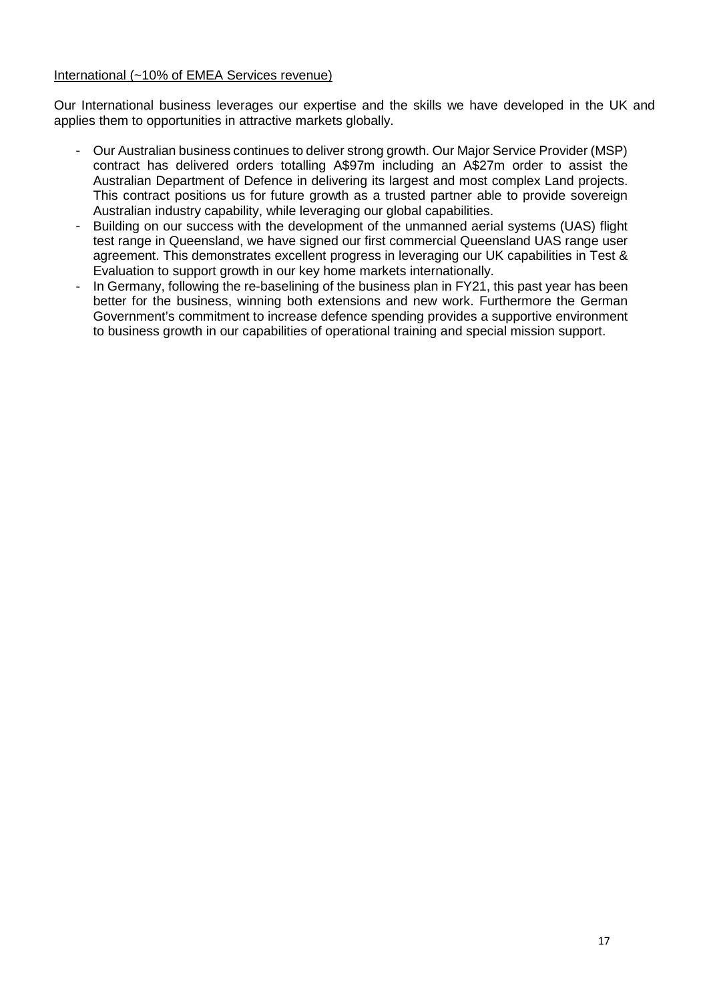### International (~10% of EMEA Services revenue)

Our International business leverages our expertise and the skills we have developed in the UK and applies them to opportunities in attractive markets globally.

- Our Australian business continues to deliver strong growth. Our Major Service Provider (MSP) contract has delivered orders totalling A\$97m including an A\$27m order to assist the Australian Department of Defence in delivering its largest and most complex Land projects. This contract positions us for future growth as a trusted partner able to provide sovereign Australian industry capability, while leveraging our global capabilities.
- Building on our success with the development of the unmanned aerial systems (UAS) flight test range in Queensland, we have signed our first commercial Queensland UAS range user agreement. This demonstrates excellent progress in leveraging our UK capabilities in Test & Evaluation to support growth in our key home markets internationally.
- In Germany, following the re-baselining of the business plan in FY21, this past year has been better for the business, winning both extensions and new work. Furthermore the German Government's commitment to increase defence spending provides a supportive environment to business growth in our capabilities of operational training and special mission support.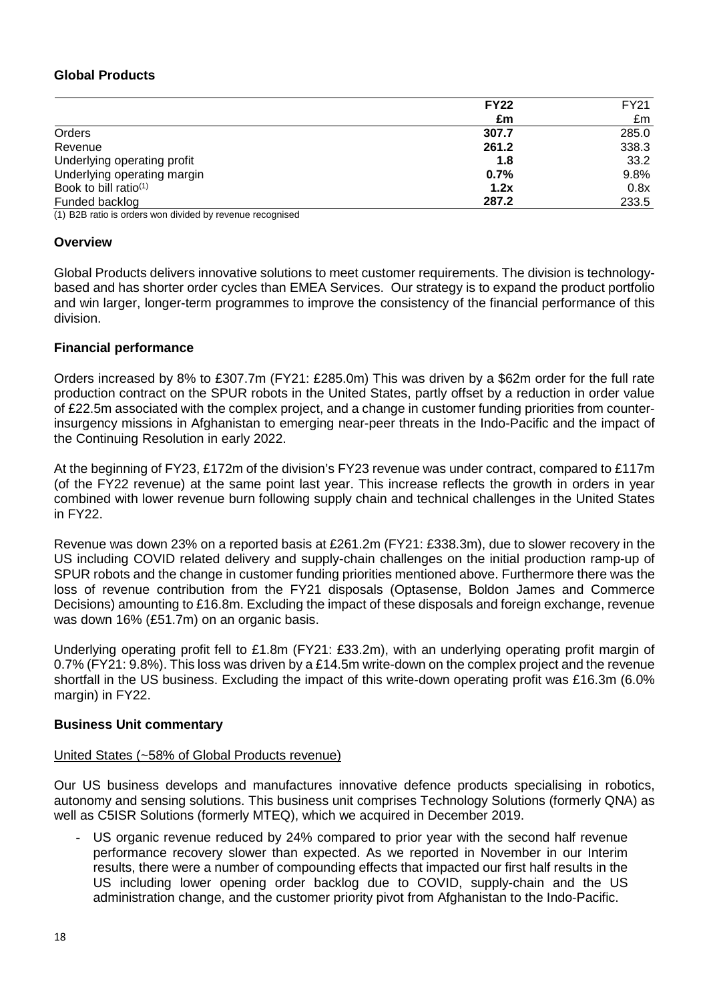### **Global Products**

|                                   | <b>FY22</b> | <b>FY21</b> |
|-----------------------------------|-------------|-------------|
|                                   | £m          | £m          |
| Orders                            | 307.7       | 285.0       |
| Revenue                           | 261.2       | 338.3       |
| Underlying operating profit       | 1.8         | 33.2        |
| Underlying operating margin       | 0.7%        | 9.8%        |
| Book to bill ratio <sup>(1)</sup> | 1.2x        | 0.8x        |
| Funded backlog                    | 287.2       | 233.5       |
|                                   |             |             |

(1) B2B ratio is orders won divided by revenue recognised

### **Overview**

Global Products delivers innovative solutions to meet customer requirements. The division is technologybased and has shorter order cycles than EMEA Services. Our strategy is to expand the product portfolio and win larger, longer-term programmes to improve the consistency of the financial performance of this division.

### **Financial performance**

Orders increased by 8% to £307.7m (FY21: £285.0m) This was driven by a \$62m order for the full rate production contract on the SPUR robots in the United States, partly offset by a reduction in order value of £22.5m associated with the complex project, and a change in customer funding priorities from counterinsurgency missions in Afghanistan to emerging near-peer threats in the Indo-Pacific and the impact of the Continuing Resolution in early 2022.

At the beginning of FY23, £172m of the division's FY23 revenue was under contract, compared to £117m (of the FY22 revenue) at the same point last year. This increase reflects the growth in orders in year combined with lower revenue burn following supply chain and technical challenges in the United States in FY22.

Revenue was down 23% on a reported basis at £261.2m (FY21: £338.3m), due to slower recovery in the US including COVID related delivery and supply-chain challenges on the initial production ramp-up of SPUR robots and the change in customer funding priorities mentioned above. Furthermore there was the loss of revenue contribution from the FY21 disposals (Optasense, Boldon James and Commerce Decisions) amounting to £16.8m. Excluding the impact of these disposals and foreign exchange, revenue was down 16% (£51.7m) on an organic basis.

Underlying operating profit fell to £1.8m (FY21: £33.2m), with an underlying operating profit margin of 0.7% (FY21: 9.8%). This loss was driven by a £14.5m write-down on the complex project and the revenue shortfall in the US business. Excluding the impact of this write-down operating profit was £16.3m (6.0% margin) in FY22.

### **Business Unit commentary**

### United States (~58% of Global Products revenue)

Our US business develops and manufactures innovative defence products specialising in robotics, autonomy and sensing solutions. This business unit comprises Technology Solutions (formerly QNA) as well as C5ISR Solutions (formerly MTEQ), which we acquired in December 2019.

US organic revenue reduced by 24% compared to prior year with the second half revenue performance recovery slower than expected. As we reported in November in our Interim results, there were a number of compounding effects that impacted our first half results in the US including lower opening order backlog due to COVID, supply-chain and the US administration change, and the customer priority pivot from Afghanistan to the Indo-Pacific.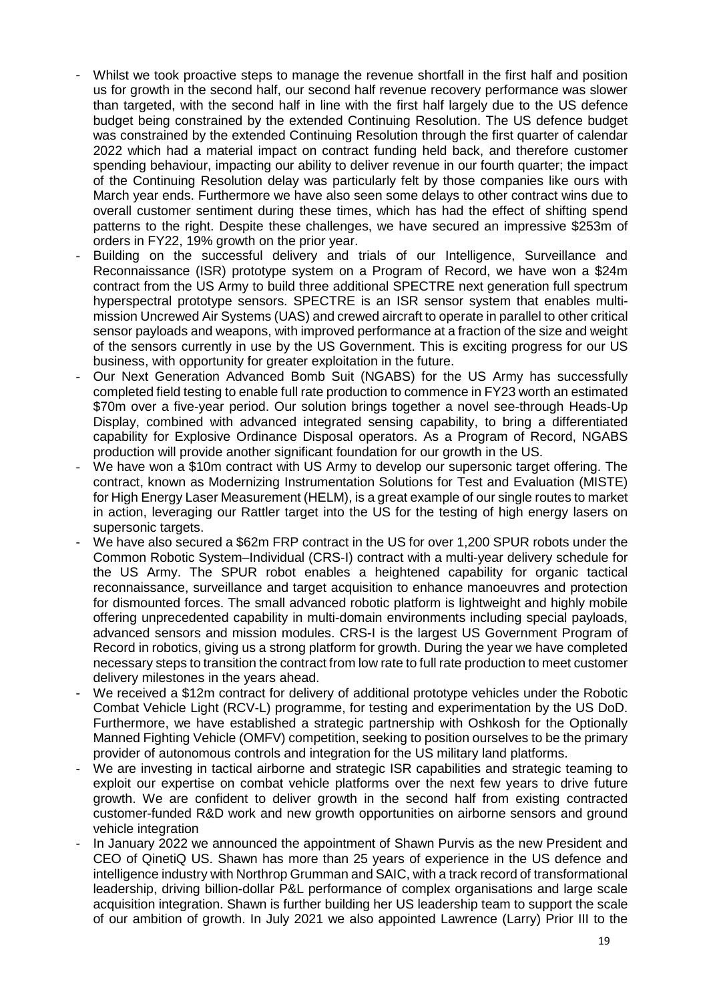- Whilst we took proactive steps to manage the revenue shortfall in the first half and position us for growth in the second half, our second half revenue recovery performance was slower than targeted, with the second half in line with the first half largely due to the US defence budget being constrained by the extended Continuing Resolution. The US defence budget was constrained by the extended Continuing Resolution through the first quarter of calendar 2022 which had a material impact on contract funding held back, and therefore customer spending behaviour, impacting our ability to deliver revenue in our fourth quarter; the impact of the Continuing Resolution delay was particularly felt by those companies like ours with March year ends. Furthermore we have also seen some delays to other contract wins due to overall customer sentiment during these times, which has had the effect of shifting spend patterns to the right. Despite these challenges, we have secured an impressive \$253m of orders in FY22, 19% growth on the prior year.
- Building on the successful delivery and trials of our Intelligence, Surveillance and Reconnaissance (ISR) prototype system on a Program of Record, we have won a \$24m contract from the US Army to build three additional SPECTRE next generation full spectrum hyperspectral prototype sensors. SPECTRE is an ISR sensor system that enables multimission Uncrewed Air Systems (UAS) and crewed aircraft to operate in parallel to other critical sensor payloads and weapons, with improved performance at a fraction of the size and weight of the sensors currently in use by the US Government. This is exciting progress for our US business, with opportunity for greater exploitation in the future.
- Our Next Generation Advanced Bomb Suit (NGABS) for the US Army has successfully completed field testing to enable full rate production to commence in FY23 worth an estimated \$70m over a five-year period. Our solution brings together a novel see-through Heads-Up Display, combined with advanced integrated sensing capability, to bring a differentiated capability for Explosive Ordinance Disposal operators. As a Program of Record, NGABS production will provide another significant foundation for our growth in the US.
- We have won a \$10m contract with US Army to develop our supersonic target offering. The contract, known as Modernizing Instrumentation Solutions for Test and Evaluation (MISTE) for High Energy Laser Measurement (HELM), is a great example of our single routes to market in action, leveraging our Rattler target into the US for the testing of high energy lasers on supersonic targets.
- We have also secured a \$62m FRP contract in the US for over 1,200 SPUR robots under the Common Robotic System–Individual (CRS-I) contract with a multi-year delivery schedule for the US Army. The SPUR robot enables a heightened capability for organic tactical reconnaissance, surveillance and target acquisition to enhance manoeuvres and protection for dismounted forces. The small advanced robotic platform is lightweight and highly mobile offering unprecedented capability in multi-domain environments including special payloads, advanced sensors and mission modules. CRS-I is the largest US Government Program of Record in robotics, giving us a strong platform for growth. During the year we have completed necessary steps to transition the contract from low rate to full rate production to meet customer delivery milestones in the years ahead.
- We received a \$12m contract for delivery of additional prototype vehicles under the Robotic Combat Vehicle Light (RCV-L) programme, for testing and experimentation by the US DoD. Furthermore, we have established a strategic partnership with Oshkosh for the Optionally Manned Fighting Vehicle (OMFV) competition, seeking to position ourselves to be the primary provider of autonomous controls and integration for the US military land platforms.
- We are investing in tactical airborne and strategic ISR capabilities and strategic teaming to exploit our expertise on combat vehicle platforms over the next few years to drive future growth. We are confident to deliver growth in the second half from existing contracted customer-funded R&D work and new growth opportunities on airborne sensors and ground vehicle integration
- In January 2022 we announced the appointment of Shawn Purvis as the new President and CEO of QinetiQ US. Shawn has more than 25 years of experience in the US defence and intelligence industry with Northrop Grumman and SAIC, with a track record of transformational leadership, driving billion-dollar P&L performance of complex organisations and large scale acquisition integration. Shawn is further building her US leadership team to support the scale of our ambition of growth. In July 2021 we also appointed Lawrence (Larry) Prior III to the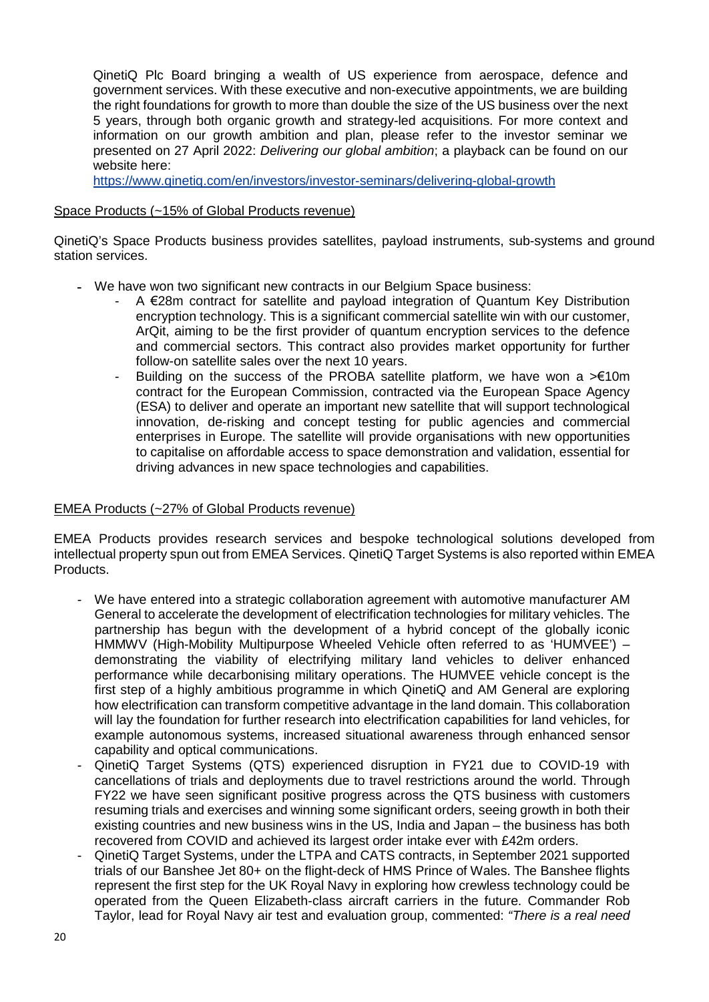QinetiQ Plc Board bringing a wealth of US experience from aerospace, defence and government services. With these executive and non-executive appointments, we are building the right foundations for growth to more than double the size of the US business over the next 5 years, through both organic growth and strategy-led acquisitions. For more context and information on our growth ambition and plan, please refer to the investor seminar we presented on 27 April 2022: *Delivering our global ambition*; a playback can be found on our website here:

<https://www.qinetiq.com/en/investors/investor-seminars/delivering-global-growth>

### Space Products (~15% of Global Products revenue)

QinetiQ's Space Products business provides satellites, payload instruments, sub-systems and ground station services.

- **-** We have won two significant new contracts in our Belgium Space business:
	- A €28m contract for satellite and payload integration of Quantum Key Distribution encryption technology. This is a significant commercial satellite win with our customer, ArQit, aiming to be the first provider of quantum encryption services to the defence and commercial sectors. This contract also provides market opportunity for further follow-on satellite sales over the next 10 years.
	- Building on the success of the PROBA satellite platform, we have won a  $>€10m$ contract for the European Commission, contracted via the European Space Agency (ESA) to deliver and operate an important new satellite that will support technological innovation, de-risking and concept testing for public agencies and commercial enterprises in Europe. The satellite will provide organisations with new opportunities to capitalise on affordable access to space demonstration and validation, essential for driving advances in new space technologies and capabilities.

### EMEA Products (~27% of Global Products revenue)

EMEA Products provides research services and bespoke technological solutions developed from intellectual property spun out from EMEA Services. QinetiQ Target Systems is also reported within EMEA Products.

- We have entered into a strategic collaboration agreement with automotive manufacturer AM General to accelerate the development of electrification technologies for military vehicles. The partnership has begun with the development of a hybrid concept of the globally iconic HMMWV (High-Mobility Multipurpose Wheeled Vehicle often referred to as 'HUMVEE') – demonstrating the viability of electrifying military land vehicles to deliver enhanced performance while decarbonising military operations. The HUMVEE vehicle concept is the first step of a highly ambitious programme in which QinetiQ and AM General are exploring how electrification can transform competitive advantage in the land domain. This collaboration will lay the foundation for further research into electrification capabilities for land vehicles, for example autonomous systems, increased situational awareness through enhanced sensor capability and optical communications.
- QinetiQ Target Systems (QTS) experienced disruption in FY21 due to COVID-19 with cancellations of trials and deployments due to travel restrictions around the world. Through FY22 we have seen significant positive progress across the QTS business with customers resuming trials and exercises and winning some significant orders, seeing growth in both their existing countries and new business wins in the US, India and Japan – the business has both recovered from COVID and achieved its largest order intake ever with £42m orders.
- QinetiQ Target Systems, under the LTPA and CATS contracts, in September 2021 supported trials of our Banshee Jet 80+ on the flight-deck of HMS Prince of Wales. The Banshee flights represent the first step for the UK Royal Navy in exploring how crewless technology could be operated from the Queen Elizabeth-class aircraft carriers in the future. Commander Rob Taylor, lead for Royal Navy air test and evaluation group, commented: *"There is a real need*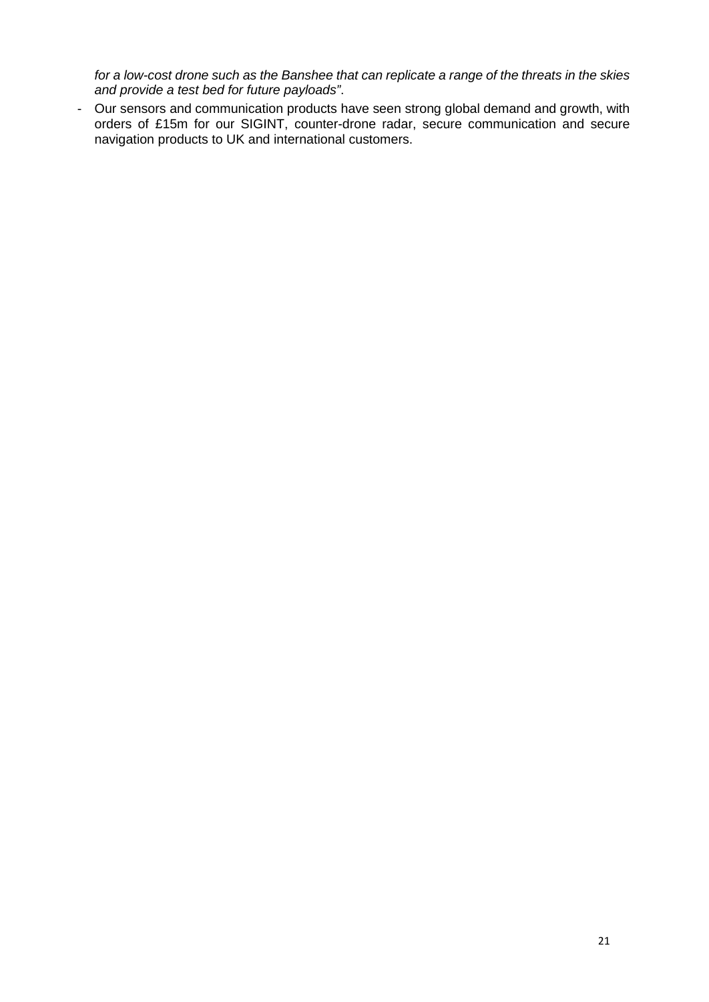*for a low-cost drone such as the Banshee that can replicate a range of the threats in the skies and provide a test bed for future payloads"*.

- Our sensors and communication products have seen strong global demand and growth, with orders of £15m for our SIGINT, counter-drone radar, secure communication and secure navigation products to UK and international customers.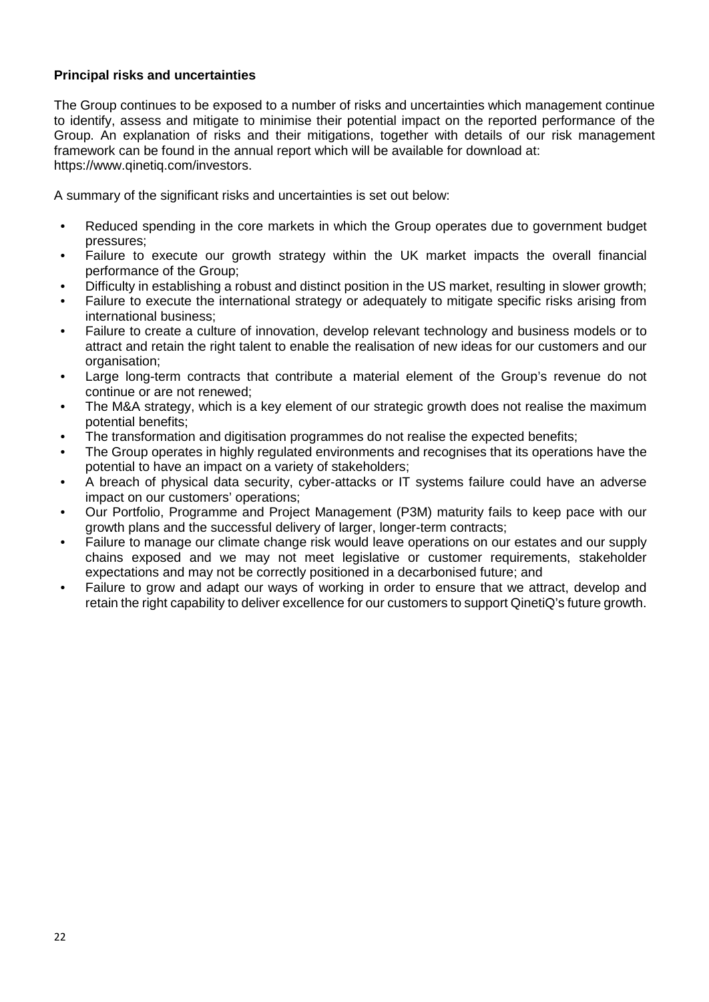### **Principal risks and uncertainties**

The Group continues to be exposed to a number of risks and uncertainties which management continue to identify, assess and mitigate to minimise their potential impact on the reported performance of the Group. An explanation of risks and their mitigations, together with details of our risk management framework can be found in the annual report which will be available for download at: https://www.qinetiq.com/investors.

A summary of the significant risks and uncertainties is set out below:

- Reduced spending in the core markets in which the Group operates due to government budget pressures;
- Failure to execute our growth strategy within the UK market impacts the overall financial performance of the Group;
- Difficulty in establishing a robust and distinct position in the US market, resulting in slower growth;
- Failure to execute the international strategy or adequately to mitigate specific risks arising from international business;
- Failure to create a culture of innovation, develop relevant technology and business models or to attract and retain the right talent to enable the realisation of new ideas for our customers and our organisation;
- Large long-term contracts that contribute a material element of the Group's revenue do not continue or are not renewed;
- The M&A strategy, which is a key element of our strategic growth does not realise the maximum potential benefits;
- The transformation and digitisation programmes do not realise the expected benefits;
- The Group operates in highly regulated environments and recognises that its operations have the potential to have an impact on a variety of stakeholders;
- A breach of physical data security, cyber-attacks or IT systems failure could have an adverse impact on our customers' operations;
- Our Portfolio, Programme and Project Management (P3M) maturity fails to keep pace with our growth plans and the successful delivery of larger, longer-term contracts;
- Failure to manage our climate change risk would leave operations on our estates and our supply chains exposed and we may not meet legislative or customer requirements, stakeholder expectations and may not be correctly positioned in a decarbonised future; and
- Failure to grow and adapt our ways of working in order to ensure that we attract, develop and retain the right capability to deliver excellence for our customers to support QinetiQ's future growth.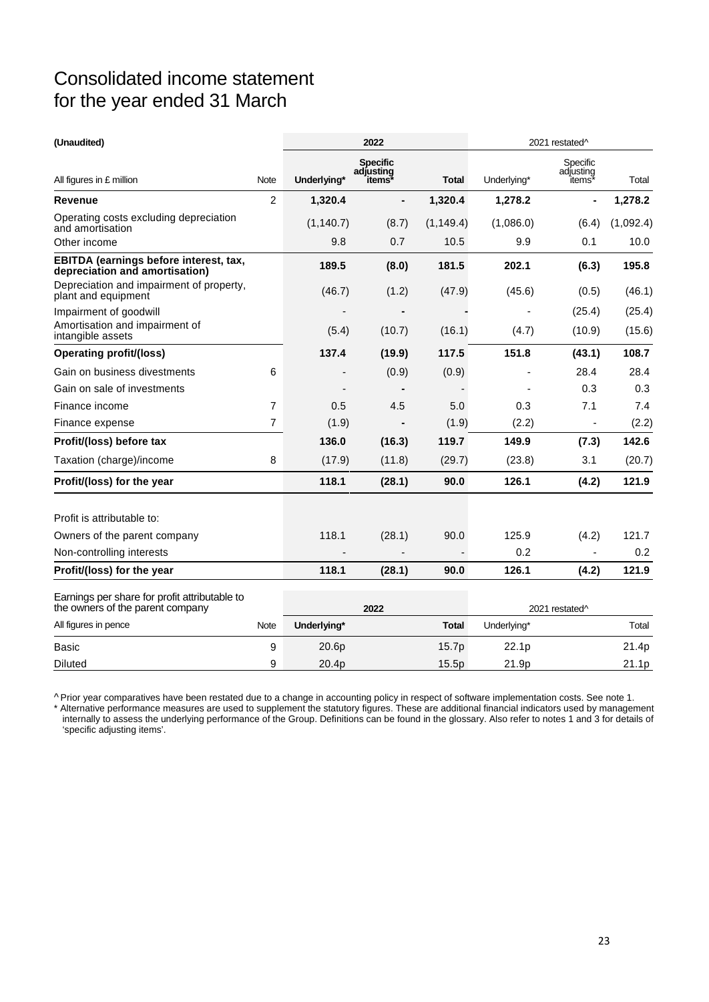## Consolidated income statement for the year ended 31 March

| (Unaudited)                                                                       |                |             | 2022                                   |              | 2021 restated <sup>^</sup> |                                             |           |
|-----------------------------------------------------------------------------------|----------------|-------------|----------------------------------------|--------------|----------------------------|---------------------------------------------|-----------|
| All figures in £ million                                                          | Note           | Underlying* | <b>Specific</b><br>adiusting<br>items* | <b>Total</b> | Underlying*                | Specific<br>adjusting<br>îtems <sup>*</sup> | Total     |
| <b>Revenue</b>                                                                    | 2              | 1,320.4     |                                        | 1,320.4      | 1,278.2                    | $\blacksquare$                              | 1,278.2   |
| Operating costs excluding depreciation<br>and amortisation                        |                | (1, 140.7)  | (8.7)                                  | (1, 149.4)   | (1,086.0)                  | (6.4)                                       | (1,092.4) |
| Other income                                                                      |                | 9.8         | 0.7                                    | 10.5         | 9.9                        | 0.1                                         | 10.0      |
| EBITDA (earnings before interest, tax,<br>depreciation and amortisation)          |                | 189.5       | (8.0)                                  | 181.5        | 202.1                      | (6.3)                                       | 195.8     |
| Depreciation and impairment of property,<br>plant and equipment                   |                | (46.7)      | (1.2)                                  | (47.9)       | (45.6)                     | (0.5)                                       | (46.1)    |
| Impairment of goodwill                                                            |                |             |                                        |              |                            | (25.4)                                      | (25.4)    |
| Amortisation and impairment of<br>intangible assets                               |                | (5.4)       | (10.7)                                 | (16.1)       | (4.7)                      | (10.9)                                      | (15.6)    |
| <b>Operating profit/(loss)</b>                                                    |                | 137.4       | (19.9)                                 | 117.5        | 151.8                      | (43.1)                                      | 108.7     |
| Gain on business divestments                                                      | 6              |             | (0.9)                                  | (0.9)        |                            | 28.4                                        | 28.4      |
| Gain on sale of investments                                                       |                |             |                                        |              |                            | 0.3                                         | 0.3       |
| Finance income                                                                    | $\overline{7}$ | 0.5         | 4.5                                    | 5.0          | 0.3                        | 7.1                                         | 7.4       |
| Finance expense                                                                   | $\overline{7}$ | (1.9)       | $\blacksquare$                         | (1.9)        | (2.2)                      | $\overline{\phantom{a}}$                    | (2.2)     |
| Profit/(loss) before tax                                                          |                | 136.0       | (16.3)                                 | 119.7        | 149.9                      | (7.3)                                       | 142.6     |
| Taxation (charge)/income                                                          | 8              | (17.9)      | (11.8)                                 | (29.7)       | (23.8)                     | 3.1                                         | (20.7)    |
| Profit/(loss) for the year                                                        |                | 118.1       | (28.1)                                 | 90.0         | 126.1                      | (4.2)                                       | 121.9     |
| Profit is attributable to:                                                        |                |             |                                        |              |                            |                                             |           |
| Owners of the parent company                                                      |                | 118.1       | (28.1)                                 | 90.0         | 125.9                      | (4.2)                                       | 121.7     |
| Non-controlling interests                                                         |                |             |                                        |              | 0.2                        | ä,                                          | 0.2       |
| Profit/(loss) for the year                                                        |                | 118.1       | (28.1)                                 | 90.0         | 126.1                      | (4.2)                                       | 121.9     |
| Earnings per share for profit attributable to<br>the owners of the parent company |                | 2022        |                                        |              | 2021 restated <sup>^</sup> |                                             |           |
| All figures in pence                                                              | Note           | Underlying* |                                        | <b>Total</b> | Underlying*                |                                             | Total     |
| <b>Basic</b>                                                                      | 9              | 20.6p       |                                        | 15.7p        | 22.1p                      |                                             | 21.4p     |
| <b>Diluted</b>                                                                    | 9              | 20.4p       |                                        | 15.5p        | 21.9p                      |                                             | 21.1p     |

^ Prior year comparatives have been restated due to a change in accounting policy in respect of software implementation costs. See note 1. \* Alternative performance measures are used to supplement the statutory figures. These are additional financial indicators used by management internally to assess the underlying performance of the Group. Definitions can be found in the glossary. Also refer to notes 1 and 3 for details of

'specific adjusting items'.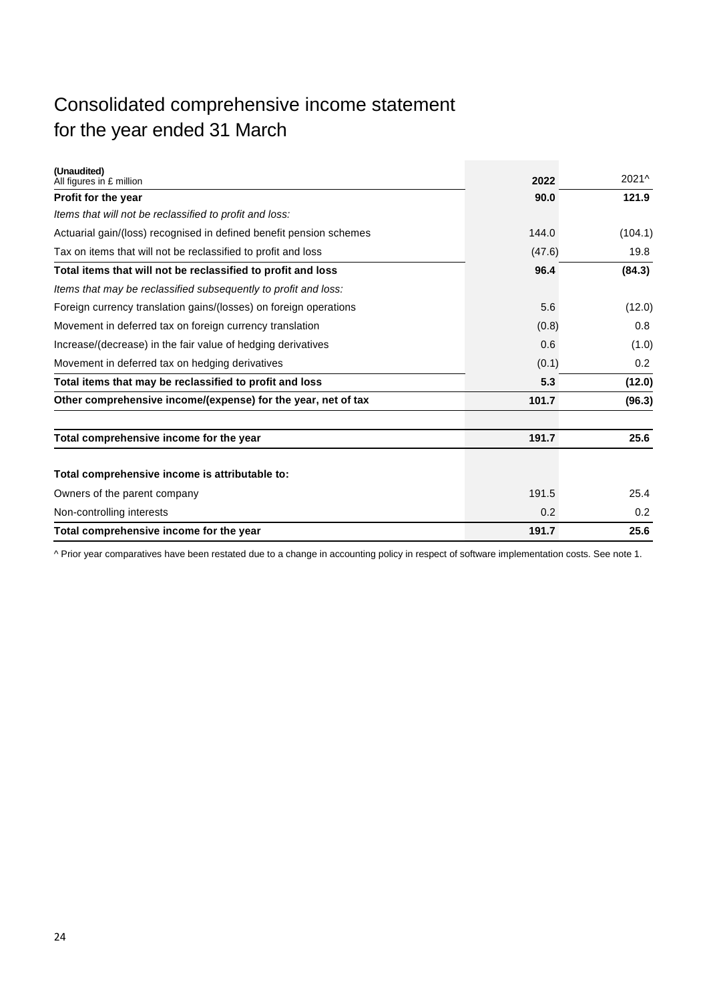## Consolidated comprehensive income statement for the year ended 31 March

| (Unaudited)<br>All figures in £ million                             | 2022   | 2021^   |
|---------------------------------------------------------------------|--------|---------|
| Profit for the year                                                 | 90.0   | 121.9   |
| Items that will not be reclassified to profit and loss:             |        |         |
| Actuarial gain/(loss) recognised in defined benefit pension schemes | 144.0  | (104.1) |
| Tax on items that will not be reclassified to profit and loss       | (47.6) | 19.8    |
| Total items that will not be reclassified to profit and loss        | 96.4   | (84.3)  |
| Items that may be reclassified subsequently to profit and loss:     |        |         |
| Foreign currency translation gains/(losses) on foreign operations   | 5.6    | (12.0)  |
| Movement in deferred tax on foreign currency translation            | (0.8)  | 0.8     |
| Increase/(decrease) in the fair value of hedging derivatives        | 0.6    | (1.0)   |
| Movement in deferred tax on hedging derivatives                     | (0.1)  | 0.2     |
| Total items that may be reclassified to profit and loss             | 5.3    | (12.0)  |
| Other comprehensive income/(expense) for the year, net of tax       | 101.7  | (96.3)  |
| Total comprehensive income for the year                             | 191.7  | 25.6    |
| Total comprehensive income is attributable to:                      |        |         |
| Owners of the parent company                                        | 191.5  | 25.4    |
| Non-controlling interests                                           | 0.2    | 0.2     |
| Total comprehensive income for the year                             | 191.7  | 25.6    |

^ Prior year comparatives have been restated due to a change in accounting policy in respect of software implementation costs. See note 1.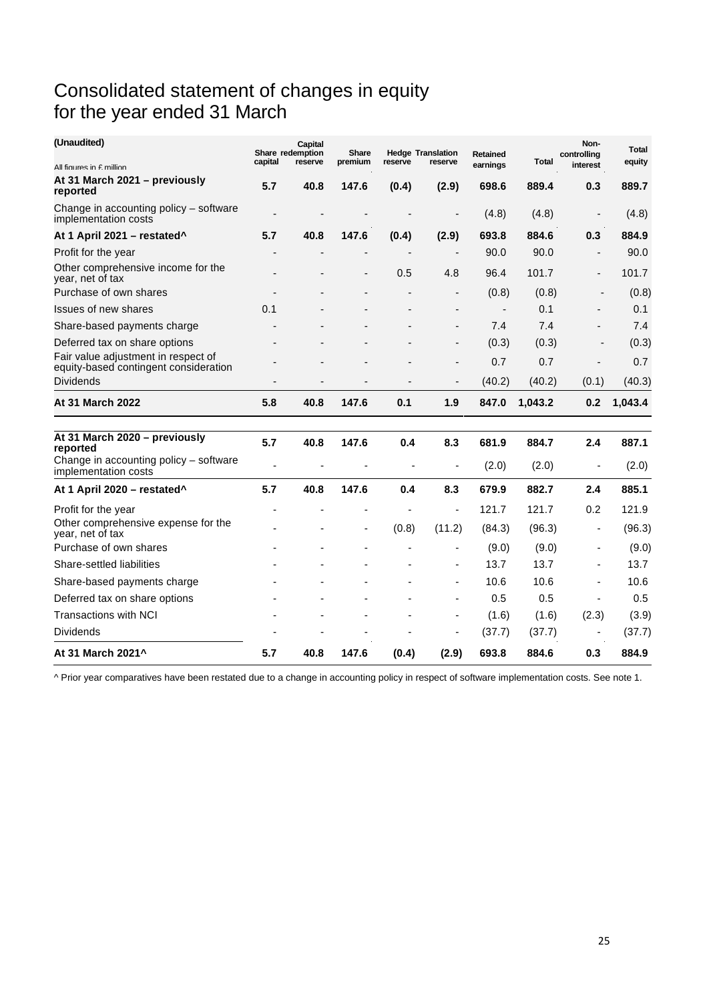## Consolidated statement of changes in equity for the year ended 31 March

| (Unaudited)                                                                         | capital | Capital<br>Share redemption<br>reserve | Share<br>premium | reserve   | <b>Hedge Translation</b><br>reserve | <b>Retained</b> | Total          | Non-<br>controlling      | Total<br>equity |
|-------------------------------------------------------------------------------------|---------|----------------------------------------|------------------|-----------|-------------------------------------|-----------------|----------------|--------------------------|-----------------|
| All figures in f million                                                            |         |                                        |                  |           |                                     | earnings        |                | interest                 |                 |
| At 31 March 2021 - previously<br>reported                                           | 5.7     | 40.8                                   | 147.6            | (0.4)     | (2.9)                               | 698.6           | 889.4          | 0.3                      | 889.7           |
| Change in accounting policy - software<br>implementation costs                      |         | $\overline{\phantom{a}}$               |                  |           | Ē,                                  | (4.8)           | (4.8)          | $\overline{\phantom{a}}$ | (4.8)           |
| At 1 April 2021 - restated^                                                         | 5.7     | 40.8                                   | 147.6            | (0.4)     | (2.9)                               | 693.8           | 884.6          | 0.3                      | 884.9           |
| Profit for the year                                                                 |         |                                        |                  |           | ÷,                                  | 90.0            | 90.0           | ÷,                       | 90.0            |
| Other comprehensive income for the<br>year, net of tax                              |         |                                        | $\blacksquare$   | 0.5       | 4.8                                 | 96.4            | 101.7          | $\overline{\phantom{a}}$ | 101.7           |
| Purchase of own shares                                                              |         |                                        |                  |           | -                                   | (0.8)           | (0.8)          | $\overline{\phantom{a}}$ | (0.8)           |
| Issues of new shares                                                                | 0.1     |                                        |                  |           | $\blacksquare$                      |                 | 0.1            |                          | 0.1             |
| Share-based payments charge                                                         |         |                                        |                  |           | ÷                                   | 7.4             | 7.4            |                          | 7.4             |
| Deferred tax on share options                                                       |         |                                        |                  |           | -                                   | (0.3)           | (0.3)          | $\overline{a}$           | (0.3)           |
| Fair value adjustment in respect of<br>equity-based contingent consideration        |         |                                        |                  |           | Ē,                                  | 0.7             | 0.7            |                          | 0.7             |
| <b>Dividends</b>                                                                    |         |                                        |                  |           |                                     | (40.2)          | (40.2)         | (0.1)                    | (40.3)          |
| <b>At 31 March 2022</b>                                                             | 5.8     | 40.8                                   | 147.6            | 0.1       | 1.9                                 | 847.0           | 1,043.2        | 0.2                      | 1,043.4         |
| At 31 March 2020 - previously<br>reported<br>Change in accounting policy - software | 5.7     | 40.8                                   | 147.6            | 0.4<br>ä, | 8.3<br>$\blacksquare$               | 681.9<br>(2.0)  | 884.7<br>(2.0) | 2.4<br>ä,                | 887.1<br>(2.0)  |
| implementation costs                                                                |         |                                        |                  |           |                                     |                 |                |                          |                 |
| At 1 April 2020 - restated <sup>^</sup>                                             | 5.7     | 40.8                                   | 147.6            | 0.4       | 8.3                                 | 679.9           | 882.7          | 2.4                      | 885.1           |
| Profit for the year                                                                 |         |                                        |                  |           | ÷,                                  | 121.7           | 121.7          | 0.2                      | 121.9           |
| Other comprehensive expense for the<br>year, net of tax                             |         |                                        | $\blacksquare$   | (0.8)     | (11.2)                              | (84.3)          | (96.3)         | $\overline{\phantom{a}}$ | (96.3)          |
| Purchase of own shares                                                              |         |                                        |                  |           | ٠                                   | (9.0)           | (9.0)          |                          | (9.0)           |
| Share-settled liabilities                                                           |         |                                        |                  |           | ٠                                   | 13.7            | 13.7           |                          | 13.7            |
| Share-based payments charge                                                         |         |                                        |                  |           | ä,                                  | 10.6            | 10.6           |                          | 10.6            |
| Deferred tax on share options                                                       |         |                                        |                  |           | ä,                                  | 0.5             | 0.5            | $\overline{\phantom{a}}$ | 0.5             |
| <b>Transactions with NCI</b>                                                        |         |                                        |                  |           | ä,                                  | (1.6)           | (1.6)          | (2.3)                    | (3.9)           |
| <b>Dividends</b>                                                                    |         |                                        |                  |           | ٠                                   | (37.7)          | (37.7)         |                          | (37.7)          |
| At 31 March 2021^                                                                   | 5.7     | 40.8                                   | 147.6            | (0.4)     | (2.9)                               | 693.8           | 884.6          | 0.3                      | 884.9           |

^ Prior year comparatives have been restated due to a change in accounting policy in respect of software implementation costs. See note 1.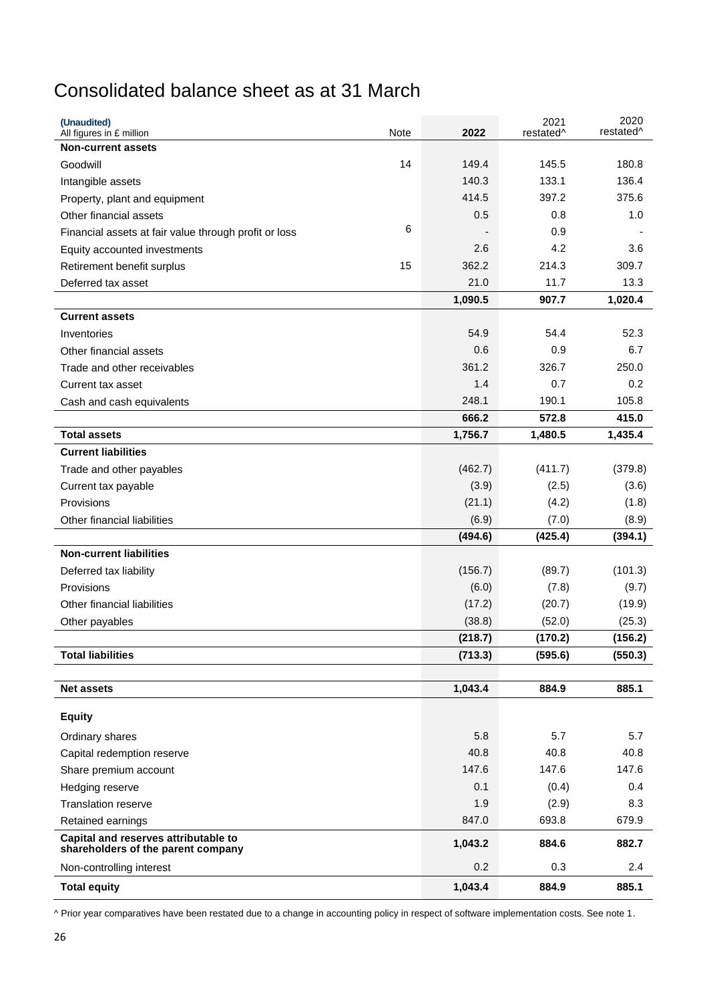## Consolidated balance sheet as at 31 March

| (Unaudited)<br>All figures in £ million                                    | Note | 2022    | 2021<br>restated <sup>^</sup> | 2020<br>restated <sup>^</sup> |
|----------------------------------------------------------------------------|------|---------|-------------------------------|-------------------------------|
| <b>Non-current assets</b>                                                  |      |         |                               |                               |
| Goodwill                                                                   | 14   | 149.4   | 145.5                         | 180.8                         |
| Intangible assets                                                          |      | 140.3   | 133.1                         | 136.4                         |
| Property, plant and equipment                                              |      | 414.5   | 397.2                         | 375.6                         |
| Other financial assets                                                     |      | 0.5     | 0.8                           | 1.0                           |
| Financial assets at fair value through profit or loss                      | 6    |         | 0.9                           |                               |
| Equity accounted investments                                               |      | 2.6     | 4.2                           | 3.6                           |
| Retirement benefit surplus                                                 | 15   | 362.2   | 214.3                         | 309.7                         |
| Deferred tax asset                                                         |      | 21.0    | 11.7                          | 13.3                          |
|                                                                            |      | 1,090.5 | 907.7                         | 1,020.4                       |
| <b>Current assets</b>                                                      |      |         |                               |                               |
| Inventories                                                                |      | 54.9    | 54.4                          | 52.3                          |
| Other financial assets                                                     |      | 0.6     | 0.9                           | 6.7                           |
| Trade and other receivables                                                |      | 361.2   | 326.7                         | 250.0                         |
| Current tax asset                                                          |      | 1.4     | 0.7                           | 0.2                           |
| Cash and cash equivalents                                                  |      | 248.1   | 190.1                         | 105.8                         |
|                                                                            |      | 666.2   | 572.8                         | 415.0                         |
| <b>Total assets</b>                                                        |      | 1,756.7 | 1,480.5                       | 1,435.4                       |
| <b>Current liabilities</b>                                                 |      |         |                               |                               |
| Trade and other payables                                                   |      | (462.7) | (411.7)                       | (379.8)                       |
| Current tax payable                                                        |      | (3.9)   | (2.5)                         | (3.6)                         |
| Provisions                                                                 |      | (21.1)  | (4.2)                         | (1.8)                         |
| Other financial liabilities                                                |      | (6.9)   | (7.0)                         | (8.9)                         |
|                                                                            |      | (494.6) | (425.4)                       | (394.1)                       |
| <b>Non-current liabilities</b>                                             |      |         |                               |                               |
| Deferred tax liability                                                     |      | (156.7) | (89.7)                        | (101.3)                       |
| Provisions                                                                 |      | (6.0)   | (7.8)                         | (9.7)                         |
| Other financial liabilities                                                |      | (17.2)  | (20.7)                        | (19.9)                        |
| Other payables                                                             |      | (38.8)  | (52.0)                        | (25.3)                        |
|                                                                            |      | (218.7) | (170.2)                       | (156.2)                       |
| <b>Total liabilities</b>                                                   |      | (713.3) | (595.6)                       | (550.3)                       |
|                                                                            |      |         |                               |                               |
| <b>Net assets</b>                                                          |      | 1,043.4 | 884.9                         | 885.1                         |
| <b>Equity</b>                                                              |      |         |                               |                               |
| Ordinary shares                                                            |      | 5.8     | 5.7                           | 5.7                           |
| Capital redemption reserve                                                 |      | 40.8    | 40.8                          | 40.8                          |
| Share premium account                                                      |      | 147.6   | 147.6                         | 147.6                         |
| Hedging reserve                                                            |      | 0.1     | (0.4)                         | 0.4                           |
| <b>Translation reserve</b>                                                 |      | 1.9     | (2.9)                         | 8.3                           |
| Retained earnings                                                          |      | 847.0   | 693.8                         | 679.9                         |
| Capital and reserves attributable to<br>shareholders of the parent company |      | 1,043.2 | 884.6                         | 882.7                         |
| Non-controlling interest                                                   |      | 0.2     | 0.3                           | 2.4                           |
| <b>Total equity</b>                                                        |      | 1,043.4 | 884.9                         | 885.1                         |

^ Prior year comparatives have been restated due to a change in accounting policy in respect of software implementation costs. See note 1.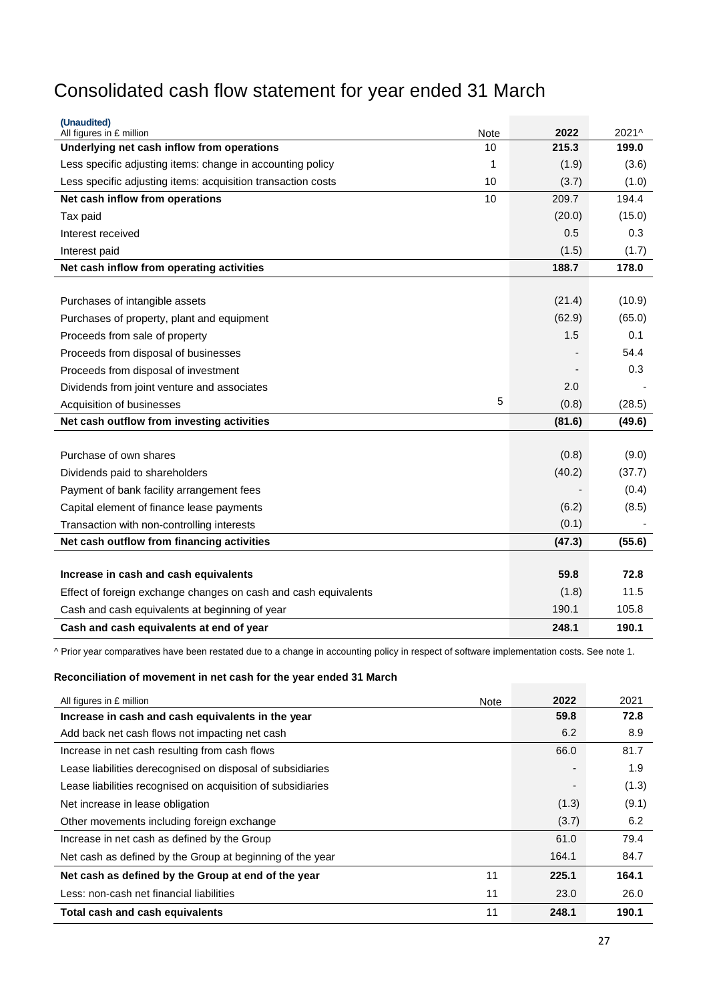## Consolidated cash flow statement for year ended 31 March

| (Unaudited)<br>All figures in £ million<br>Note                    | 2022       | 2021^  |
|--------------------------------------------------------------------|------------|--------|
| Underlying net cash inflow from operations<br>10                   | 215.3      | 199.0  |
| Less specific adjusting items: change in accounting policy<br>1    | (1.9)      | (3.6)  |
| Less specific adjusting items: acquisition transaction costs<br>10 | (3.7)      | (1.0)  |
| Net cash inflow from operations<br>10                              | 209.7      | 194.4  |
| Tax paid                                                           | (20.0)     | (15.0) |
| Interest received                                                  | 0.5        | 0.3    |
| Interest paid                                                      | (1.5)      | (1.7)  |
| Net cash inflow from operating activities                          | 188.7      | 178.0  |
|                                                                    |            |        |
| Purchases of intangible assets                                     | (21.4)     | (10.9) |
| Purchases of property, plant and equipment                         | (62.9)     | (65.0) |
| Proceeds from sale of property                                     | 1.5        | 0.1    |
| Proceeds from disposal of businesses                               |            | 54.4   |
| Proceeds from disposal of investment                               |            | 0.3    |
| Dividends from joint venture and associates                        | 2.0        |        |
| Acquisition of businesses                                          | 5<br>(0.8) | (28.5) |
| Net cash outflow from investing activities                         | (81.6)     | (49.6) |
|                                                                    |            |        |
| Purchase of own shares                                             | (0.8)      | (9.0)  |
| Dividends paid to shareholders                                     | (40.2)     | (37.7) |
| Payment of bank facility arrangement fees                          |            | (0.4)  |
| Capital element of finance lease payments                          | (6.2)      | (8.5)  |
| Transaction with non-controlling interests                         | (0.1)      |        |
| Net cash outflow from financing activities                         | (47.3)     | (55.6) |
|                                                                    |            |        |
| Increase in cash and cash equivalents                              | 59.8       | 72.8   |
| Effect of foreign exchange changes on cash and cash equivalents    | (1.8)      | 11.5   |
| Cash and cash equivalents at beginning of year                     | 190.1      | 105.8  |
| Cash and cash equivalents at end of year                           | 248.1      | 190.1  |

^ Prior year comparatives have been restated due to a change in accounting policy in respect of software implementation costs. See note 1.

### **Reconciliation of movement in net cash for the year ended 31 March**

| All figures in £ million                                    | Note | 2022  | 2021  |
|-------------------------------------------------------------|------|-------|-------|
| Increase in cash and cash equivalents in the year           |      | 59.8  | 72.8  |
| Add back net cash flows not impacting net cash              |      | 6.2   | 8.9   |
| Increase in net cash resulting from cash flows              |      | 66.0  | 81.7  |
| Lease liabilities derecognised on disposal of subsidiaries  |      |       | 1.9   |
| Lease liabilities recognised on acquisition of subsidiaries |      |       | (1.3) |
| Net increase in lease obligation                            |      | (1.3) | (9.1) |
| Other movements including foreign exchange                  |      | (3.7) | 6.2   |
| Increase in net cash as defined by the Group                |      | 61.0  | 79.4  |
| Net cash as defined by the Group at beginning of the year   |      | 164.1 | 84.7  |
| Net cash as defined by the Group at end of the year         | 11   | 225.1 | 164.1 |
| Less: non-cash net financial liabilities                    | 11   | 23.0  | 26.0  |
| Total cash and cash equivalents                             | 11   | 248.1 | 190.1 |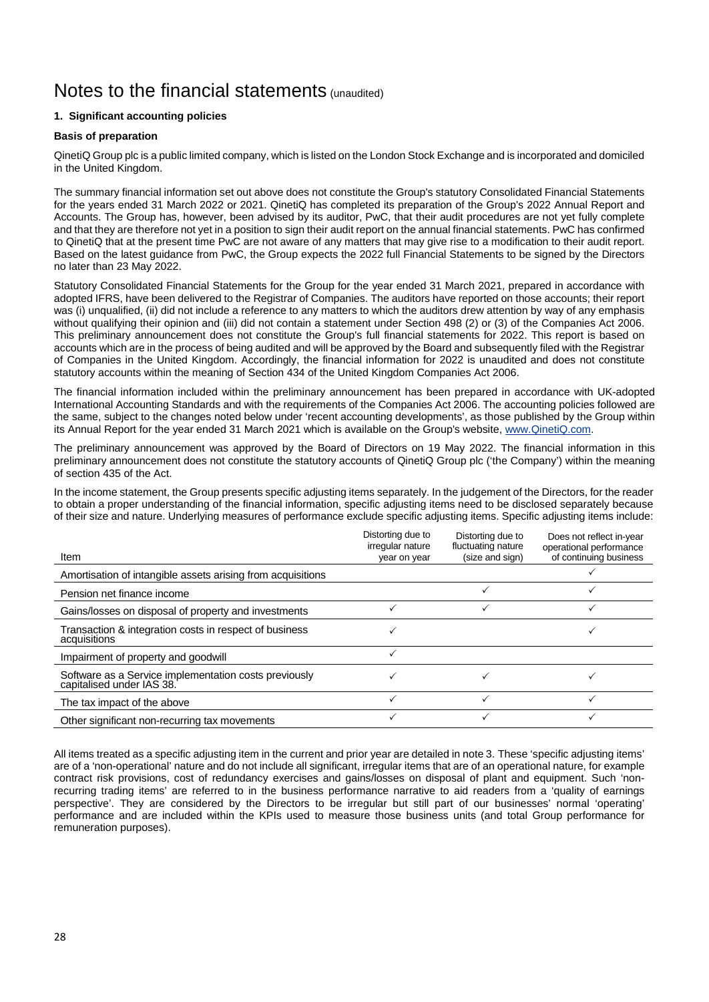## Notes to the financial statements (unaudited)

### **1. Significant accounting policies**

#### **Basis of preparation**

QinetiQ Group plc is a public limited company, which is listed on the London Stock Exchange and is incorporated and domiciled in the United Kingdom.

The summary financial information set out above does not constitute the Group's statutory Consolidated Financial Statements for the years ended 31 March 2022 or 2021. QinetiQ has completed its preparation of the Group's 2022 Annual Report and Accounts. The Group has, however, been advised by its auditor, PwC, that their audit procedures are not yet fully complete and that they are therefore not yet in a position to sign their audit report on the annual financial statements. PwC has confirmed to QinetiQ that at the present time PwC are not aware of any matters that may give rise to a modification to their audit report. Based on the latest guidance from PwC, the Group expects the 2022 full Financial Statements to be signed by the Directors no later than 23 May 2022.

Statutory Consolidated Financial Statements for the Group for the year ended 31 March 2021, prepared in accordance with adopted IFRS, have been delivered to the Registrar of Companies. The auditors have reported on those accounts; their report was (i) unqualified, (ii) did not include a reference to any matters to which the auditors drew attention by way of any emphasis without qualifying their opinion and (iii) did not contain a statement under Section 498 (2) or (3) of the Companies Act 2006. This preliminary announcement does not constitute the Group's full financial statements for 2022. This report is based on accounts which are in the process of being audited and will be approved by the Board and subsequently filed with the Registrar of Companies in the United Kingdom. Accordingly, the financial information for 2022 is unaudited and does not constitute statutory accounts within the meaning of Section 434 of the United Kingdom Companies Act 2006.

The financial information included within the preliminary announcement has been prepared in accordance with UK-adopted International Accounting Standards and with the requirements of the Companies Act 2006. The accounting policies followed are the same, subject to the changes noted below under 'recent accounting developments', as those published by the Group within its Annual Report for the year ended 31 March 2021 which is available on the Group's website, [www.QinetiQ.com.](http://www.qinetiq.com/) 

The preliminary announcement was approved by the Board of Directors on 19 May 2022. The financial information in this preliminary announcement does not constitute the statutory accounts of QinetiQ Group plc ('the Company') within the meaning of section 435 of the Act.

In the income statement, the Group presents specific adjusting items separately. In the judgement of the Directors, for the reader to obtain a proper understanding of the financial information, specific adjusting items need to be disclosed separately because of their size and nature. Underlying measures of performance exclude specific adjusting items. Specific adjusting items include:

| Item                                                                               | Distorting due to<br>irregular nature<br>year on year | Distorting due to<br>fluctuating nature<br>(size and sign) | Does not reflect in-year<br>operational performance<br>of continuing business |
|------------------------------------------------------------------------------------|-------------------------------------------------------|------------------------------------------------------------|-------------------------------------------------------------------------------|
|                                                                                    |                                                       |                                                            |                                                                               |
| Amortisation of intangible assets arising from acquisitions                        |                                                       |                                                            |                                                                               |
| Pension net finance income                                                         |                                                       |                                                            |                                                                               |
| Gains/losses on disposal of property and investments                               |                                                       |                                                            |                                                                               |
| Transaction & integration costs in respect of business<br>acquisitions             |                                                       |                                                            |                                                                               |
| Impairment of property and goodwill                                                |                                                       |                                                            |                                                                               |
| Software as a Service implementation costs previously<br>capitalised under IAS 38. |                                                       |                                                            |                                                                               |
| The tax impact of the above                                                        |                                                       |                                                            |                                                                               |
| Other significant non-recurring tax movements                                      |                                                       |                                                            |                                                                               |

All items treated as a specific adjusting item in the current and prior year are detailed in note 3. These 'specific adjusting items' are of a 'non-operational' nature and do not include all significant, irregular items that are of an operational nature, for example contract risk provisions, cost of redundancy exercises and gains/losses on disposal of plant and equipment. Such 'nonrecurring trading items' are referred to in the business performance narrative to aid readers from a 'quality of earnings perspective'. They are considered by the Directors to be irregular but still part of our businesses' normal 'operating' performance and are included within the KPIs used to measure those business units (and total Group performance for remuneration purposes).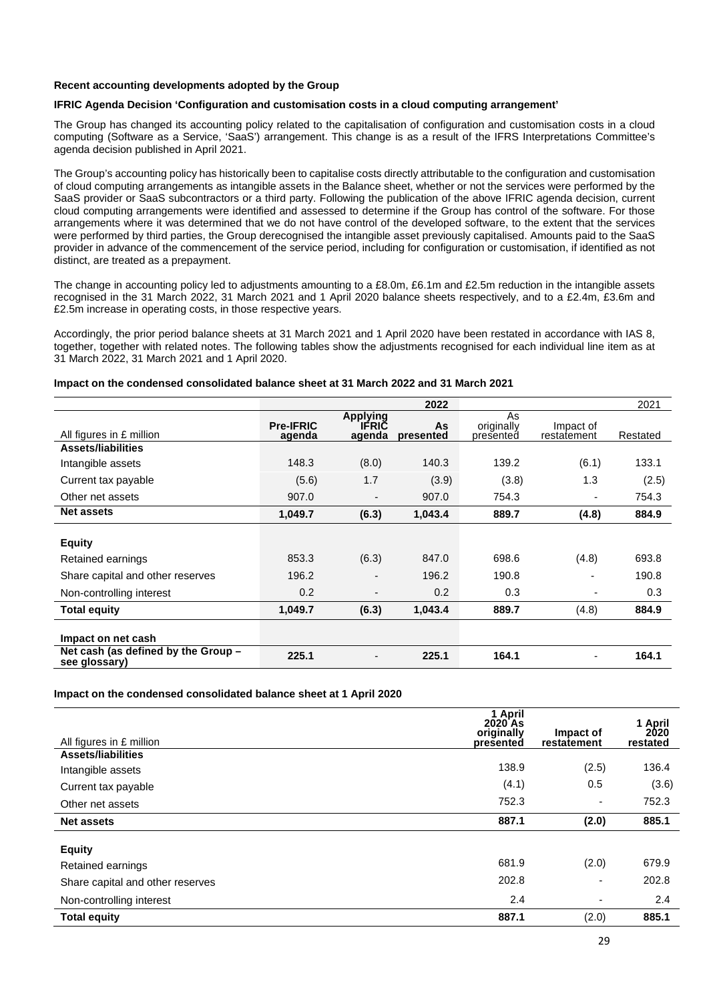#### **Recent accounting developments adopted by the Group**

#### **IFRIC Agenda Decision 'Configuration and customisation costs in a cloud computing arrangement'**

The Group has changed its accounting policy related to the capitalisation of configuration and customisation costs in a cloud computing (Software as a Service, 'SaaS') arrangement. This change is as a result of the IFRS Interpretations Committee's agenda decision published in April 2021.

The Group's accounting policy has historically been to capitalise costs directly attributable to the configuration and customisation of cloud computing arrangements as intangible assets in the Balance sheet, whether or not the services were performed by the SaaS provider or SaaS subcontractors or a third party. Following the publication of the above IFRIC agenda decision, current cloud computing arrangements were identified and assessed to determine if the Group has control of the software. For those arrangements where it was determined that we do not have control of the developed software, to the extent that the services were performed by third parties, the Group derecognised the intangible asset previously capitalised. Amounts paid to the SaaS provider in advance of the commencement of the service period, including for configuration or customisation, if identified as not distinct, are treated as a prepayment.

The change in accounting policy led to adjustments amounting to a £8.0m, £6.1m and £2.5m reduction in the intangible assets recognised in the 31 March 2022, 31 March 2021 and 1 April 2020 balance sheets respectively, and to a £2.4m, £3.6m and £2.5m increase in operating costs, in those respective years.

Accordingly, the prior period balance sheets at 31 March 2021 and 1 April 2020 have been restated in accordance with IAS 8, together, together with related notes. The following tables show the adjustments recognised for each individual line item as at 31 March 2022, 31 March 2021 and 1 April 2020.

#### **Impact on the condensed consolidated balance sheet at 31 March 2022 and 31 March 2021**

|                                                      |                            |                                    | 2022            |                               |                          | 2021     |
|------------------------------------------------------|----------------------------|------------------------------------|-----------------|-------------------------------|--------------------------|----------|
| All figures in £ million                             | <b>Pre-IFRIC</b><br>agenda | Applying<br><b>IFRIC</b><br>agenda | As<br>presented | As<br>originally<br>presented | Impact of<br>restatement | Restated |
| <b>Assets/liabilities</b>                            |                            |                                    |                 |                               |                          |          |
| Intangible assets                                    | 148.3                      | (8.0)                              | 140.3           | 139.2                         | (6.1)                    | 133.1    |
| Current tax payable                                  | (5.6)                      | 1.7                                | (3.9)           | (3.8)                         | 1.3                      | (2.5)    |
| Other net assets                                     | 907.0                      | -                                  | 907.0           | 754.3                         | ٠                        | 754.3    |
| <b>Net assets</b>                                    | 1,049.7                    | (6.3)                              | 1,043.4         | 889.7                         | (4.8)                    | 884.9    |
| <b>Equity</b>                                        |                            |                                    |                 |                               |                          |          |
| Retained earnings                                    | 853.3                      | (6.3)                              | 847.0           | 698.6                         | (4.8)                    | 693.8    |
| Share capital and other reserves                     | 196.2                      | $\overline{\phantom{0}}$           | 196.2           | 190.8                         | -                        | 190.8    |
| Non-controlling interest                             | 0.2                        | -                                  | 0.2             | 0.3                           | ٠                        | 0.3      |
| <b>Total equity</b>                                  | 1,049.7                    | (6.3)                              | 1,043.4         | 889.7                         | (4.8)                    | 884.9    |
| Impact on net cash                                   |                            |                                    |                 |                               |                          |          |
| Net cash (as defined by the Group -<br>see glossary) | 225.1                      |                                    | 225.1           | 164.1                         | ٠                        | 164.1    |

#### **Impact on the condensed consolidated balance sheet at 1 April 2020**

| All figures in £ million         | 1 April<br>2020 As<br>originally<br>presented | Impact of<br>restatement | 1 April<br>2020<br>restated |
|----------------------------------|-----------------------------------------------|--------------------------|-----------------------------|
| <b>Assets/liabilities</b>        |                                               |                          |                             |
| Intangible assets                | 138.9                                         | (2.5)                    | 136.4                       |
| Current tax payable              | (4.1)                                         | 0.5                      | (3.6)                       |
| Other net assets                 | 752.3                                         | ٠                        | 752.3                       |
| <b>Net assets</b>                | 887.1                                         | (2.0)                    | 885.1                       |
| <b>Equity</b>                    |                                               |                          |                             |
| Retained earnings                | 681.9                                         | (2.0)                    | 679.9                       |
| Share capital and other reserves | 202.8                                         | ٠                        | 202.8                       |
| Non-controlling interest         | 2.4                                           | ٠                        | 2.4                         |
| <b>Total equity</b>              | 887.1                                         | (2.0)                    | 885.1                       |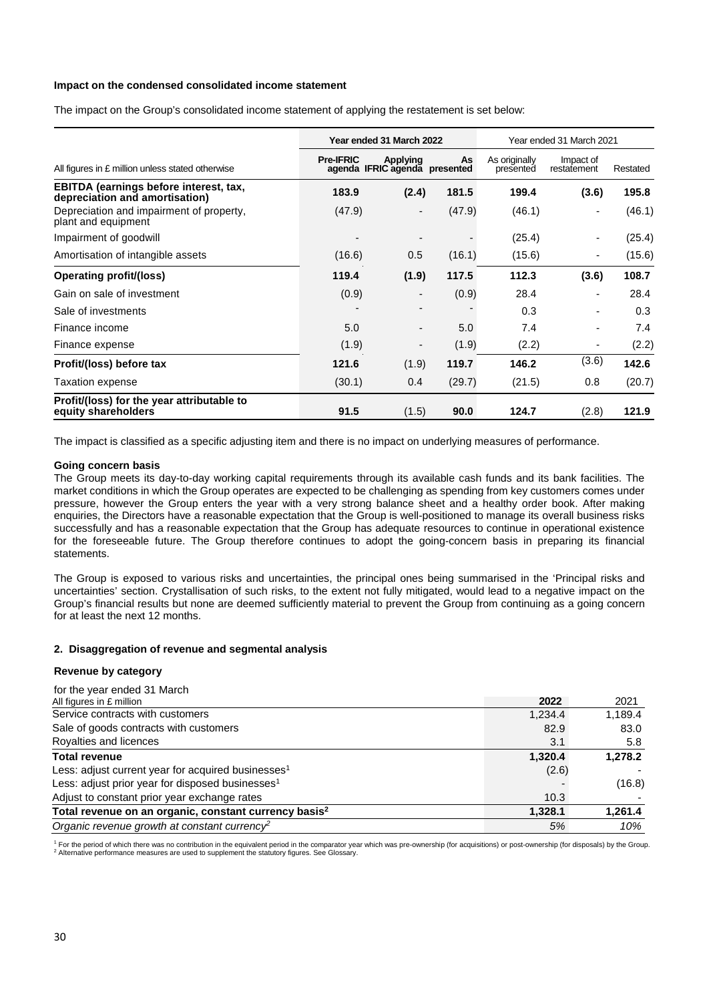#### **Impact on the condensed consolidated income statement**

The impact on the Group's consolidated income statement of applying the restatement is set below:

|                                                                          |                  | Year ended 31 March 2022                  |        |                            | Year ended 31 March 2021 |          |
|--------------------------------------------------------------------------|------------------|-------------------------------------------|--------|----------------------------|--------------------------|----------|
| All figures in £ million unless stated otherwise                         | <b>Pre-IFRIC</b> | Applying<br>agenda IFRIC agenda presented | As     | As originally<br>presented | Impact of<br>restatement | Restated |
| EBITDA (earnings before interest, tax,<br>depreciation and amortisation) | 183.9            | (2.4)                                     | 181.5  | 199.4                      | (3.6)                    | 195.8    |
| Depreciation and impairment of property,<br>plant and equipment          | (47.9)           | $\overline{\phantom{a}}$                  | (47.9) | (46.1)                     | $\overline{\phantom{a}}$ | (46.1)   |
| Impairment of goodwill                                                   |                  |                                           |        | (25.4)                     | $\overline{\phantom{a}}$ | (25.4)   |
| Amortisation of intangible assets                                        | (16.6)           | 0.5                                       | (16.1) | (15.6)                     | $\overline{\phantom{a}}$ | (15.6)   |
| <b>Operating profit/(loss)</b>                                           | 119.4            | (1.9)                                     | 117.5  | 112.3                      | (3.6)                    | 108.7    |
| Gain on sale of investment                                               | (0.9)            | $\overline{\phantom{a}}$                  | (0.9)  | 28.4                       | $\overline{\phantom{a}}$ | 28.4     |
| Sale of investments                                                      |                  |                                           |        | 0.3                        |                          | 0.3      |
| Finance income                                                           | 5.0              |                                           | 5.0    | 7.4                        |                          | 7.4      |
| Finance expense                                                          | (1.9)            | $\overline{\phantom{a}}$                  | (1.9)  | (2.2)                      |                          | (2.2)    |
| Profit/(loss) before tax                                                 | 121.6            | (1.9)                                     | 119.7  | 146.2                      | (3.6)                    | 142.6    |
| Taxation expense                                                         | (30.1)           | 0.4                                       | (29.7) | (21.5)                     | 0.8                      | (20.7)   |
| Profit/(loss) for the year attributable to<br>equity shareholders        | 91.5             | (1.5)                                     | 90.0   | 124.7                      | (2.8)                    | 121.9    |

The impact is classified as a specific adjusting item and there is no impact on underlying measures of performance.

#### **Going concern basis**

The Group meets its day-to-day working capital requirements through its available cash funds and its bank facilities. The market conditions in which the Group operates are expected to be challenging as spending from key customers comes under pressure, however the Group enters the year with a very strong balance sheet and a healthy order book. After making enquiries, the Directors have a reasonable expectation that the Group is well-positioned to manage its overall business risks successfully and has a reasonable expectation that the Group has adequate resources to continue in operational existence for the foreseeable future. The Group therefore continues to adopt the going-concern basis in preparing its financial statements.

The Group is exposed to various risks and uncertainties, the principal ones being summarised in the 'Principal risks and uncertainties' section. Crystallisation of such risks, to the extent not fully mitigated, would lead to a negative impact on the Group's financial results but none are deemed sufficiently material to prevent the Group from continuing as a going concern for at least the next 12 months.

#### **2. Disaggregation of revenue and segmental analysis**

#### **Revenue by category**

| for the year ended 31 March                                       |         |         |
|-------------------------------------------------------------------|---------|---------|
| All figures in £ million                                          | 2022    | 2021    |
| Service contracts with customers                                  | 1,234.4 | 1,189.4 |
| Sale of goods contracts with customers                            | 82.9    | 83.0    |
| Royalties and licences                                            | 3.1     | 5.8     |
| <b>Total revenue</b>                                              | 1,320.4 | 1,278.2 |
| Less: adjust current year for acquired businesses <sup>1</sup>    | (2.6)   |         |
| Less: adjust prior year for disposed businesses <sup>1</sup>      |         | (16.8)  |
| Adjust to constant prior year exchange rates                      | 10.3    |         |
| Total revenue on an organic, constant currency basis <sup>2</sup> | 1,328.1 | 1,261.4 |
| Organic revenue growth at constant currency <sup>2</sup>          | 5%      | 10%     |

<sup>1</sup> For the period of which there was no contribution in the equivalent period in the comparator year which was pre-ownership (for acquisitions) or post-ownership (for disposals) by the Group. <sup>2</sup> Alternative performance measures are used to supplement the statutory figures. See Glossary.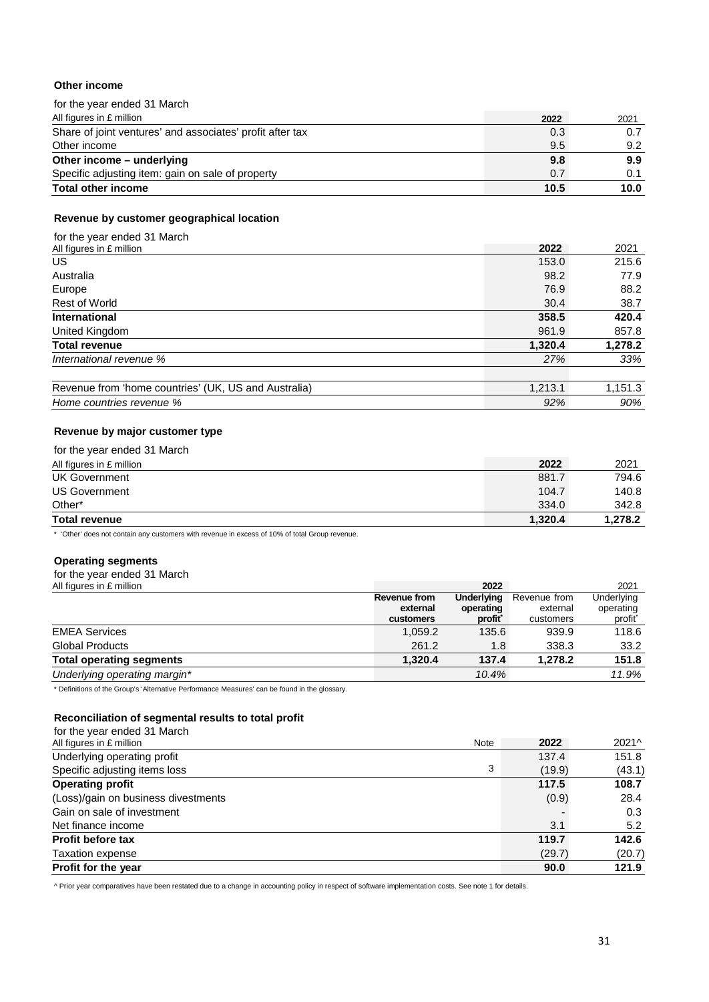### **Other income**

| for the year ended 31 March                               |      |      |
|-----------------------------------------------------------|------|------|
| All figures in £ million                                  | 2022 | 2021 |
| Share of joint ventures' and associates' profit after tax | 0.3  | 0.7  |
| Other income                                              | 9.5  | 9.2  |
| Other income – underlying                                 | 9.8  | 9.9  |
| Specific adjusting item: gain on sale of property         | 0.7  | 0.1  |
| <b>Total other income</b>                                 | 10.5 | 10.0 |

#### **Revenue by customer geographical location**

| for the year ended 31 March                          |         |         |
|------------------------------------------------------|---------|---------|
| All figures in £ million                             | 2022    | 2021    |
| US.                                                  | 153.0   | 215.6   |
| Australia                                            | 98.2    | 77.9    |
| Europe                                               | 76.9    | 88.2    |
| <b>Rest of World</b>                                 | 30.4    | 38.7    |
| <b>International</b>                                 | 358.5   | 420.4   |
| United Kingdom                                       | 961.9   | 857.8   |
| <b>Total revenue</b>                                 | 1,320.4 | 1,278.2 |
| International revenue %                              | 27%     | 33%     |
| Revenue from 'home countries' (UK, US and Australia) | 1,213.1 | 1,151.3 |
| Home countries revenue %                             | 92%     | 90%     |

### **Revenue by major customer type**

| for the year ended 31 March |         |         |
|-----------------------------|---------|---------|
| All figures in £ million    | 2022    | 2021    |
| <b>UK Government</b>        | 881.7   | 794.6   |
| <b>US Government</b>        | 104.7   | 140.8   |
| Other*                      | 334.0   | 342.8   |
| <b>Total revenue</b>        | 1,320.4 | 1.278.2 |

\* 'Other' does not contain any customers with revenue in excess of 10% of total Group revenue.

### **Operating segments**

#### for the year ended 31 March

| All figures in £ million        |              | 2022       |              | 2021       |
|---------------------------------|--------------|------------|--------------|------------|
|                                 | Revenue from | Underlying | Revenue from | Underlying |
|                                 | external     | operating  | external     | operating  |
|                                 | customers    | profit     | customers    | profit     |
| <b>EMEA Services</b>            | 1,059.2      | 135.6      | 939.9        | 118.6      |
| <b>Global Products</b>          | 261.2        | 1.8        | 338.3        | 33.2       |
| <b>Total operating segments</b> | 1.320.4      | 137.4      | 1.278.2      | 151.8      |
| Underlying operating margin*    |              | 10.4%      |              | 11.9%      |

\* Definitions of the Group's 'Alternative Performance Measures' can be found in the glossary.

#### **Reconciliation of segmental results to total profit**

| for the year ended 31 March         |      |        |        |
|-------------------------------------|------|--------|--------|
| All figures in £ million            | Note | 2022   | 2021^  |
| Underlying operating profit         |      | 137.4  | 151.8  |
| Specific adjusting items loss       | 3    | (19.9) | (43.1) |
| <b>Operating profit</b>             |      | 117.5  | 108.7  |
| (Loss)/gain on business divestments |      | (0.9)  | 28.4   |
| Gain on sale of investment          |      |        | 0.3    |
| Net finance income                  |      | 3.1    | 5.2    |
| <b>Profit before tax</b>            |      | 119.7  | 142.6  |
| <b>Taxation expense</b>             |      | (29.7) | (20.7) |
| Profit for the year                 |      | 90.0   | 121.9  |

^ Prior year comparatives have been restated due to a change in accounting policy in respect of software implementation costs. See note 1 for details.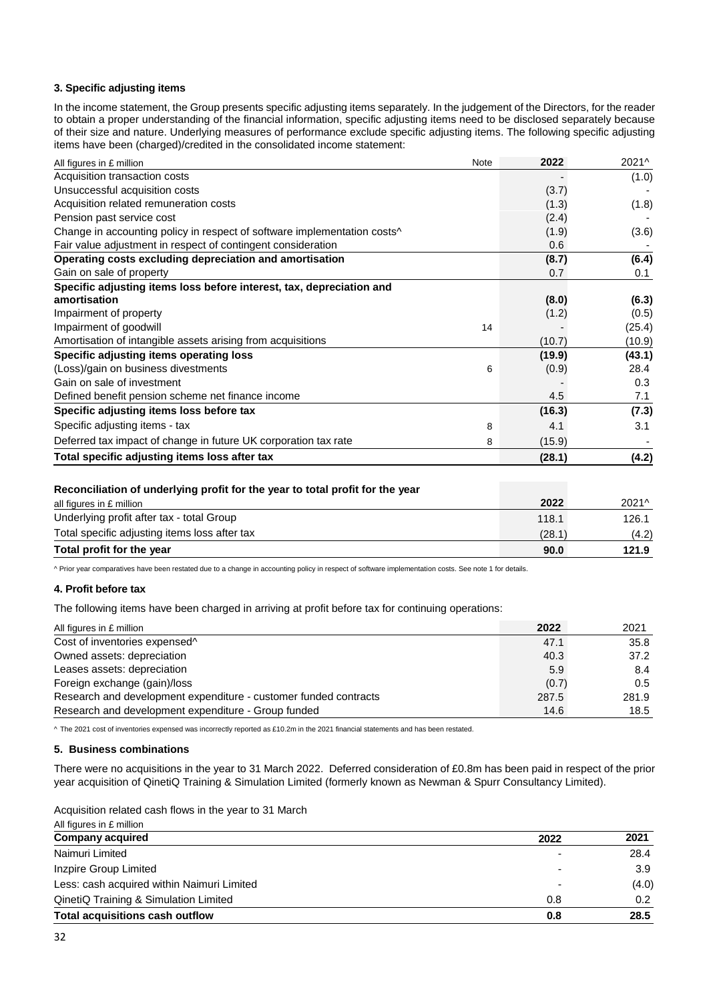#### **3. Specific adjusting items**

In the income statement, the Group presents specific adjusting items separately. In the judgement of the Directors, for the reader to obtain a proper understanding of the financial information, specific adjusting items need to be disclosed separately because of their size and nature. Underlying measures of performance exclude specific adjusting items. The following specific adjusting items have been (charged)/credited in the consolidated income statement:

| All figures in £ million                                                             | Note | 2022   | 2021^  |
|--------------------------------------------------------------------------------------|------|--------|--------|
| Acquisition transaction costs                                                        |      |        | (1.0)  |
| Unsuccessful acquisition costs                                                       |      | (3.7)  |        |
| Acquisition related remuneration costs                                               |      | (1.3)  | (1.8)  |
| Pension past service cost                                                            |      | (2.4)  |        |
| Change in accounting policy in respect of software implementation costs <sup>^</sup> |      | (1.9)  | (3.6)  |
| Fair value adjustment in respect of contingent consideration                         |      | 0.6    |        |
| Operating costs excluding depreciation and amortisation                              |      | (8.7)  | (6.4)  |
| Gain on sale of property                                                             |      | 0.7    | 0.1    |
| Specific adjusting items loss before interest, tax, depreciation and                 |      |        |        |
| amortisation                                                                         |      | (8.0)  | (6.3)  |
| Impairment of property                                                               |      | (1.2)  | (0.5)  |
| Impairment of goodwill                                                               | 14   |        | (25.4) |
| Amortisation of intangible assets arising from acquisitions                          |      | (10.7) | (10.9) |
| Specific adjusting items operating loss                                              |      | (19.9) | (43.1) |
| (Loss)/gain on business divestments                                                  | 6    | (0.9)  | 28.4   |
| Gain on sale of investment                                                           |      |        | 0.3    |
| Defined benefit pension scheme net finance income                                    |      | 4.5    | 7.1    |
| Specific adjusting items loss before tax                                             |      | (16.3) | (7.3)  |
| Specific adjusting items - tax                                                       | 8    | 4.1    | 3.1    |
| Deferred tax impact of change in future UK corporation tax rate                      | 8    | (15.9) |        |
| Total specific adjusting items loss after tax                                        |      | (28.1) | (4.2)  |

#### **Reconciliation of underlying profit for the year to total profit for the year**

| all figures in £ million                      | 2022   | 2021^ |
|-----------------------------------------------|--------|-------|
| Underlying profit after tax - total Group     | 118.1  | 126.1 |
| Total specific adjusting items loss after tax | (28.1) | (4.2) |
| Total profit for the year                     | 90.0   | 121.9 |

^ Prior year comparatives have been restated due to a change in accounting policy in respect of software implementation costs. See note 1 for details.

#### **4. Profit before tax**

The following items have been charged in arriving at profit before tax for continuing operations:

| All figures in £ million                                         | 2022  | 2021          |
|------------------------------------------------------------------|-------|---------------|
| Cost of inventories expensed <sup>^</sup>                        | 47.1  | 35.8          |
| Owned assets: depreciation                                       | 40.3  | 37.2          |
| Leases assets: depreciation                                      | 5.9   | 8.4           |
| Foreign exchange (gain)/loss                                     | (0.7) | $0.5^{\circ}$ |
| Research and development expenditure - customer funded contracts | 287.5 | 281.9         |
| Research and development expenditure - Group funded              | 14.6  | 18.5          |

^ The 2021 cost of inventories expensed was incorrectly reported as £10.2m in the 2021 financial statements and has been restated.

#### **5. Business combinations**

There were no acquisitions in the year to 31 March 2022. Deferred consideration of £0.8m has been paid in respect of the prior year acquisition of QinetiQ Training & Simulation Limited (formerly known as Newman & Spurr Consultancy Limited).

Acquisition related cash flows in the year to 31 March

| <b>Total acquisitions cash outflow</b>     | 0.8  | 28.5  |
|--------------------------------------------|------|-------|
| QinetiQ Training & Simulation Limited      | 0.8  | 0.2   |
| Less: cash acquired within Naimuri Limited |      | (4.0) |
| Inzpire Group Limited                      |      | 3.9   |
| Naimuri Limited                            |      | 28.4  |
| <b>Company acquired</b>                    | 2022 | 2021  |
| All figures in £ million                   |      |       |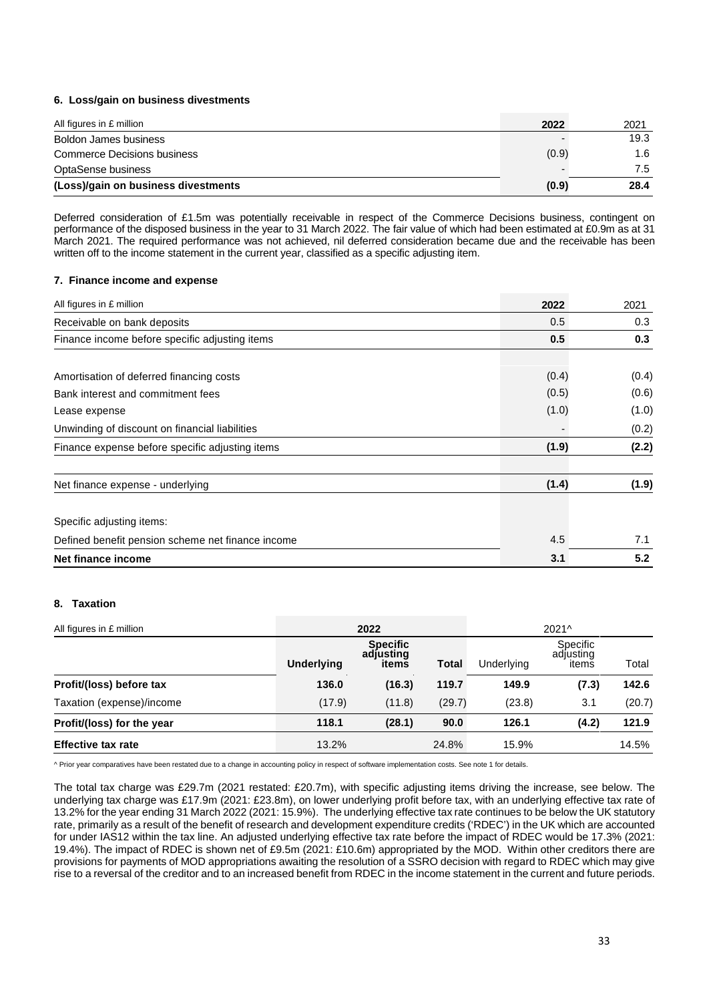#### **6. Loss/gain on business divestments**

| All figures in £ million            | 2022  | 2021 |
|-------------------------------------|-------|------|
| Boldon James business               |       | 19.3 |
| <b>Commerce Decisions business</b>  | (0.9) | 1.6  |
| OptaSense business                  |       | 7.5  |
| (Loss)/gain on business divestments | (0.9) | 28.4 |

Deferred consideration of £1.5m was potentially receivable in respect of the Commerce Decisions business, contingent on performance of the disposed business in the year to 31 March 2022. The fair value of which had been estimated at £0.9m as at 31 March 2021. The required performance was not achieved, nil deferred consideration became due and the receivable has been written off to the income statement in the current year, classified as a specific adjusting item.

#### **7. Finance income and expense**

| All figures in £ million                          | 2022  | 2021  |
|---------------------------------------------------|-------|-------|
| Receivable on bank deposits                       | 0.5   | 0.3   |
| Finance income before specific adjusting items    | 0.5   | 0.3   |
| Amortisation of deferred financing costs          | (0.4) | (0.4) |
| Bank interest and commitment fees                 | (0.5) | (0.6) |
| Lease expense                                     | (1.0) | (1.0) |
| Unwinding of discount on financial liabilities    |       | (0.2) |
| Finance expense before specific adjusting items   | (1.9) | (2.2) |
| Net finance expense - underlying                  | (1.4) | (1.9) |
| Specific adjusting items:                         |       |       |
| Defined benefit pension scheme net finance income | 4.5   | 7.1   |
| Net finance income                                | 3.1   | 5.2   |

#### **8. Taxation**

| All figures in £ million   |                   | 2022                                  |        |            | 2021^                          |        |
|----------------------------|-------------------|---------------------------------------|--------|------------|--------------------------------|--------|
|                            | <b>Underlying</b> | <b>Specific</b><br>adjusting<br>items | Total  | Underlying | Specific<br>adjusting<br>itemš | Total  |
| Profit/(loss) before tax   | 136.0             | (16.3)                                | 119.7  | 149.9      | (7.3)                          | 142.6  |
| Taxation (expense)/income  | (17.9)            | (11.8)                                | (29.7) | (23.8)     | 3.1                            | (20.7) |
| Profit/(loss) for the year | 118.1             | (28.1)                                | 90.0   | 126.1      | (4.2)                          | 121.9  |
| <b>Effective tax rate</b>  | 13.2%             |                                       | 24.8%  | 15.9%      |                                | 14.5%  |

^ Prior year comparatives have been restated due to a change in accounting policy in respect of software implementation costs. See note 1 for details.

The total tax charge was £29.7m (2021 restated: £20.7m), with specific adjusting items driving the increase, see below. The underlying tax charge was £17.9m (2021: £23.8m), on lower underlying profit before tax, with an underlying effective tax rate of 13.2% for the year ending 31 March 2022 (2021: 15.9%). The underlying effective tax rate continues to be below the UK statutory rate, primarily as a result of the benefit of research and development expenditure credits ('RDEC') in the UK which are accounted for under IAS12 within the tax line. An adjusted underlying effective tax rate before the impact of RDEC would be 17.3% (2021: 19.4%). The impact of RDEC is shown net of £9.5m (2021: £10.6m) appropriated by the MOD. Within other creditors there are provisions for payments of MOD appropriations awaiting the resolution of a SSRO decision with regard to RDEC which may give rise to a reversal of the creditor and to an increased benefit from RDEC in the income statement in the current and future periods.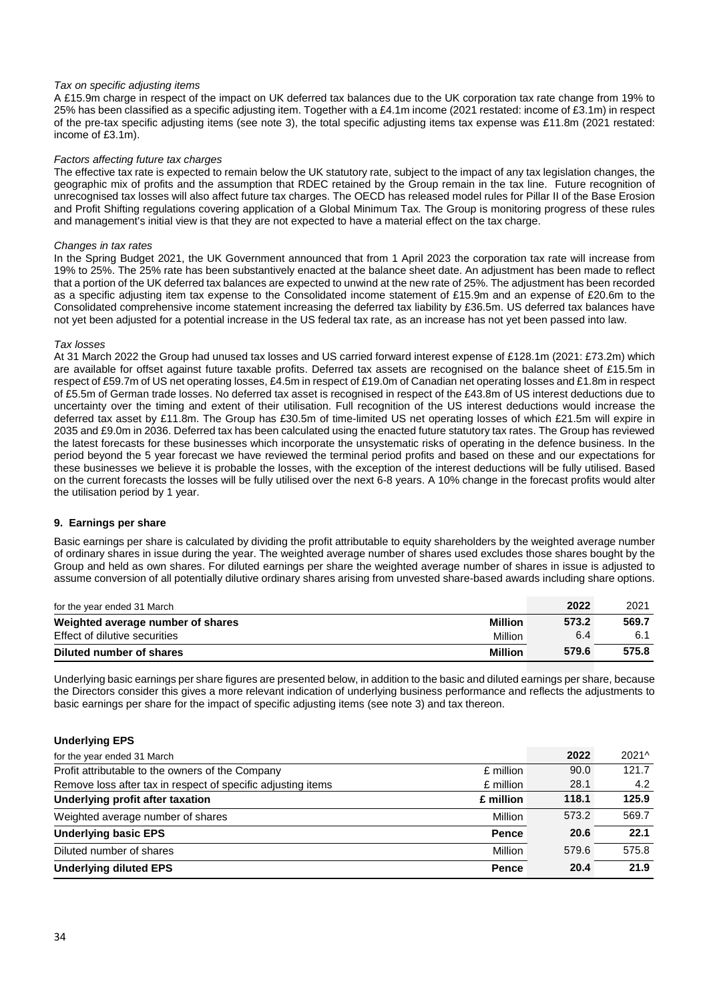#### *Tax on specific adjusting items*

A £15.9m charge in respect of the impact on UK deferred tax balances due to the UK corporation tax rate change from 19% to 25% has been classified as a specific adjusting item. Together with a £4.1m income (2021 restated: income of £3.1m) in respect of the pre-tax specific adjusting items (see note 3), the total specific adjusting items tax expense was £11.8m (2021 restated: income of £3.1m).

#### *Factors affecting future tax charges*

The effective tax rate is expected to remain below the UK statutory rate, subject to the impact of any tax legislation changes, the geographic mix of profits and the assumption that RDEC retained by the Group remain in the tax line. Future recognition of unrecognised tax losses will also affect future tax charges. The OECD has released model rules for Pillar II of the Base Erosion and Profit Shifting regulations covering application of a Global Minimum Tax. The Group is monitoring progress of these rules and management's initial view is that they are not expected to have a material effect on the tax charge.

#### *Changes in tax rates*

In the Spring Budget 2021, the UK Government announced that from 1 April 2023 the corporation tax rate will increase from 19% to 25%. The 25% rate has been substantively enacted at the balance sheet date. An adjustment has been made to reflect that a portion of the UK deferred tax balances are expected to unwind at the new rate of 25%. The adjustment has been recorded as a specific adjusting item tax expense to the Consolidated income statement of £15.9m and an expense of £20.6m to the Consolidated comprehensive income statement increasing the deferred tax liability by £36.5m. US deferred tax balances have not yet been adjusted for a potential increase in the US federal tax rate, as an increase has not yet been passed into law.

#### *Tax losses*

At 31 March 2022 the Group had unused tax losses and US carried forward interest expense of £128.1m (2021: £73.2m) which are available for offset against future taxable profits. Deferred tax assets are recognised on the balance sheet of £15.5m in respect of £59.7m of US net operating losses, £4.5m in respect of £19.0m of Canadian net operating losses and £1.8m in respect of £5.5m of German trade losses. No deferred tax asset is recognised in respect of the £43.8m of US interest deductions due to uncertainty over the timing and extent of their utilisation. Full recognition of the US interest deductions would increase the deferred tax asset by £11.8m. The Group has £30.5m of time-limited US net operating losses of which £21.5m will expire in 2035 and £9.0m in 2036. Deferred tax has been calculated using the enacted future statutory tax rates. The Group has reviewed the latest forecasts for these businesses which incorporate the unsystematic risks of operating in the defence business. In the period beyond the 5 year forecast we have reviewed the terminal period profits and based on these and our expectations for these businesses we believe it is probable the losses, with the exception of the interest deductions will be fully utilised. Based on the current forecasts the losses will be fully utilised over the next 6-8 years. A 10% change in the forecast profits would alter the utilisation period by 1 year.

#### **9. Earnings per share**

Basic earnings per share is calculated by dividing the profit attributable to equity shareholders by the weighted average number of ordinary shares in issue during the year. The weighted average number of shares used excludes those shares bought by the Group and held as own shares. For diluted earnings per share the weighted average number of shares in issue is adjusted to assume conversion of all potentially dilutive ordinary shares arising from unvested share-based awards including share options.

| for the year ended 31 March       |                | 2022  | 2021  |
|-----------------------------------|----------------|-------|-------|
| Weighted average number of shares | Million        | 573.2 | 569.7 |
| Effect of dilutive securities     | Million        | 6.4   |       |
| Diluted number of shares          | <b>Million</b> | 579.6 | 575.8 |

Underlying basic earnings per share figures are presented below, in addition to the basic and diluted earnings per share, because the Directors consider this gives a more relevant indication of underlying business performance and reflects the adjustments to basic earnings per share for the impact of specific adjusting items (see note 3) and tax thereon.

#### **Underlying EPS**

| for the year ended 31 March                                               | 2022                 | 2021^ |
|---------------------------------------------------------------------------|----------------------|-------|
| Profit attributable to the owners of the Company<br>£ million             | 90.0                 | 121.7 |
| Remove loss after tax in respect of specific adjusting items<br>£ million | 28.1                 | 4.2   |
| Underlying profit after taxation<br>£ million                             | 118.1                | 125.9 |
| Weighted average number of shares                                         | 573.2<br>Million     | 569.7 |
| <b>Underlying basic EPS</b>                                               | 20.6<br><b>Pence</b> | 22.1  |
| Diluted number of shares                                                  | 579.6<br>Million     | 575.8 |
| <b>Underlying diluted EPS</b>                                             | 20.4<br><b>Pence</b> | 21.9  |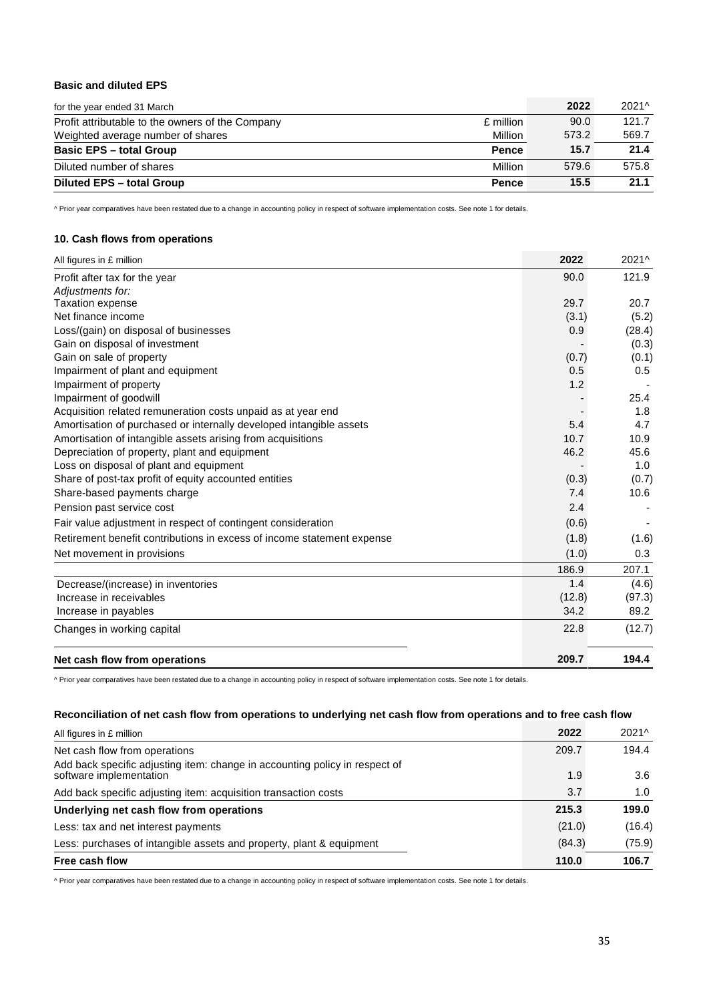### **Basic and diluted EPS**

| for the year ended 31 March                                   | 2022  | 2021^ |
|---------------------------------------------------------------|-------|-------|
| Profit attributable to the owners of the Company<br>£ million | 90.0  | 121.7 |
| Weighted average number of shares<br>Million                  | 573.2 | 569.7 |
| <b>Basic EPS - total Group</b><br><b>Pence</b>                | 15.7  | 21.4  |
| Diluted number of shares<br>Million                           | 579.6 | 575.8 |
| <b>Diluted EPS - total Group</b><br><b>Pence</b>              | 15.5  | 21.1  |

^ Prior year comparatives have been restated due to a change in accounting policy in respect of software implementation costs. See note 1 for details.

### **10. Cash flows from operations**

| All figures in £ million                                               | 2022   | 2021^  |
|------------------------------------------------------------------------|--------|--------|
| Profit after tax for the year                                          | 90.0   | 121.9  |
| Adjustments for:                                                       |        |        |
| <b>Taxation expense</b>                                                | 29.7   | 20.7   |
| Net finance income                                                     | (3.1)  | (5.2)  |
| Loss/(gain) on disposal of businesses                                  | 0.9    | (28.4) |
| Gain on disposal of investment                                         |        | (0.3)  |
| Gain on sale of property                                               | (0.7)  | (0.1)  |
| Impairment of plant and equipment                                      | 0.5    | 0.5    |
| Impairment of property                                                 | 1.2    |        |
| Impairment of goodwill                                                 |        | 25.4   |
| Acquisition related remuneration costs unpaid as at year end           |        | 1.8    |
| Amortisation of purchased or internally developed intangible assets    | 5.4    | 4.7    |
| Amortisation of intangible assets arising from acquisitions            | 10.7   | 10.9   |
| Depreciation of property, plant and equipment                          | 46.2   | 45.6   |
| Loss on disposal of plant and equipment                                |        | 1.0    |
| Share of post-tax profit of equity accounted entities                  | (0.3)  | (0.7)  |
| Share-based payments charge                                            | 7.4    | 10.6   |
| Pension past service cost                                              | 2.4    |        |
| Fair value adjustment in respect of contingent consideration           | (0.6)  |        |
| Retirement benefit contributions in excess of income statement expense | (1.8)  | (1.6)  |
| Net movement in provisions                                             | (1.0)  | 0.3    |
|                                                                        | 186.9  | 207.1  |
| Decrease/(increase) in inventories                                     | 1.4    | (4.6)  |
| Increase in receivables                                                | (12.8) | (97.3) |
| Increase in payables                                                   | 34.2   | 89.2   |
| Changes in working capital                                             | 22.8   | (12.7) |
| Net cash flow from operations                                          | 209.7  | 194.4  |

^ Prior year comparatives have been restated due to a change in accounting policy in respect of software implementation costs. See note 1 for details.

#### **Reconciliation of net cash flow from operations to underlying net cash flow from operations and to free cash flow**

| All figures in £ million                                                                               | 2022   | 2021^  |
|--------------------------------------------------------------------------------------------------------|--------|--------|
| Net cash flow from operations                                                                          | 209.7  | 194.4  |
| Add back specific adjusting item: change in accounting policy in respect of<br>software implementation | 1.9    | 3.6    |
| Add back specific adjusting item: acquisition transaction costs                                        | 3.7    | 1.0    |
| Underlying net cash flow from operations                                                               | 215.3  | 199.0  |
| Less: tax and net interest payments                                                                    | (21.0) | (16.4) |
| Less: purchases of intangible assets and property, plant & equipment                                   | (84.3) | (75.9) |
| Free cash flow                                                                                         | 110.0  | 106.7  |

^ Prior year comparatives have been restated due to a change in accounting policy in respect of software implementation costs. See note 1 for details.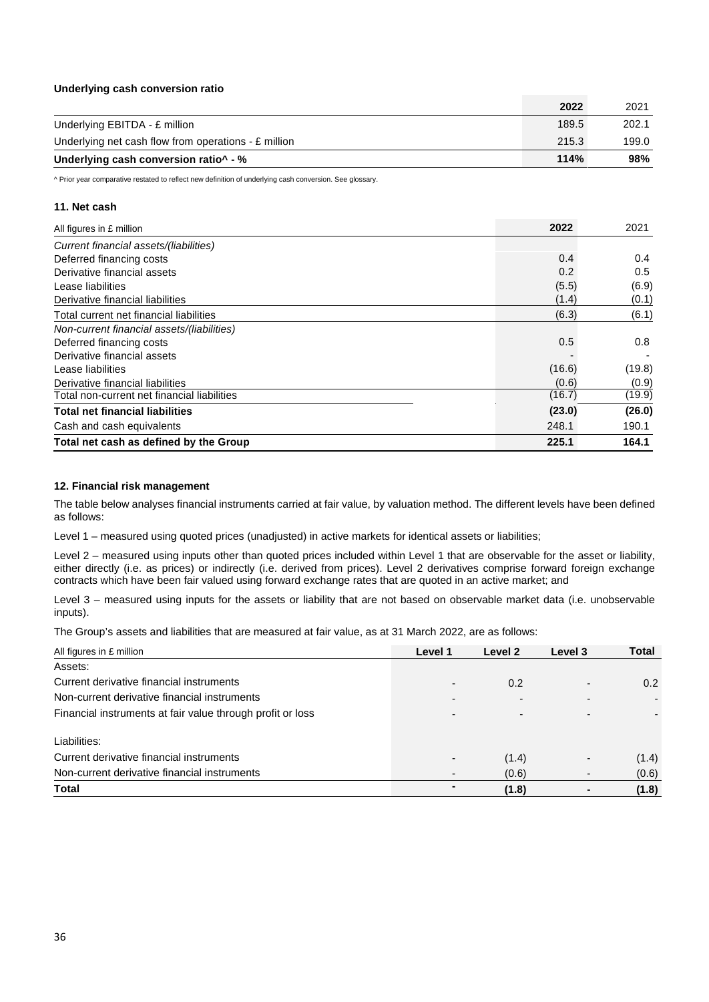#### **Underlying cash conversion ratio**

|                                                        | 2022  | 2021  |
|--------------------------------------------------------|-------|-------|
| Underlying EBITDA - £ million                          | 189.5 | 202.1 |
| Underlying net cash flow from operations - $E$ million | 215.3 | 199.0 |
| Underlying cash conversion ratio^ - %                  | 114%  | 98%   |

^ Prior year comparative restated to reflect new definition of underlying cash conversion. See glossary.

#### **11. Net cash**

| All figures in £ million                    | 2022   | 2021          |
|---------------------------------------------|--------|---------------|
| Current financial assets/(liabilities)      |        |               |
| Deferred financing costs                    | 0.4    | $0.4^{\circ}$ |
| Derivative financial assets                 | 0.2    | 0.5           |
| Lease liabilities                           | (5.5)  | (6.9)         |
| Derivative financial liabilities            | (1.4)  | (0.1)         |
| Total current net financial liabilities     | (6.3)  | (6.1)         |
| Non-current financial assets/(liabilities)  |        |               |
| Deferred financing costs                    | 0.5    | 0.8           |
| Derivative financial assets                 |        |               |
| Lease liabilities                           | (16.6) | (19.8)        |
| Derivative financial liabilities            | (0.6)  | (0.9)         |
| Total non-current net financial liabilities | (16.7) | (19.9)        |
| <b>Total net financial liabilities</b>      | (23.0) | (26.0)        |
| Cash and cash equivalents                   | 248.1  | 190.1         |
| Total net cash as defined by the Group      | 225.1  | 164.1         |

#### **12. Financial risk management**

The table below analyses financial instruments carried at fair value, by valuation method. The different levels have been defined as follows:

Level 1 – measured using quoted prices (unadjusted) in active markets for identical assets or liabilities;

Level 2 – measured using inputs other than quoted prices included within Level 1 that are observable for the asset or liability, either directly (i.e. as prices) or indirectly (i.e. derived from prices). Level 2 derivatives comprise forward foreign exchange contracts which have been fair valued using forward exchange rates that are quoted in an active market; and

Level 3 – measured using inputs for the assets or liability that are not based on observable market data (i.e. unobservable inputs).

The Group's assets and liabilities that are measured at fair value, as at 31 March 2022, are as follows:

| All figures in £ million                                   | Level 1 | Level 2 | Level 3 | Total |
|------------------------------------------------------------|---------|---------|---------|-------|
| Assets:                                                    |         |         |         |       |
| Current derivative financial instruments                   |         | 0.2     |         | 0.2   |
| Non-current derivative financial instruments               | -       |         |         |       |
| Financial instruments at fair value through profit or loss |         |         |         |       |
| Liabilities:                                               |         |         |         |       |
| Current derivative financial instruments                   |         | (1.4)   |         | (1.4) |
| Non-current derivative financial instruments               |         | (0.6)   |         | (0.6) |
| Total                                                      |         | (1.8)   |         | (1.8) |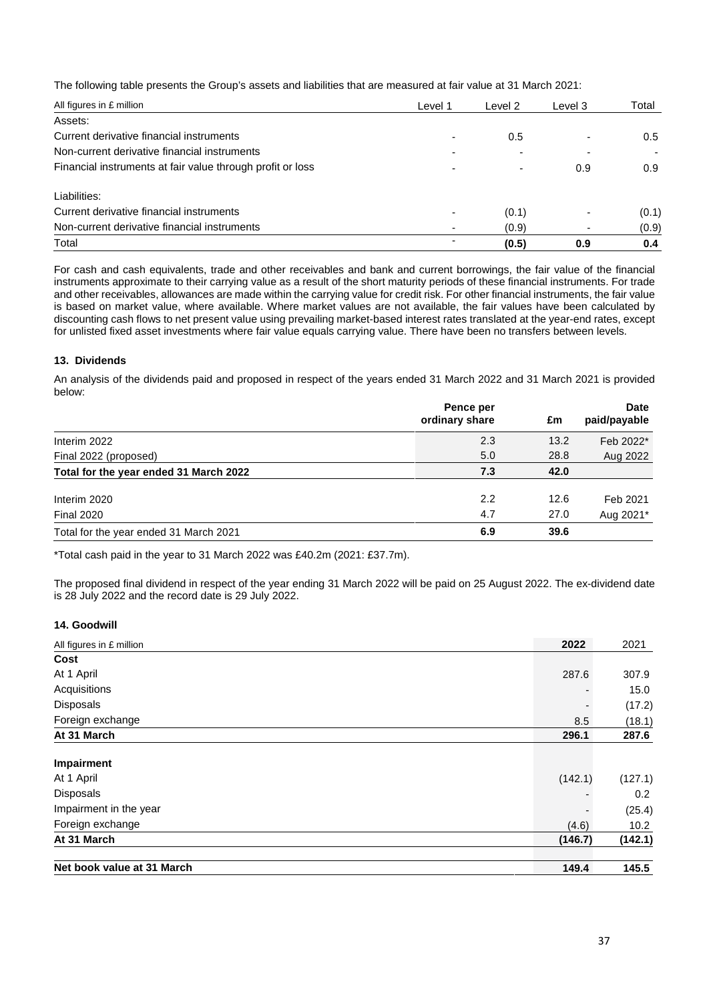The following table presents the Group's assets and liabilities that are measured at fair value at 31 March 2021:

| All figures in £ million                                   | Level 1        | Level 2                  | Level 3 | Total         |
|------------------------------------------------------------|----------------|--------------------------|---------|---------------|
| Assets:                                                    |                |                          |         |               |
| Current derivative financial instruments                   |                | 0.5                      |         | $0.5^{\circ}$ |
| Non-current derivative financial instruments               |                |                          |         |               |
| Financial instruments at fair value through profit or loss |                | $\overline{\phantom{0}}$ | 0.9     | 0.9           |
| Liabilities:                                               |                |                          |         |               |
| Current derivative financial instruments                   |                | (0.1)                    |         | (0.1)         |
| Non-current derivative financial instruments               | $\blacksquare$ | (0.9)                    | ۰       | (0.9)         |
| Total                                                      |                | (0.5)                    | 0.9     | 0.4           |

For cash and cash equivalents, trade and other receivables and bank and current borrowings, the fair value of the financial instruments approximate to their carrying value as a result of the short maturity periods of these financial instruments. For trade and other receivables, allowances are made within the carrying value for credit risk. For other financial instruments, the fair value is based on market value, where available. Where market values are not available, the fair values have been calculated by discounting cash flows to net present value using prevailing market-based interest rates translated at the year-end rates, except for unlisted fixed asset investments where fair value equals carrying value. There have been no transfers between levels.

#### **13. Dividends**

An analysis of the dividends paid and proposed in respect of the years ended 31 March 2022 and 31 March 2021 is provided below:

|                                        | Pence per<br>ordinary share | £m   | <b>Date</b><br>paid/payable |
|----------------------------------------|-----------------------------|------|-----------------------------|
| Interim 2022                           | 2.3                         | 13.2 | Feb 2022*                   |
| Final 2022 (proposed)                  | 5.0                         | 28.8 | Aug 2022                    |
| Total for the year ended 31 March 2022 | 7.3                         | 42.0 |                             |
| Interim 2020                           | 2.2                         | 12.6 | Feb 2021                    |
| <b>Final 2020</b>                      | 4.7                         | 27.0 | Aug 2021*                   |
| Total for the year ended 31 March 2021 | 6.9                         | 39.6 |                             |

\*Total cash paid in the year to 31 March 2022 was £40.2m (2021: £37.7m).

The proposed final dividend in respect of the year ending 31 March 2022 will be paid on 25 August 2022. The ex-dividend date is 28 July 2022 and the record date is 29 July 2022.

#### **14. Goodwill**

| All figures in £ million   | 2022    | 2021    |
|----------------------------|---------|---------|
| Cost                       |         |         |
| At 1 April                 | 287.6   | 307.9   |
| Acquisitions               |         | 15.0    |
| <b>Disposals</b>           |         | (17.2)  |
| Foreign exchange           | 8.5     | (18.1)  |
| At 31 March                | 296.1   | 287.6   |
| Impairment                 |         |         |
| At 1 April                 | (142.1) | (127.1) |
| Disposals                  |         | 0.2     |
| Impairment in the year     |         | (25.4)  |
| Foreign exchange           | (4.6)   | 10.2    |
| At 31 March                | (146.7) | (142.1) |
| Net book value at 31 March | 149.4   | 145.5   |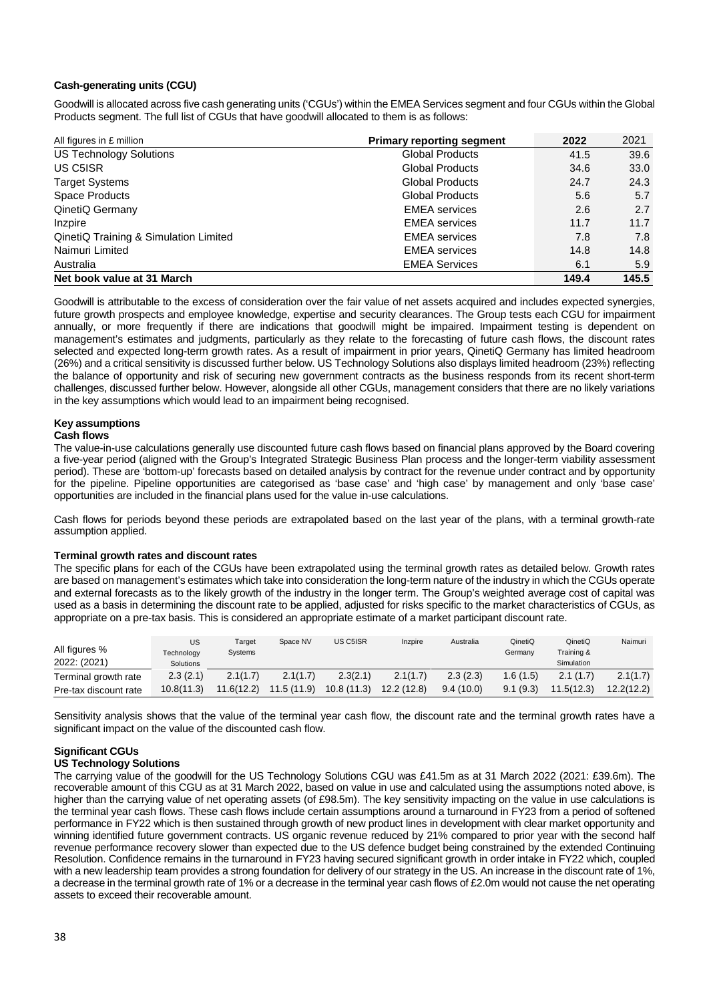#### **Cash-generating units (CGU)**

Goodwill is allocated across five cash generating units ('CGUs') within the EMEA Services segment and four CGUs within the Global Products segment. The full list of CGUs that have goodwill allocated to them is as follows:

| All figures in £ million              | <b>Primary reporting segment</b> | 2022  | 2021  |
|---------------------------------------|----------------------------------|-------|-------|
| <b>US Technology Solutions</b>        | <b>Global Products</b>           | 41.5  | 39.6  |
| US C5ISR                              | <b>Global Products</b>           | 34.6  | 33.0  |
| <b>Target Systems</b>                 | <b>Global Products</b>           | 24.7  | 24.3  |
| Space Products                        | <b>Global Products</b>           | 5.6   | 5.7   |
| QinetiQ Germany                       | <b>EMEA</b> services             | 2.6   | 2.7   |
| Inzpire                               | <b>EMEA</b> services             | 11.7  | 11.7  |
| QinetiQ Training & Simulation Limited | <b>EMEA</b> services             | 7.8   | 7.8   |
| Naimuri Limited                       | <b>EMEA</b> services             | 14.8  | 14.8  |
| Australia                             | <b>EMEA Services</b>             | 6.1   | 5.9   |
| Net book value at 31 March            |                                  | 149.4 | 145.5 |

Goodwill is attributable to the excess of consideration over the fair value of net assets acquired and includes expected synergies, future growth prospects and employee knowledge, expertise and security clearances. The Group tests each CGU for impairment annually, or more frequently if there are indications that goodwill might be impaired. Impairment testing is dependent on management's estimates and judgments, particularly as they relate to the forecasting of future cash flows, the discount rates selected and expected long-term growth rates. As a result of impairment in prior years, QinetiQ Germany has limited headroom (26%) and a critical sensitivity is discussed further below. US Technology Solutions also displays limited headroom (23%) reflecting the balance of opportunity and risk of securing new government contracts as the business responds from its recent short-term challenges, discussed further below. However, alongside all other CGUs, management considers that there are no likely variations in the key assumptions which would lead to an impairment being recognised.

#### **Key assumptions**

#### **Cash flows**

The value-in-use calculations generally use discounted future cash flows based on financial plans approved by the Board covering a five-year period (aligned with the Group's Integrated Strategic Business Plan process and the longer-term viability assessment period). These are 'bottom-up' forecasts based on detailed analysis by contract for the revenue under contract and by opportunity for the pipeline. Pipeline opportunities are categorised as 'base case' and 'high case' by management and only 'base case' opportunities are included in the financial plans used for the value in-use calculations.

Cash flows for periods beyond these periods are extrapolated based on the last year of the plans, with a terminal growth-rate assumption applied.

#### **Terminal growth rates and discount rates**

The specific plans for each of the CGUs have been extrapolated using the terminal growth rates as detailed below. Growth rates are based on management's estimates which take into consideration the long-term nature of the industry in which the CGUs operate and external forecasts as to the likely growth of the industry in the longer term. The Group's weighted average cost of capital was used as a basis in determining the discount rate to be applied, adjusted for risks specific to the market characteristics of CGUs, as appropriate on a pre-tax basis. This is considered an appropriate estimate of a market participant discount rate.

| All figures %<br>2022: (2021) | US<br>Technology<br>Solutions | Target<br>Systems | Space NV   | US C5ISR   | Inzpire     | Australia | QinetiQ<br>Germany | QinetiQ<br>Training &<br>Simulation | Naimuri    |
|-------------------------------|-------------------------------|-------------------|------------|------------|-------------|-----------|--------------------|-------------------------------------|------------|
| Terminal growth rate          | 2.3(2.1)                      | 2.1(1.7)          | 2.1(1.7)   | 2.3(2.1)   | 2.1(1.7)    | 2.3(2.3)  | .6(1.5)            | 2.1(1.7)                            | 2.1(1.7)   |
| Pre-tax discount rate         | 10.8(11.3)                    | 11.6(12.2)        | 11.5(11.9) | 10.8(11.3) | 12.2 (12.8) | 9.4(10.0) | 9.1(9.3)           | 11.5(12.3)                          | 12.2(12.2) |

Sensitivity analysis shows that the value of the terminal year cash flow, the discount rate and the terminal growth rates have a significant impact on the value of the discounted cash flow.

#### **Significant CGUs**

#### **US Technology Solutions**

The carrying value of the goodwill for the US Technology Solutions CGU was £41.5m as at 31 March 2022 (2021: £39.6m). The recoverable amount of this CGU as at 31 March 2022, based on value in use and calculated using the assumptions noted above, is higher than the carrying value of net operating assets (of £98.5m). The key sensitivity impacting on the value in use calculations is the terminal year cash flows. These cash flows include certain assumptions around a turnaround in FY23 from a period of softened performance in FY22 which is then sustained through growth of new product lines in development with clear market opportunity and winning identified future government contracts. US organic revenue reduced by 21% compared to prior year with the second half revenue performance recovery slower than expected due to the US defence budget being constrained by the extended Continuing Resolution. Confidence remains in the turnaround in FY23 having secured significant growth in order intake in FY22 which, coupled with a new leadership team provides a strong foundation for delivery of our strategy in the US. An increase in the discount rate of 1%, a decrease in the terminal growth rate of 1% or a decrease in the terminal year cash flows of £2.0m would not cause the net operating assets to exceed their recoverable amount.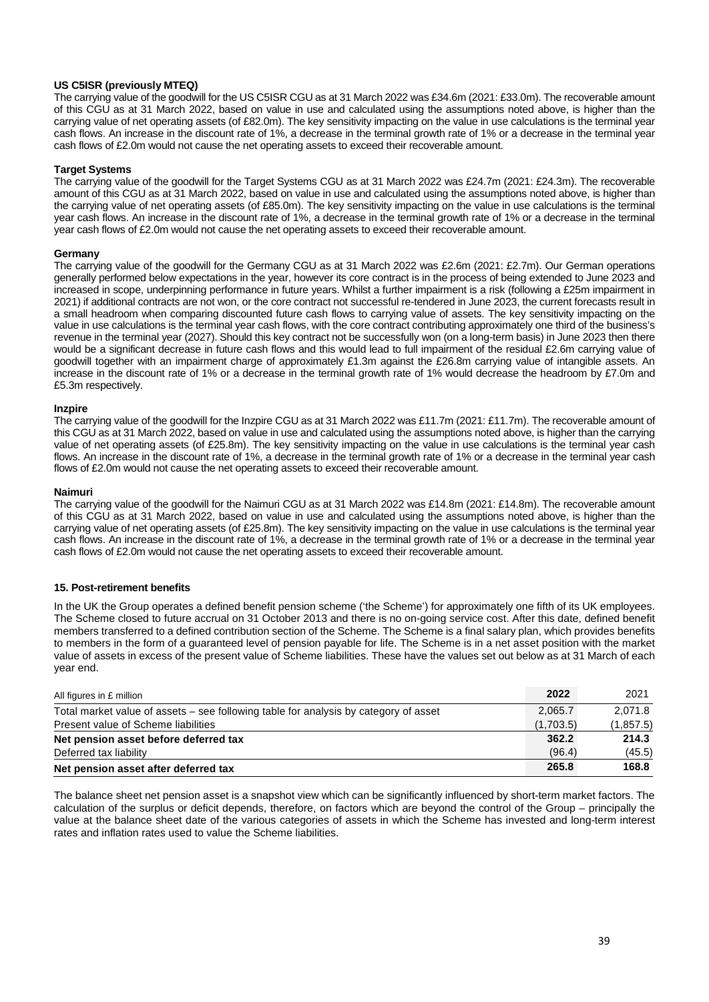#### **US C5ISR (previously MTEQ)**

The carrying value of the goodwill for the US C5ISR CGU as at 31 March 2022 was £34.6m (2021: £33.0m). The recoverable amount of this CGU as at 31 March 2022, based on value in use and calculated using the assumptions noted above, is higher than the carrying value of net operating assets (of £82.0m). The key sensitivity impacting on the value in use calculations is the terminal year cash flows. An increase in the discount rate of 1%, a decrease in the terminal growth rate of 1% or a decrease in the terminal year cash flows of £2.0m would not cause the net operating assets to exceed their recoverable amount.

#### **Target Systems**

The carrying value of the goodwill for the Target Systems CGU as at 31 March 2022 was £24.7m (2021: £24.3m). The recoverable amount of this CGU as at 31 March 2022, based on value in use and calculated using the assumptions noted above, is higher than the carrying value of net operating assets (of £85.0m). The key sensitivity impacting on the value in use calculations is the terminal year cash flows. An increase in the discount rate of 1%, a decrease in the terminal growth rate of 1% or a decrease in the terminal year cash flows of £2.0m would not cause the net operating assets to exceed their recoverable amount.

#### **Germany**

The carrying value of the goodwill for the Germany CGU as at 31 March 2022 was £2.6m (2021: £2.7m). Our German operations generally performed below expectations in the year, however its core contract is in the process of being extended to June 2023 and increased in scope, underpinning performance in future years. Whilst a further impairment is a risk (following a £25m impairment in 2021) if additional contracts are not won, or the core contract not successful re-tendered in June 2023, the current forecasts result in a small headroom when comparing discounted future cash flows to carrying value of assets. The key sensitivity impacting on the value in use calculations is the terminal year cash flows, with the core contract contributing approximately one third of the business's revenue in the terminal year (2027). Should this key contract not be successfully won (on a long-term basis) in June 2023 then there would be a significant decrease in future cash flows and this would lead to full impairment of the residual £2.6m carrying value of goodwill together with an impairment charge of approximately £1.3m against the £26.8m carrying value of intangible assets. An increase in the discount rate of 1% or a decrease in the terminal growth rate of 1% would decrease the headroom by £7.0m and £5.3m respectively.

#### **Inzpire**

The carrying value of the goodwill for the Inzpire CGU as at 31 March 2022 was £11.7m (2021: £11.7m). The recoverable amount of this CGU as at 31 March 2022, based on value in use and calculated using the assumptions noted above, is higher than the carrying value of net operating assets (of £25.8m). The key sensitivity impacting on the value in use calculations is the terminal year cash flows. An increase in the discount rate of 1%, a decrease in the terminal growth rate of 1% or a decrease in the terminal year cash flows of £2.0m would not cause the net operating assets to exceed their recoverable amount.

#### **Naimuri**

The carrying value of the goodwill for the Naimuri CGU as at 31 March 2022 was £14.8m (2021: £14.8m). The recoverable amount of this CGU as at 31 March 2022, based on value in use and calculated using the assumptions noted above, is higher than the carrying value of net operating assets (of £25.8m). The key sensitivity impacting on the value in use calculations is the terminal year cash flows. An increase in the discount rate of 1%, a decrease in the terminal growth rate of 1% or a decrease in the terminal year cash flows of £2.0m would not cause the net operating assets to exceed their recoverable amount.

#### **15. Post-retirement benefits**

In the UK the Group operates a defined benefit pension scheme ('the Scheme') for approximately one fifth of its UK employees. The Scheme closed to future accrual on 31 October 2013 and there is no on-going service cost. After this date, defined benefit members transferred to a defined contribution section of the Scheme. The Scheme is a final salary plan, which provides benefits to members in the form of a guaranteed level of pension payable for life. The Scheme is in a net asset position with the market value of assets in excess of the present value of Scheme liabilities. These have the values set out below as at 31 March of each year end.

| All figures in £ million                                                             | 2022      | 2021       |
|--------------------------------------------------------------------------------------|-----------|------------|
| Total market value of assets – see following table for analysis by category of asset | 2,065.7   | 2.071.8    |
| Present value of Scheme liabilities                                                  | (1,703.5) | (1, 857.5) |
| Net pension asset before deferred tax                                                | 362.2     | 214.3      |
| Deferred tax liability                                                               | (96.4)    | (45.5)     |
| Net pension asset after deferred tax                                                 | 265.8     | 168.8      |

The balance sheet net pension asset is a snapshot view which can be significantly influenced by short-term market factors. The calculation of the surplus or deficit depends, therefore, on factors which are beyond the control of the Group – principally the value at the balance sheet date of the various categories of assets in which the Scheme has invested and long-term interest rates and inflation rates used to value the Scheme liabilities.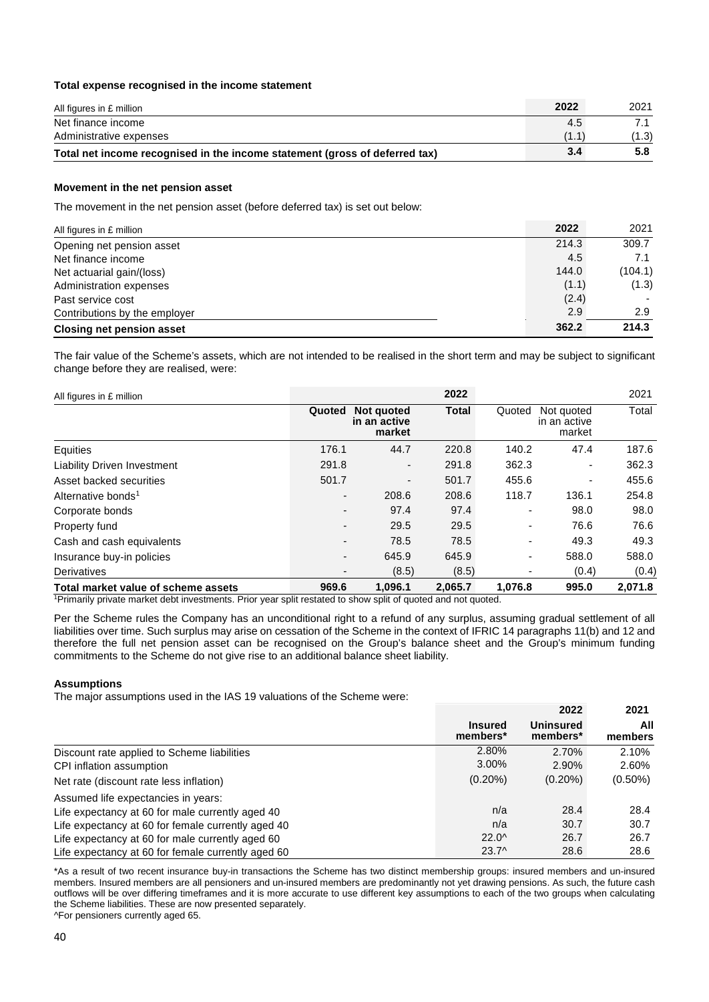#### **Total expense recognised in the income statement**

| All figures in £ million                                                    | 2022  | 2021  |
|-----------------------------------------------------------------------------|-------|-------|
| Net finance income                                                          | 4.5   |       |
| Administrative expenses                                                     | (1.1) | (1.3) |
| Total net income recognised in the income statement (gross of deferred tax) | 3.4   | 5.8   |

#### **Movement in the net pension asset**

The movement in the net pension asset (before deferred tax) is set out below:

| All figures in £ million         | 2022  | 2021    |
|----------------------------------|-------|---------|
| Opening net pension asset        | 214.3 | 309.7   |
| Net finance income               | 4.5   | 7.1     |
| Net actuarial gain/(loss)        | 144.0 | (104.1) |
| Administration expenses          | (1.1) | (1.3)   |
| Past service cost                | (2.4) |         |
| Contributions by the employer    | 2.9   | 2.9     |
| <b>Closing net pension asset</b> | 362.2 | 214.3   |

The fair value of the Scheme's assets, which are not intended to be realised in the short term and may be subject to significant change before they are realised, were:

| All figures in £ million                                                                                                                                                                                                      |                          |                                      | 2022         |                          |                                      | 2021    |
|-------------------------------------------------------------------------------------------------------------------------------------------------------------------------------------------------------------------------------|--------------------------|--------------------------------------|--------------|--------------------------|--------------------------------------|---------|
|                                                                                                                                                                                                                               | Quoted                   | Not quoted<br>in an active<br>market | <b>Total</b> | Quoted                   | Not quoted<br>in an active<br>market | Total   |
| Equities                                                                                                                                                                                                                      | 176.1                    | 44.7                                 | 220.8        | 140.2                    | 47.4                                 | 187.6   |
| <b>Liability Driven Investment</b>                                                                                                                                                                                            | 291.8                    | $\overline{\phantom{a}}$             | 291.8        | 362.3                    |                                      | 362.3   |
| Asset backed securities                                                                                                                                                                                                       | 501.7                    |                                      | 501.7        | 455.6                    | $\blacksquare$                       | 455.6   |
| Alternative bonds <sup>1</sup>                                                                                                                                                                                                | $\overline{\phantom{a}}$ | 208.6                                | 208.6        | 118.7                    | 136.1                                | 254.8   |
| Corporate bonds                                                                                                                                                                                                               | $\overline{\phantom{a}}$ | 97.4                                 | 97.4         |                          | 98.0                                 | 98.0    |
| Property fund                                                                                                                                                                                                                 | $\overline{\phantom{a}}$ | 29.5                                 | 29.5         |                          | 76.6                                 | 76.6    |
| Cash and cash equivalents                                                                                                                                                                                                     | $\overline{\phantom{a}}$ | 78.5                                 | 78.5         | $\overline{\phantom{0}}$ | 49.3                                 | 49.3    |
| Insurance buy-in policies                                                                                                                                                                                                     | $\overline{\phantom{a}}$ | 645.9                                | 645.9        |                          | 588.0                                | 588.0   |
| <b>Derivatives</b>                                                                                                                                                                                                            |                          | (8.5)                                | (8.5)        |                          | (0.4)                                | (0.4)   |
| Total market value of scheme assets                                                                                                                                                                                           | 969.6                    | 1.096.1                              | 2.065.7      | 1.076.8                  | 995.0                                | 2,071.8 |
| 1 Datas sult, is alternate as substitute the researches Datas component as substantial substantial substantial and control of the set of the set of the set of the set of the set of the set of the set of the set of the set |                          |                                      |              |                          |                                      |         |

<sup>1</sup>Primarily private market debt investments. Prior year split restated to show split of quoted and not quoted.

Per the Scheme rules the Company has an unconditional right to a refund of any surplus, assuming gradual settlement of all liabilities over time. Such surplus may arise on cessation of the Scheme in the context of IFRIC 14 paragraphs 11(b) and 12 and therefore the full net pension asset can be recognised on the Group's balance sheet and the Group's minimum funding commitments to the Scheme do not give rise to an additional balance sheet liability.

#### **Assumptions**

The major assumptions used in the IAS 19 valuations of the Scheme were:

|                                                    |                            | 2022                         | 2021           |
|----------------------------------------------------|----------------------------|------------------------------|----------------|
|                                                    | <b>Insured</b><br>members* | <b>Uninsured</b><br>members* | All<br>members |
| Discount rate applied to Scheme liabilities        | 2.80%                      | 2.70%                        | 2.10%          |
| CPI inflation assumption                           | 3.00%                      | 2.90%                        | 2.60%          |
| Net rate (discount rate less inflation)            | $(0.20\%)$                 | $(0.20\%)$                   | $(0.50\%)$     |
| Assumed life expectancies in years:                |                            |                              |                |
| Life expectancy at 60 for male currently aged 40   | n/a                        | 28.4                         | 28.4           |
| Life expectancy at 60 for female currently aged 40 | n/a                        | 30.7                         | 30.7           |
| Life expectancy at 60 for male currently aged 60   | $22.0^{\circ}$             | 26.7                         | 26.7           |
| Life expectancy at 60 for female currently aged 60 | $23.7^{\circ}$             | 28.6                         | 28.6           |

\*As a result of two recent insurance buy-in transactions the Scheme has two distinct membership groups: insured members and un-insured members. Insured members are all pensioners and un-insured members are predominantly not yet drawing pensions. As such, the future cash outflows will be over differing timeframes and it is more accurate to use different key assumptions to each of the two groups when calculating the Scheme liabilities. These are now presented separately.

^For pensioners currently aged 65.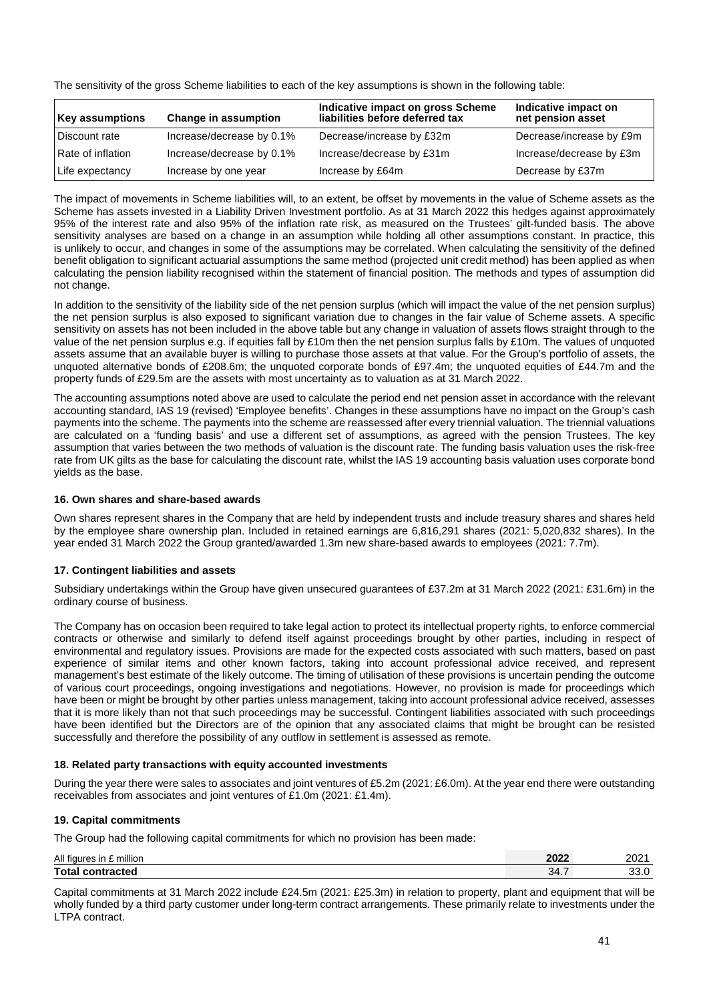The sensitivity of the gross Scheme liabilities to each of the key assumptions is shown in the following table:

| <b>Key assumptions</b> | Change in assumption      | Indicative impact on gross Scheme<br>liabilities before deferred tax | Indicative impact on<br>net pension asset |
|------------------------|---------------------------|----------------------------------------------------------------------|-------------------------------------------|
| Discount rate          | Increase/decrease by 0.1% | Decrease/increase by £32m                                            | Decrease/increase by £9m                  |
| Rate of inflation      | Increase/decrease by 0.1% | Increase/decrease by £31m                                            | Increase/decrease by £3m                  |
| Life expectancy        | Increase by one year      | Increase by £64m                                                     | Decrease by £37m                          |

The impact of movements in Scheme liabilities will, to an extent, be offset by movements in the value of Scheme assets as the Scheme has assets invested in a Liability Driven Investment portfolio. As at 31 March 2022 this hedges against approximately 95% of the interest rate and also 95% of the inflation rate risk, as measured on the Trustees' gilt-funded basis. The above sensitivity analyses are based on a change in an assumption while holding all other assumptions constant. In practice, this is unlikely to occur, and changes in some of the assumptions may be correlated. When calculating the sensitivity of the defined benefit obligation to significant actuarial assumptions the same method (projected unit credit method) has been applied as when calculating the pension liability recognised within the statement of financial position. The methods and types of assumption did not change.

In addition to the sensitivity of the liability side of the net pension surplus (which will impact the value of the net pension surplus) the net pension surplus is also exposed to significant variation due to changes in the fair value of Scheme assets. A specific sensitivity on assets has not been included in the above table but any change in valuation of assets flows straight through to the value of the net pension surplus e.g. if equities fall by £10m then the net pension surplus falls by £10m. The values of unquoted assets assume that an available buyer is willing to purchase those assets at that value. For the Group's portfolio of assets, the unquoted alternative bonds of £208.6m; the unquoted corporate bonds of £97.4m; the unquoted equities of £44.7m and the property funds of £29.5m are the assets with most uncertainty as to valuation as at 31 March 2022.

The accounting assumptions noted above are used to calculate the period end net pension asset in accordance with the relevant accounting standard, IAS 19 (revised) 'Employee benefits'. Changes in these assumptions have no impact on the Group's cash payments into the scheme. The payments into the scheme are reassessed after every triennial valuation. The triennial valuations are calculated on a 'funding basis' and use a different set of assumptions, as agreed with the pension Trustees. The key assumption that varies between the two methods of valuation is the discount rate. The funding basis valuation uses the risk-free rate from UK gilts as the base for calculating the discount rate, whilst the IAS 19 accounting basis valuation uses corporate bond yields as the base.

#### **16. Own shares and share-based awards**

Own shares represent shares in the Company that are held by independent trusts and include treasury shares and shares held by the employee share ownership plan. Included in retained earnings are 6,816,291 shares (2021: 5,020,832 shares). In the year ended 31 March 2022 the Group granted/awarded 1.3m new share-based awards to employees (2021: 7.7m).

#### **17. Contingent liabilities and assets**

Subsidiary undertakings within the Group have given unsecured guarantees of £37.2m at 31 March 2022 (2021: £31.6m) in the ordinary course of business.

The Company has on occasion been required to take legal action to protect its intellectual property rights, to enforce commercial contracts or otherwise and similarly to defend itself against proceedings brought by other parties, including in respect of environmental and regulatory issues. Provisions are made for the expected costs associated with such matters, based on past experience of similar items and other known factors, taking into account professional advice received, and represent management's best estimate of the likely outcome. The timing of utilisation of these provisions is uncertain pending the outcome of various court proceedings, ongoing investigations and negotiations. However, no provision is made for proceedings which have been or might be brought by other parties unless management, taking into account professional advice received, assesses that it is more likely than not that such proceedings may be successful. Contingent liabilities associated with such proceedings have been identified but the Directors are of the opinion that any associated claims that might be brought can be resisted successfully and therefore the possibility of any outflow in settlement is assessed as remote.

#### **18. Related party transactions with equity accounted investments**

During the year there were sales to associates and joint ventures of £5.2m (2021: £6.0m). At the year end there were outstanding receivables from associates and joint ventures of £1.0m (2021: £1.4m).

#### **19. Capital commitments**

The Group had the following capital commitments for which no provision has been made:

| All figures<br>million<br>ın | 2022 | ∤ר∩ר<br>ZUZ '  |
|------------------------------|------|----------------|
| <b>Total contracted</b>      | 34.7 | $\sim$<br>JJ.U |

Capital commitments at 31 March 2022 include £24.5m (2021: £25.3m) in relation to property, plant and equipment that will be wholly funded by a third party customer under long-term contract arrangements. These primarily relate to investments under the LTPA contract.